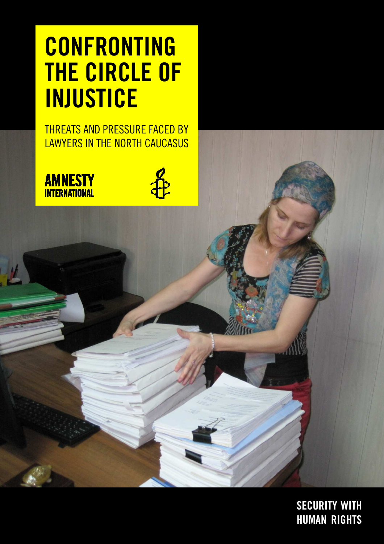# **CONFRONTING THE CIRCLE OF INJUSTICE**

THREATS AND PRESSURE FACED BY LAWYERS IN THE NORTH CAUCASUS

 $\frac{1}{T}$ 



**SECURITY WITH HUMAN RIGHTS**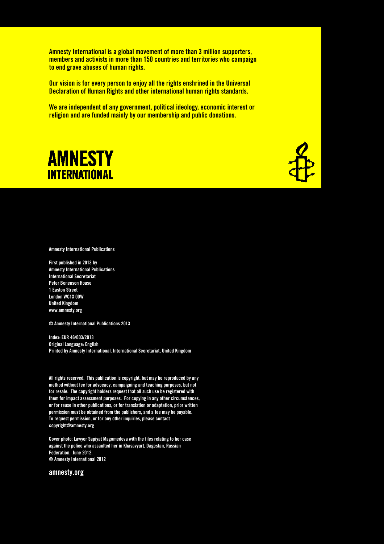**Amnesty International is a global movement of more than 3 million supporters, members and activists in more than 150 countries and territories who campaign to end grave abuses of human rights.** 

**Our vision is for every person to enjoy all the rights enshrined in the Universal Declaration of Human Rights and other international human rights standards.** 

**We are independent of any government, political ideology, economic interest or religion and are funded mainly by our membership and public donations.** 



**Amnesty International Publications** 

**First published in 2013 by Amnesty International Publications International Secretariat Peter Benenson House 1 Easton Street London WC1X 0DW United Kingdom www.amnesty.org** 

**© Amnesty International Publications 2013** 

**Index: EUR 46/003/2013 Original Language: English Printed by Amnesty International, International Secretariat, United Kingdom** 

**All rights reserved. This publication is copyright, but may be reproduced by any method without fee for advocacy, campaigning and teaching purposes, but not for resale. The copyright holders request that all such use be registered with them for impact assessment purposes. For copying in any other circumstances, or for reuse in other publications, or for translation or adaptation, prior written permission must be obtained from the publishers, and a fee may be payable. To request permission, or for any other inquiries, please contact copyright@amnesty.org** 

**Cover photo: Lawyer Sapiyat Magomedova with the files relating to her case against the police who assaulted her in Khasavyurt, Dagestan, Russian Federation. June 2012. © Amnesty International 2012** 

**amnesty.org**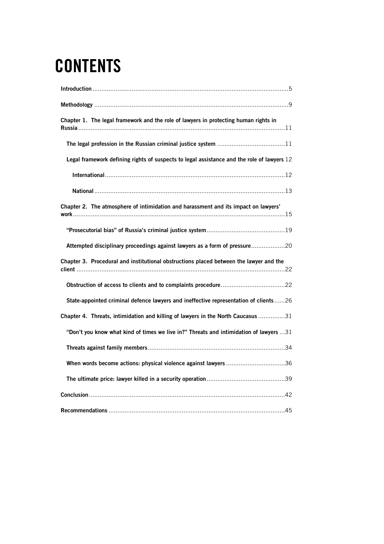# **CONTENTS**

| Chapter 1. The legal framework and the role of lawyers in protecting human rights in       |  |
|--------------------------------------------------------------------------------------------|--|
|                                                                                            |  |
| Legal framework defining rights of suspects to legal assistance and the role of lawyers 12 |  |
|                                                                                            |  |
|                                                                                            |  |
| Chapter 2. The atmosphere of intimidation and harassment and its impact on lawyers'        |  |
|                                                                                            |  |
| Attempted disciplinary proceedings against lawyers as a form of pressure20                 |  |
| Chapter 3. Procedural and institutional obstructions placed between the lawyer and the     |  |
|                                                                                            |  |
| State-appointed criminal defence lawyers and ineffective representation of clients 26      |  |
| Chapter 4. Threats, intimidation and killing of lawyers in the North Caucasus 31           |  |
| "Don't you know what kind of times we live in?" Threats and intimidation of lawyers 31     |  |
|                                                                                            |  |
| When words become actions: physical violence against lawyers 36                            |  |
|                                                                                            |  |
|                                                                                            |  |
|                                                                                            |  |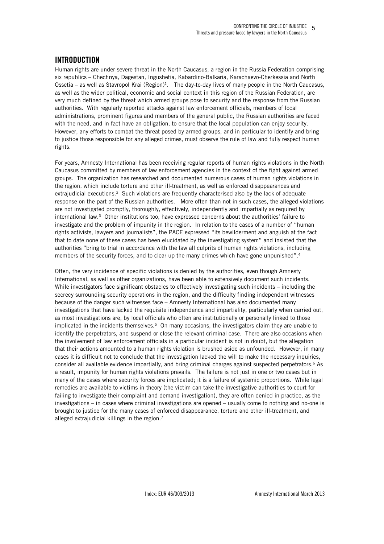# **INTRODUCTION**

Human rights are under severe threat in the North Caucasus, a region in the Russia Federation comprising six republics – Chechnya, Dagestan, Ingushetia, Kabardino-Balkaria, Karachaevo-Cherkessia and North Ossetia – as well as Stavropol Krai (Region)<sup>1</sup>. The day-to-day lives of many people in the North Caucasus, as well as the wider political, economic and social context in this region of the Russian Federation, are very much defined by the threat which armed groups pose to security and the response from the Russian authorities. With regularly reported attacks against law enforcement officials, members of local administrations, prominent figures and members of the general public, the Russian authorities are faced with the need, and in fact have an obligation, to ensure that the local population can enjoy security. However, any efforts to combat the threat posed by armed groups, and in particular to identify and bring to justice those responsible for any alleged crimes, must observe the rule of law and fully respect human rights.

For years, Amnesty International has been receiving regular reports of human rights violations in the North Caucasus committed by members of law enforcement agencies in the context of the fight against armed groups. The organization has researched and documented numerous cases of human rights violations in the region, which include torture and other ill-treatment, as well as enforced disappearances and extrajudicial executions.<sup>2</sup> Such violations are frequently characterised also by the lack of adequate response on the part of the Russian authorities. More often than not in such cases, the alleged violations are not investigated promptly, thoroughly, effectively, independently and impartially as required by international law.<sup>3</sup> Other institutions too, have expressed concerns about the authorities' failure to investigate and the problem of impunity in the region. In relation to the cases of a number of "human rights activists, lawyers and journalists", the PACE expressed "its bewilderment and anguish at the fact that to date none of these cases has been elucidated by the investigating system" and insisted that the authorities "bring to trial in accordance with the law all culprits of human rights violations, including members of the security forces, and to clear up the many crimes which have gone unpunished".<sup>4</sup>

Often, the very incidence of specific violations is denied by the authorities, even though Amnesty International, as well as other organizations, have been able to extensively document such incidents. While investigators face significant obstacles to effectively investigating such incidents – including the secrecy surrounding security operations in the region, and the difficulty finding independent witnesses because of the danger such witnesses face – Amnesty International has also documented many investigations that have lacked the requisite independence and impartiality, particularly when carried out, as most investigations are, by local officials who often are institutionally or personally linked to those implicated in the incidents themselves.<sup>5</sup> On many occasions, the investigators claim they are unable to identify the perpetrators, and suspend or close the relevant criminal case. There are also occasions when the involvement of law enforcement officials in a particular incident is not in doubt, but the allegation that their actions amounted to a human rights violation is brushed aside as unfounded. However, in many cases it is difficult not to conclude that the investigation lacked the will to make the necessary inquiries, consider all available evidence impartially, and bring criminal charges against suspected perpetrators.<sup>6</sup> As a result, impunity for human rights violations prevails. The failure is not just in one or two cases but in many of the cases where security forces are implicated; it is a failure of systemic proportions. While legal remedies are available to victims in theory (the victim can take the investigative authorities to court for failing to investigate their complaint and demand investigation), they are often denied in practice, as the investigations – in cases where criminal investigations are opened – usually come to nothing and no-one is brought to justice for the many cases of enforced disappearance, torture and other ill-treatment, and alleged extrajudicial killings in the region.<sup>7</sup>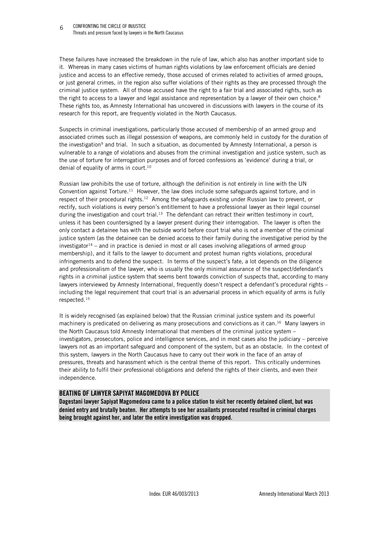These failures have increased the breakdown in the rule of law, which also has another important side to it. Whereas in many cases victims of human rights violations by law enforcement officials are denied justice and access to an effective remedy, those accused of crimes related to activities of armed groups, or just general crimes, in the region also suffer violations of their rights as they are processed through the criminal justice system. All of those accused have the right to a fair trial and associated rights, such as the right to access to a lawyer and legal assistance and representation by a lawyer of their own choice.<sup>8</sup> These rights too, as Amnesty International has uncovered in discussions with lawyers in the course of its research for this report, are frequently violated in the North Caucasus.

Suspects in criminal investigations, particularly those accused of membership of an armed group and associated crimes such as illegal possession of weapons, are commonly held in custody for the duration of the investigation<sup>9</sup> and trial. In such a situation, as documented by Amnesty International, a person is vulnerable to a range of violations and abuses from the criminal investigation and justice system, such as the use of torture for interrogation purposes and of forced confessions as 'evidence' during a trial, or denial of equality of arms in court.<sup>10</sup>

Russian law prohibits the use of torture, although the definition is not entirely in line with the UN Convention against Torture.<sup>11</sup> However, the law does include some safeguards against torture, and in respect of their procedural rights.<sup>12</sup> Among the safeguards existing under Russian law to prevent, or rectify, such violations is every person's entitlement to have a professional lawyer as their legal counsel during the investigation and court trial.<sup>13</sup> The defendant can retract their written testimony in court, unless it has been countersigned by a lawyer present during their interrogation. The lawyer is often the only contact a detainee has with the outside world before court trial who is not a member of the criminal justice system (as the detainee can be denied access to their family during the investigative period by the investigator<sup>14</sup> – and in practice is denied in most or all cases involving allegations of armed group membership), and it falls to the lawyer to document and protest human rights violations, procedural infringements and to defend the suspect. In terms of the suspect's fate, a lot depends on the diligence and professionalism of the lawyer, who is usually the only minimal assurance of the suspect/defendant's rights in a criminal justice system that seems bent towards conviction of suspects that, according to many lawyers interviewed by Amnesty International, frequently doesn't respect a defendant's procedural rights including the legal requirement that court trial is an adversarial process in which equality of arms is fully respected.<sup>15</sup>

It is widely recognised (as explained below) that the Russian criminal justice system and its powerful machinery is predicated on delivering as many prosecutions and convictions as it can.<sup>16</sup> Many lawyers in the North Caucasus told Amnesty International that members of the criminal justice system – investigators, prosecutors, police and intelligence services, and in most cases also the judiciary – perceive lawyers not as an important safeguard and component of the system, but as an obstacle. In the context of this system, lawyers in the North Caucasus have to carry out their work in the face of an array of pressures, threats and harassment which is the central theme of this report. This critically undermines their ability to fulfil their professional obligations and defend the rights of their clients, and even their independence.

#### **BEATING OF LAWYER SAPIYAT MAGOMEDOVA BY POLICE**

**Dagestani lawyer Sapiyat Magomedova came to a police station to visit her recently detained client, but was denied entry and brutally beaten. Her attempts to see her assailants prosecuted resulted in criminal charges being brought against her, and later the entire investigation was dropped.**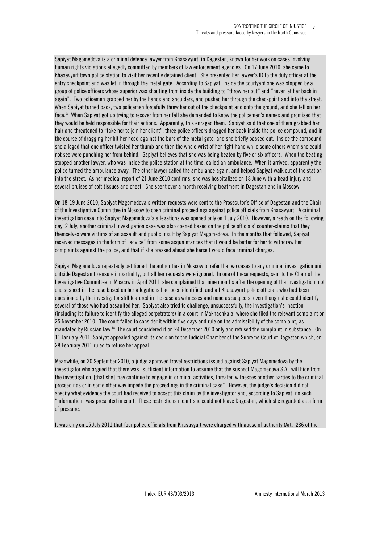Sapiyat Magomedova is a criminal defence lawyer from Khasavyurt, in Dagestan, known for her work on cases involving human rights violations allegedly committed by members of law enforcement agencies. On 17 June 2010, she came to Khasavyurt town police station to visit her recently detained client. She presented her lawyer's ID to the duty officer at the entry checkpoint and was let in through the metal gate. According to Sapiyat, inside the courtyard she was stopped by a group of police officers whose superior was shouting from inside the building to "throw her out" and "never let her back in again". Two policemen grabbed her by the hands and shoulders, and pushed her through the checkpoint and into the street. When Sapiyat turned back, two policemen forcefully threw her out of the checkpoint and onto the ground, and she fell on her face.<sup>17</sup> When Sapiyat got up trying to recover from her fall she demanded to know the policemen's names and promised that they would be held responsible for their actions. Apparently, this enraged them. Sapiyat said that one of them grabbed her hair and threatened to "take her to join her client"; three police officers dragged her back inside the police compound, and in the course of dragging her hit her head against the bars of the metal gate, and she briefly passed out. Inside the compound, she alleged that one officer twisted her thumb and then the whole wrist of her right hand while some others whom she could not see were punching her from behind. Sapiyat believes that she was being beaten by five or six officers. When the beating stopped another lawyer, who was inside the police station at the time, called an ambulance. When it arrived, apparently the police turned the ambulance away. The other lawyer called the ambulance again, and helped Sapiyat walk out of the station into the street. As her medical report of 21 June 2010 confirms, she was hospitalized on 18 June with a head injury and several bruises of soft tissues and chest. She spent over a month receiving treatment in Dagestan and in Moscow.

On 18-19 June 2010, Sapiyat Magomedova's written requests were sent to the Prosecutor's Office of Dagestan and the Chair of the Investigative Committee in Moscow to open criminal proceedings against police officials from Khasavyurt. A criminal investigation case into Sapiyat Magomedova's allegations was opened only on 1 July 2010. However, already on the following day, 2 July, another criminal investigation case was also opened based on the police officials' counter-claims that they themselves were victims of an assault and public insult by Sapiyat Magomedova. In the months that followed, Sapiyat received messages in the form of "advice" from some acquaintances that it would be better for her to withdraw her complaints against the police, and that if she pressed ahead she herself would face criminal charges.

Sapiyat Magomedova repeatedly petitioned the authorities in Moscow to refer the two cases to any criminal investigation unit outside Dagestan to ensure impartiality, but all her requests were ignored. In one of these requests, sent to the Chair of the Investigative Committee in Moscow in April 2011, she complained that nine months after the opening of the investigation, not one suspect in the case based on her allegations had been identified, and all Khasavyurt police officials who had been questioned by the investigator still featured in the case as witnesses and none as suspects, even though she could identify several of those who had assaulted her. Sapiyat also tried to challenge, unsuccessfully, the investigation's inaction (including its failure to identify the alleged perpetrators) in a court in Makhachkala, where she filed the relevant complaint on 25 November 2010. The court failed to consider it within five days and rule on the admissibility of the complaint, as mandated by Russian law.<sup>18</sup> The court considered it on 24 December 2010 only and refused the complaint in substance. On 11 January 2011, Sapiyat appealed against its decision to the Judicial Chamber of the Supreme Court of Dagestan which, on 28 February 2011 ruled to refuse her appeal.

Meanwhile, on 30 September 2010, a judge approved travel restrictions issued against Sapiyat Magomedova by the investigator who argued that there was "sufficient information to assume that the suspect Magomedova S.A. will hide from the investigation, [that she] may continue to engage in criminal activities, threaten witnesses or other parties to the criminal proceedings or in some other way impede the proceedings in the criminal case". However, the judge's decision did not specify what evidence the court had received to accept this claim by the investigator and, according to Sapiyat, no such "information" was presented in court. These restrictions meant she could not leave Dagestan, which she regarded as a form of pressure.

It was only on 15 July 2011 that four police officials from Khasavyurt were charged with abuse of authority (Art. 286 of the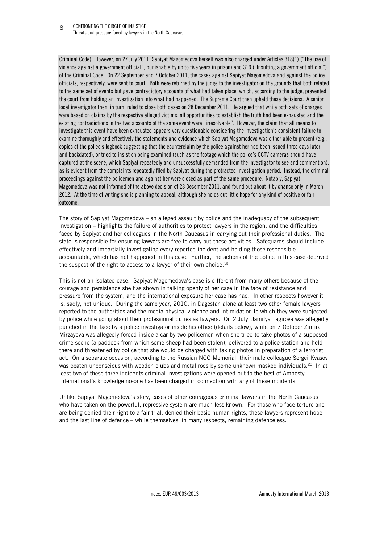Criminal Code). However, on 27 July 2011, Sapiyat Magomedova herself was also charged under Articles 318(1) ("The use of violence against a government official", punishable by up to five years in prison) and 319 ("Insulting a government official") of the Criminal Code. On 22 September and 7 October 2011, the cases against Sapiyat Magomedova and against the police officials, respectively, were sent to court. Both were returned by the judge to the investigator on the grounds that both related to the same set of events but gave contradictory accounts of what had taken place, which, according to the judge, prevented the court from holding an investigation into what had happened. The Supreme Court then upheld these decisions. A senior local investigator then, in turn, ruled to close both cases on 28 December 2011. He argued that while both sets of charges were based on claims by the respective alleged victims, all opportunities to establish the truth had been exhausted and the existing contradictions in the two accounts of the same event were "irresolvable". However, the claim that all means to investigate this event have been exhausted appears very questionable considering the investigation's consistent failure to examine thoroughly and effectively the statements and evidence which Sapiyat Magomedova was either able to present (e.g., copies of the police's logbook suggesting that the counterclaim by the police against her had been issued three days later and backdated), or tried to insist on being examined (such as the footage which the police's CCTV cameras should have captured at the scene, which Sapiyat repeatedly and unsuccessfully demanded from the investigator to see and comment on), as is evident from the complaints repeatedly filed by Sapiyat during the protracted investigation period. Instead, the criminal proceedings against the policemen and against her were closed as part of the same procedure. Notably, Sapiyat Magomedova was not informed of the above decision of 28 December 2011, and found out about it by chance only in March 2012. At the time of writing she is planning to appeal, although she holds out little hope for any kind of positive or fair outcome.

The story of Sapiyat Magomedova – an alleged assault by police and the inadequacy of the subsequent investigation – highlights the failure of authorities to protect lawyers in the region, and the difficulties faced by Sapiyat and her colleagues in the North Caucasus in carrying out their professional duties. The state is responsible for ensuring lawyers are free to carry out these activities. Safeguards should include effectively and impartially investigating every reported incident and holding those responsible accountable, which has not happened in this case. Further, the actions of the police in this case deprived the suspect of the right to access to a lawyer of their own choice.<sup>19</sup>

This is not an isolated case. Sapiyat Magomedova's case is different from many others because of the courage and persistence she has shown in talking openly of her case in the face of resistance and pressure from the system, and the international exposure her case has had. In other respects however it is, sadly, not unique. During the same year, 2010, in Dagestan alone at least two other female lawyers reported to the authorities and the media physical violence and intimidation to which they were subjected by police while going about their professional duties as lawyers. On 2 July, Jamilya Tagirova was allegedly punched in the face by a police investigator inside his office (details below), while on 7 October Zinfira Mirzayeva was allegedly forced inside a car by two policemen when she tried to take photos of a supposed crime scene (a paddock from which some sheep had been stolen), delivered to a police station and held there and threatened by police that she would be charged with taking photos in preparation of a terrorist act. On a separate occasion, according to the Russian NGO Memorial, their male colleague Sergei Kvasov was beaten unconscious with wooden clubs and metal rods by some unknown masked individuals.<sup>20</sup> In at least two of these three incidents criminal investigations were opened but to the best of Amnesty International's knowledge no-one has been charged in connection with any of these incidents.

Unlike Sapiyat Magomedova's story, cases of other courageous criminal lawyers in the North Caucasus who have taken on the powerful, repressive system are much less known. For those who face torture and are being denied their right to a fair trial, denied their basic human rights, these lawyers represent hope and the last line of defence – while themselves, in many respects, remaining defenceless.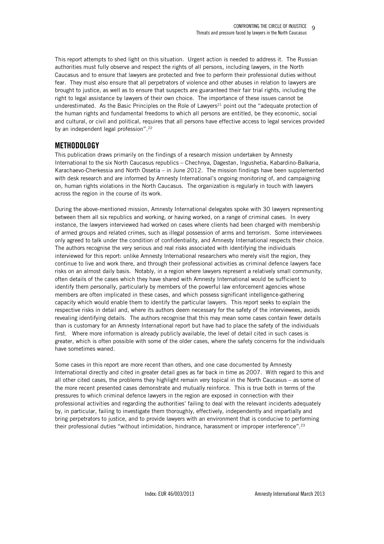This report attempts to shed light on this situation. Urgent action is needed to address it. The Russian authorities must fully observe and respect the rights of all persons, including lawyers, in the North Caucasus and to ensure that lawyers are protected and free to perform their professional duties without fear. They must also ensure that all perpetrators of violence and other abuses in relation to lawyers are brought to justice, as well as to ensure that suspects are guaranteed their fair trial rights, including the right to legal assistance by lawyers of their own choice. The importance of these issues cannot be underestimated. As the Basic Principles on the Role of Lawyers $21$  point out the "adequate protection of the human rights and fundamental freedoms to which all persons are entitled, be they economic, social and cultural, or civil and political, requires that all persons have effective access to legal services provided by an independent legal profession".<sup>22</sup>

# **METHODOLOGY**

This publication draws primarily on the findings of a research mission undertaken by Amnesty International to the six North Caucasus republics – Chechnya, Dagestan, Ingushetia, Kabardino-Balkaria, Karachaevo-Cherkessia and North Ossetia – in June 2012. The mission findings have been supplemented with desk research and are informed by Amnesty International's ongoing monitoring of, and campaigning on, human rights violations in the North Caucasus. The organization is regularly in touch with lawyers across the region in the course of its work.

During the above-mentioned mission, Amnesty International delegates spoke with 30 lawyers representing between them all six republics and working, or having worked, on a range of criminal cases. In every instance, the lawyers interviewed had worked on cases where clients had been charged with membership of armed groups and related crimes, such as illegal possession of arms and terrorism. Some interviewees only agreed to talk under the condition of confidentiality, and Amnesty International respects their choice. The authors recognise the very serious and real risks associated with identifying the individuals interviewed for this report: unlike Amnesty International researchers who merely visit the region, they continue to live and work there, and through their professional activities as criminal defence lawyers face risks on an almost daily basis. Notably, in a region where lawyers represent a relatively small community, often details of the cases which they have shared with Amnesty International would be sufficient to identify them personally, particularly by members of the powerful law enforcement agencies whose members are often implicated in these cases, and which possess significant intelligence-gathering capacity which would enable them to identify the particular lawyers. This report seeks to explain the respective risks in detail and, where its authors deem necessary for the safety of the interviewees, avoids revealing identifying details. The authors recognise that this may mean some cases contain fewer details than is customary for an Amnesty International report but have had to place the safety of the individuals first. Where more information is already publicly available, the level of detail cited in such cases is greater, which is often possible with some of the older cases, where the safety concerns for the individuals have sometimes waned.

Some cases in this report are more recent than others, and one case documented by Amnesty International directly and cited in greater detail goes as far back in time as 2007. With regard to this and all other cited cases, the problems they highlight remain very topical in the North Caucasus – as some of the more recent presented cases demonstrate and mutually reinforce. This is true both in terms of the pressures to which criminal defence lawyers in the region are exposed in connection with their professional activities and regarding the authorities' failing to deal with the relevant incidents adequately by, in particular, failing to investigate them thoroughly, effectively, independently and impartially and bring perpetrators to justice, and to provide lawyers with an environment that is conducive to performing their professional duties "without intimidation, hindrance, harassment or improper interference".<sup>23</sup>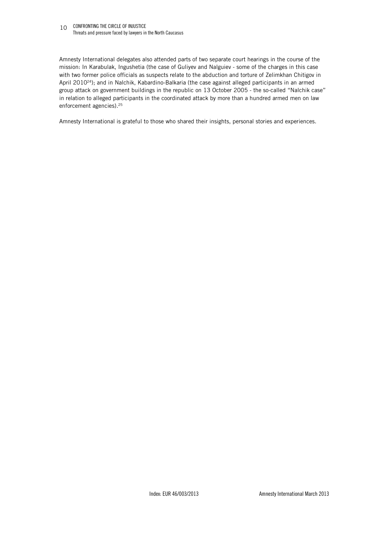#### 10 CONFRONTING THE CIRCLE OF INJUSTICE Threats and pressure faced by lawyers in the North Caucasus

Amnesty International delegates also attended parts of two separate court hearings in the course of the mission: In Karabulak, Ingushetia (the case of Guliyev and Nalguiev - some of the charges in this case with two former police officials as suspects relate to the abduction and torture of Zelimkhan Chitigov in April 2010<sup>24</sup>); and in Nalchik, Kabardino-Balkaria (the case against alleged participants in an armed group attack on government buildings in the republic on 13 October 2005 - the so-called "Nalchik case" in relation to alleged participants in the coordinated attack by more than a hundred armed men on law enforcement agencies).<sup>25</sup>

Amnesty International is grateful to those who shared their insights, personal stories and experiences.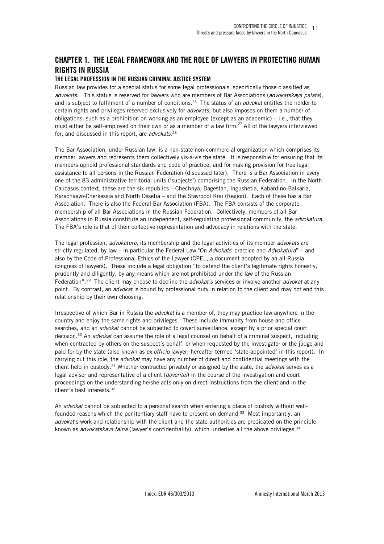# **CHAPTER 1. THE LEGAL FRAMEWORK AND THE ROLE OF LAWYERS IN PROTECTING HUMAN RIGHTS IN RUSSIA**

#### **THE LEGAL PROFESSION IN THE RUSSIAN CRIMINAL JUSTICE SYSTEM**

Russian law provides for a special status for some legal professionals, specifically those classified as *advokats*. This status is reserved for lawyers who are members of Bar Associations (*advokatskaya palata*), and is subject to fulfilment of a number of conditions.<sup>26</sup> The status of an *advokat* entitles the holder to certain rights and privileges reserved exclusively for *advokats*, but also imposes on them a number of obligations, such as a prohibition on working as an employee (except as an academic) – i.e., that they must either be self-employed on their own or as a member of a law firm.<sup>27</sup> All of the lawyers interviewed for, and discussed in this report, are *advokats.*<sup>28</sup>

The Bar Association, under Russian law, is a non-state non-commercial organization which comprises its member lawyers and represents them collectively vis-à-vis the state. It is responsible for ensuring that its members uphold professional standards and code of practice, and for making provision for free legal assistance to all persons in the Russian Federation (discussed later). There is a Bar Association in every one of the 83 administrative territorial units ('subjects') comprising the Russian Federation. In the North Caucasus context, these are the six republics – Chechnya, Dagestan, Ingushetia, Kabardino-Balkaria, Karachaevo-Cherkessia and North Ossetia – and the Stavropol Krai (Region). Each of these has a Bar Association. There is also the Federal Bar Association (FBA). The FBA consists of the corporate membership of all Bar Associations in the Russian Federation. Collectively, members of all Bar Associations in Russia constitute an independent, self-regulating professional community, the *advokatura*. The FBA's role is that of their collective representation and advocacy in relations with the state.

The legal profession, *advokatura*, its membership and the legal activities of its member *advokats* are strictly regulated, by law – in particular the Federal Law "On *Advokats*' practice and *Advokatura*" – and also by the Code of Professional Ethics of the Lawyer (CPEL, a document adopted by an all-Russia congress of lawyers). These include a legal obligation "to defend the client's legitimate rights honestly, prudently and diligently, by any means which are not prohibited under the law of the Russian Federation".<sup>29</sup> The client may choose to decline the *advokat's* services or involve another *advokat* at any point. By contrast, an *advokat* is bound by professional duty in relation to the client and may not end this relationship by their own choosing.

Irrespective of which Bar in Russia the *advokat* is a member of, they may practice law anywhere in the country and enjoy the same rights and privileges. These include immunity from house and office searches, and an *advokat* cannot be subjected to covert surveillance, except by a prior special court decision.<sup>30</sup> An *advokat* can assume the role of a legal counsel on behalf of a criminal suspect, including when contracted by others on the suspect's behalf, or when requested by the investigator or the judge and paid for by the state (also known as *ex officio* lawyer; hereafter termed 'state-appointed' in this report). In carrying out this role, the *advokat* may have any number of direct and confidential meetings with the client held in custody.<sup>31</sup> Whether contracted privately or assigned by the state, the *advokat* serves as a legal advisor and representative of a client (*doveritel*) in the course of the investigation and court proceedings on the understanding he/she acts only on direct instructions from the client and in the client's best interests.<sup>32</sup>

An *advokat* cannot be subjected to a personal search when entering a place of custody without wellfounded reasons which the penitentiary staff have to present on demand.<sup>33</sup> Most importantly, an *advokat*'s work and relationship with the client and the state authorities are predicated on the principle known as *advokatskaya taina* (lawyer's confidentiality), which underlies all the above privileges.34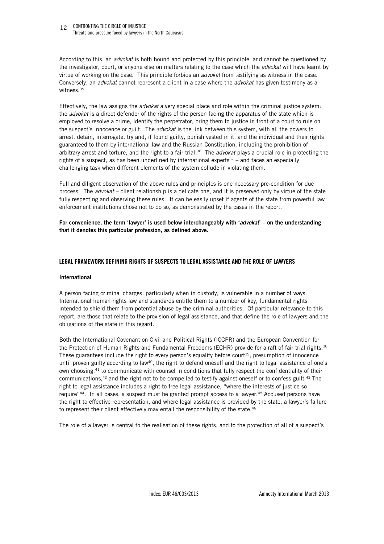#### 12 CONFRONTING THE CIRCLE OF INJUSTICE Threats and pressure faced by lawyers in the North Caucasus

According to this, an *advokat* is both bound and protected by this principle, and cannot be questioned by the investigator, court, or anyone else on matters relating to the case which the *advokat* will have learnt by virtue of working on the case. This principle forbids an *advokat* from testifying as witness in the case. Conversely, an *advokat* cannot represent a client in a case where the *advokat* has given testimony as a witness. $^{35}$ 

Effectively, the law assigns the *advokat* a very special place and role within the criminal justice system: the *advokat* is a direct defender of the rights of the person facing the apparatus of the state which is employed to resolve a crime, identify the perpetrator, bring them to justice in front of a court to rule on the suspect's innocence or guilt. The *advokat* is the link between this system, with all the powers to arrest, detain, interrogate, try and, if found guilty, punish vested in it, and the individual and their rights guaranteed to them by international law and the Russian Constitution, including the prohibition of arbitrary arrest and torture, and the right to a fair trial.<sup>36</sup> The *advokat* plays a crucial role in protecting the rights of a suspect, as has been underlined by international experts $37$  – and faces an especially challenging task when different elements of the system collude in violating them.

Full and diligent observation of the above rules and principles is one necessary pre-condition for due process. The *advokat* – client relationship is a delicate one, and it is preserved only by virtue of the state fully respecting and observing these rules. It can be easily upset if agents of the state from powerful law enforcement institutions chose not to do so, as demonstrated by the cases in the report.

**For convenience, the term 'lawyer' is used below interchangeably with '***advokat***' – on the understanding that it denotes this particular profession, as defined above.** 

#### **LEGAL FRAMEWORK DEFINING RIGHTS OF SUSPECTS TO LEGAL ASSISTANCE AND THE ROLE OF LAWYERS**

#### **International**

A person facing criminal charges, particularly when in custody, is vulnerable in a number of ways. International human rights law and standards entitle them to a number of key, fundamental rights intended to shield them from potential abuse by the criminal authorities. Of particular relevance to this report, are those that relate to the provision of legal assistance, and that define the role of lawyers and the obligations of the state in this regard.

Both the International Covenant on Civil and Political Rights (ICCPR) and the European Convention for the Protection of Human Rights and Fundamental Freedoms (ECHR) provide for a raft of fair trial rights.<sup>38</sup> These guarantees include the right to every person's equality before court<sup>39</sup>, presumption of innocence until proven guilty according to law<sup>40</sup>, the right to defend oneself and the right to legal assistance of one's own choosing,<sup>41</sup> to communicate with counsel in conditions that fully respect the confidentiality of their communications,<sup>42</sup> and the right not to be compelled to testify against oneself or to confess guilt.<sup>43</sup> The right to legal assistance includes a right to free legal assistance, "where the interests of justice so require"<sup>44</sup>. In all cases, a suspect must be granted prompt access to a lawyer.<sup>45</sup> Accused persons have the right to effective representation, and where legal assistance is provided by the state, a lawyer's failure to represent their client effectively may entail the responsibility of the state.<sup>46</sup>

The role of a lawyer is central to the realisation of these rights, and to the protection of all of a suspect's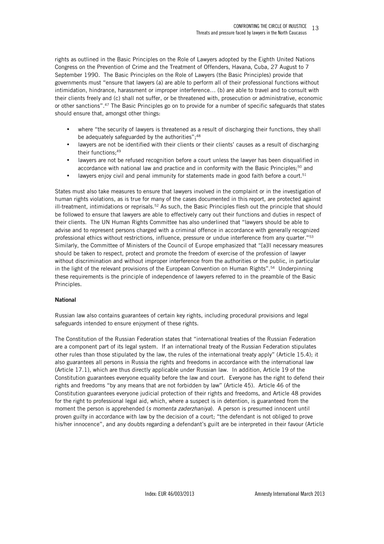rights as outlined in the Basic Principles on the Role of Lawyers adopted by the Eighth United Nations Congress on the Prevention of Crime and the Treatment of Offenders, Havana, Cuba, 27 August to 7 September 1990. The Basic Principles on the Role of Lawyers (the Basic Principles) provide that governments must "ensure that lawyers (a) are able to perform all of their professional functions without intimidation, hindrance, harassment or improper interference… (b) are able to travel and to consult with their clients freely and (c) shall not suffer, or be threatened with, prosecution or administrative, economic or other sanctions".<sup>47</sup> The Basic Principles go on to provide for a number of specific safeguards that states should ensure that, amongst other things:

- where "the security of lawyers is threatened as a result of discharging their functions, they shall be adequately safeguarded by the authorities";<sup>48</sup>
- lawyers are not be identified with their clients or their clients' causes as a result of discharging their functions;<sup>49</sup>
- lawyers are not be refused recognition before a court unless the lawyer has been disqualified in accordance with national law and practice and in conformity with the Basic Principles;<sup>50</sup> and
- lawyers enjoy civil and penal immunity for statements made in good faith before a court.<sup>51</sup>

States must also take measures to ensure that lawyers involved in the complaint or in the investigation of human rights violations, as is true for many of the cases documented in this report, are protected against ill-treatment, intimidations or reprisals.<sup>52</sup> As such, the Basic Principles flesh out the principle that should be followed to ensure that lawyers are able to effectively carry out their functions and duties in respect of their clients. The UN Human Rights Committee has also underlined that "lawyers should be able to advise and to represent persons charged with a criminal offence in accordance with generally recognized professional ethics without restrictions, influence, pressure or undue interference from any quarter."<sup>53</sup> Similarly, the Committee of Ministers of the Council of Europe emphasized that "[a]ll necessary measures should be taken to respect, protect and promote the freedom of exercise of the profession of lawyer without discrimination and without improper interference from the authorities or the public, in particular in the light of the relevant provisions of the European Convention on Human Rights".<sup>54</sup> Underpinning these requirements is the principle of independence of lawyers referred to in the preamble of the Basic Principles.

#### **National**

Russian law also contains guarantees of certain key rights, including procedural provisions and legal safeguards intended to ensure enjoyment of these rights.

The Constitution of the Russian Federation states that "international treaties of the Russian Federation are a component part of its legal system. If an international treaty of the Russian Federation stipulates other rules than those stipulated by the law, the rules of the international treaty apply" (Article 15.4); it also guarantees all persons in Russia the rights and freedoms in accordance with the international law (Article 17.1), which are thus directly applicable under Russian law. In addition, Article 19 of the Constitution guarantees everyone equality before the law and court. Everyone has the right to defend their rights and freedoms "by any means that are not forbidden by law" (Article 45). Article 46 of the Constitution guarantees everyone judicial protection of their rights and freedoms, and Article 48 provides for the right to professional legal aid, which, where a suspect is in detention, is guaranteed from the moment the person is apprehended (*s momenta zaderzhaniya*). A person is presumed innocent until proven guilty in accordance with law by the decision of a court; "the defendant is not obliged to prove his/her innocence", and any doubts regarding a defendant's guilt are be interpreted in their favour (Article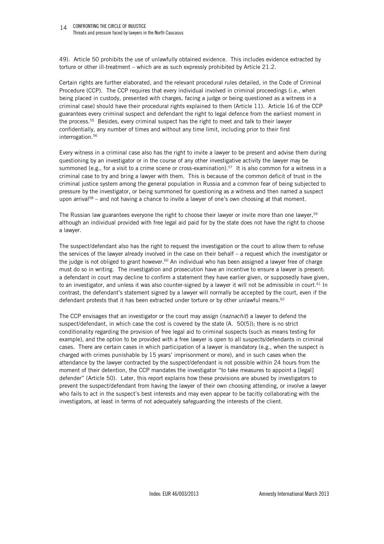#### 14 CONFRONTING THE CIRCLE OF INJUSTICE Threats and pressure faced by lawyers in the North Caucasus

49). Article 50 prohibits the use of unlawfully obtained evidence. This includes evidence extracted by torture or other ill-treatment – which are as such expressly prohibited by Article 21.2.

Certain rights are further elaborated, and the relevant procedural rules detailed, in the Code of Criminal Procedure (CCP). The CCP requires that every individual involved in criminal proceedings (i.e., when being placed in custody, presented with charges, facing a judge or being questioned as a witness in a criminal case) should have their procedural rights explained to them (Article 11). Article 16 of the CCP guarantees every criminal suspect and defendant the right to legal defence from the earliest moment in the process.<sup>55</sup> Besides, every criminal suspect has the right to meet and talk to their lawyer confidentially, any number of times and without any time limit, including prior to their first interrogation.<sup>56</sup>

Every witness in a criminal case also has the right to invite a lawyer to be present and advise them during questioning by an investigator or in the course of any other investigative activity the lawyer may be summoned (e.g., for a visit to a crime scene or cross-examination).<sup>57</sup> It is also common for a witness in a criminal case to try and bring a lawyer with them. This is because of the common deficit of trust in the criminal justice system among the general population in Russia and a common fear of being subjected to pressure by the investigator, or being summoned for questioning as a witness and then named a suspect upon arrival<sup>58</sup> – and not having a chance to invite a lawyer of one's own choosing at that moment.

The Russian law guarantees everyone the right to choose their lawyer or invite more than one lawyer, 59 although an individual provided with free legal aid paid for by the state does not have the right to choose a lawyer.

The suspect/defendant also has the right to request the investigation or the court to allow them to refuse the services of the lawyer already involved in the case on their behalf – a request which the investigator or the judge is not obliged to grant however.<sup>60</sup> An individual who has been assigned a lawyer free of charge must do so in writing. The investigation and prosecution have an incentive to ensure a lawyer is present: a defendant in court may decline to confirm a statement they have earlier given, or supposedly have given, to an investigator, and unless it was also counter-signed by a lawyer it will not be admissible in court.<sup>61</sup> In contrast, the defendant's statement signed by a lawyer will normally be accepted by the court, even if the defendant protests that it has been extracted under torture or by other unlawful means. $62$ 

The CCP envisages that an investigator or the court may assign (*naznachit*) a lawyer to defend the suspect/defendant, in which case the cost is covered by the state (A. 50(5)); there is no strict conditionality regarding the provision of free legal aid to criminal suspects (such as means testing for example), and the option to be provided with a free lawyer is open to all suspects/defendants in criminal cases. There are certain cases in which participation of a lawyer is mandatory (e.g., when the suspect is charged with crimes punishable by 15 years' imprisonment or more), and in such cases when the attendance by the lawyer contracted by the suspect/defendant is not possible within 24 hours from the moment of their detention, the CCP mandates the investigator "to take measures to appoint a [legal] defender" (Article 50). Later, this report explains how these provisions are abused by investigators to prevent the suspect/defendant from having the lawyer of their own choosing attending, or involve a lawyer who fails to act in the suspect's best interests and may even appear to be tacitly collaborating with the investigators, at least in terms of not adequately safeguarding the interests of the client.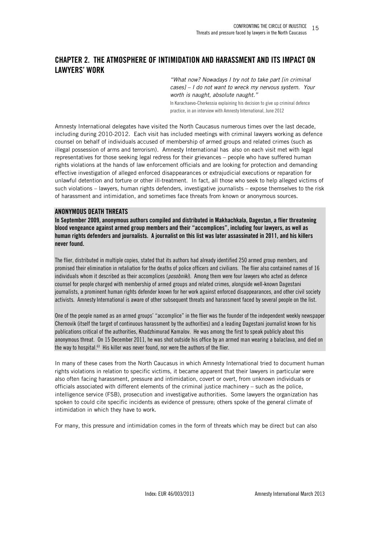# **CHAPTER 2. THE ATMOSPHERE OF INTIMIDATION AND HARASSMENT AND ITS IMPACT ON LAWYERS' WORK**

*"What now? Nowadays I try not to take part [in criminal cases] – I do not want to wreck my nervous system. Your worth is naught, absolute naught."*  In Karachaevo-Cherkessia explaining his decision to give up criminal defence practice, in an interview with Amnesty International, June 2012

Amnesty International delegates have visited the North Caucasus numerous times over the last decade, including during 2010-2012. Each visit has included meetings with criminal lawyers working as defence counsel on behalf of individuals accused of membership of armed groups and related crimes (such as illegal possession of arms and terrorism). Amnesty International has also on each visit met with legal representatives for those seeking legal redress for their grievances – people who have suffered human rights violations at the hands of law enforcement officials and are looking for protection and demanding effective investigation of alleged enforced disappearances or extrajudicial executions or reparation for unlawful detention and torture or other ill-treatment. In fact, all those who seek to help alleged victims of such violations – lawyers, human rights defenders, investigative journalists – expose themselves to the risk of harassment and intimidation, and sometimes face threats from known or anonymous sources.

#### **ANONYMOUS DEATH THREATS**

**In September 2009, anonymous authors compiled and distributed in Makhachkala, Dagestan, a flier threatening blood vengeance against armed group members and their "accomplices", including four lawyers, as well as human rights defenders and journalists. A journalist on this list was later assassinated in 2011, and his killers never found.** 

The flier, distributed in multiple copies, stated that its authors had already identified 250 armed group members, and promised their elimination in retaliation for the deaths of police officers and civilians. The flier also contained names of 16 individuals whom it described as their accomplices (*posobniki*). Among them were four lawyers who acted as defence counsel for people charged with membership of armed groups and related crimes, alongside well-known Dagestani journalists, a prominent human rights defender known for her work against enforced disappearances, and other civil society activists. Amnesty International is aware of other subsequent threats and harassment faced by several people on the list.

One of the people named as an armed groups' "accomplice" in the flier was the founder of the independent weekly newspaper Chernovik (itself the target of continuous harassment by the authorities) and a leading Dagestani journalist known for his publications critical of the authorities, Khadzhimurad Kamalov. He was among the first to speak publicly about this anonymous threat. On 15 December 2011, he was shot outside his office by an armed man wearing a balaclava, and died on the way to hospital. $63$  His killer was never found, nor were the authors of the flier.

In many of these cases from the North Caucasus in which Amnesty International tried to document human rights violations in relation to specific victims, it became apparent that their lawyers in particular were also often facing harassment, pressure and intimidation, covert or overt, from unknown individuals or officials associated with different elements of the criminal justice machinery – such as the police, intelligence service (FSB), prosecution and investigative authorities. Some lawyers the organization has spoken to could cite specific incidents as evidence of pressure; others spoke of the general climate of intimidation in which they have to work.

For many, this pressure and intimidation comes in the form of threats which may be direct but can also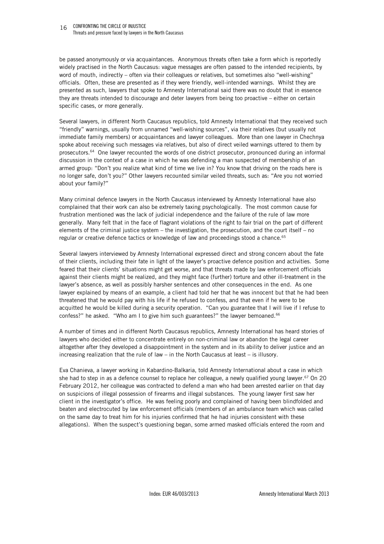#### 16 CONFRONTING THE CIRCLE OF INJUSTICE Threats and pressure faced by lawyers in the North Caucasus

be passed anonymously or via acquaintances. Anonymous threats often take a form which is reportedly widely practised in the North Caucasus: vague messages are often passed to the intended recipients, by word of mouth, indirectly – often via their colleagues or relatives, but sometimes also "well-wishing" officials. Often, these are presented as if they were friendly, well-intended warnings. Whilst they are presented as such, lawyers that spoke to Amnesty International said there was no doubt that in essence they are threats intended to discourage and deter lawyers from being too proactive – either on certain specific cases, or more generally.

Several lawyers, in different North Caucasus republics, told Amnesty International that they received such "friendly" warnings, usually from unnamed "well-wishing sources", via their relatives (but usually not immediate family members) or acquaintances and lawyer colleagues. More than one lawyer in Chechnya spoke about receiving such messages via relatives, but also of direct veiled warnings uttered to them by prosecutors.<sup>64</sup> One lawyer recounted the words of one district prosecutor, pronounced during an informal discussion in the context of a case in which he was defending a man suspected of membership of an armed group: "Don't you realize what kind of time we live in? You know that driving on the roads here is no longer safe, don't you?" Other lawyers recounted similar veiled threats, such as: "Are you not worried about your family?"

Many criminal defence lawyers in the North Caucasus interviewed by Amnesty International have also complained that their work can also be extremely taxing psychologically. The most common cause for frustration mentioned was the lack of judicial independence and the failure of the rule of law more generally. Many felt that in the face of flagrant violations of the right to fair trial on the part of different elements of the criminal justice system – the investigation, the prosecution, and the court itself – no regular or creative defence tactics or knowledge of law and proceedings stood a chance.<sup>65</sup>

Several lawyers interviewed by Amnesty International expressed direct and strong concern about the fate of their clients, including their fate in light of the lawyer's proactive defence position and activities. Some feared that their clients' situations might get worse, and that threats made by law enforcement officials against their clients might be realized, and they might face (further) torture and other ill-treatment in the lawyer's absence, as well as possibly harsher sentences and other consequences in the end. As one lawyer explained by means of an example, a client had told her that he was innocent but that he had been threatened that he would pay with his life if he refused to confess, and that even if he were to be acquitted he would be killed during a security operation. "Can you guarantee that I will live if I refuse to confess?" he asked. "Who am I to give him such guarantees?" the lawyer bemoaned.<sup>66</sup>

A number of times and in different North Caucasus republics, Amnesty International has heard stories of lawyers who decided either to concentrate entirely on non-criminal law or abandon the legal career altogether after they developed a disappointment in the system and in its ability to deliver justice and an increasing realization that the rule of law – in the North Caucasus at least – is illusory.

Eva Chanieva, a lawyer working in Kabardino-Balkaria, told Amnesty International about a case in which she had to step in as a defence counsel to replace her colleague, a newly qualified young lawyer.<sup>67</sup> On 20 February 2012, her colleague was contracted to defend a man who had been arrested earlier on that day on suspicions of illegal possession of firearms and illegal substances. The young lawyer first saw her client in the investigator's office. He was feeling poorly and complained of having been blindfolded and beaten and electrocuted by law enforcement officials (members of an ambulance team which was called on the same day to treat him for his injuries confirmed that he had injuries consistent with these allegations). When the suspect's questioning began, some armed masked officials entered the room and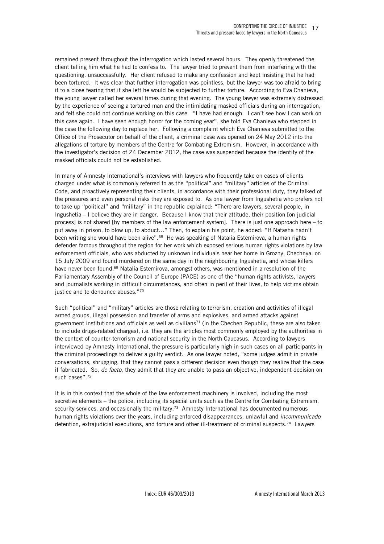remained present throughout the interrogation which lasted several hours. They openly threatened the client telling him what he had to confess to. The lawyer tried to prevent them from interfering with the questioning, unsuccessfully. Her client refused to make any confession and kept insisting that he had been tortured. It was clear that further interrogation was pointless, but the lawyer was too afraid to bring it to a close fearing that if she left he would be subjected to further torture. According to Eva Chanieva, the young lawyer called her several times during that evening. The young lawyer was extremely distressed by the experience of seeing a tortured man and the intimidating masked officials during an interrogation, and felt she could not continue working on this case. "I have had enough. I can't see how I can work on this case again. I have seen enough horror for the coming year", she told Eva Chanieva who stepped in the case the following day to replace her. Following a complaint which Eva Chanieva submitted to the Office of the Prosecutor on behalf of the client, a criminal case was opened on 24 May 2012 into the allegations of torture by members of the Centre for Combating Extremism. However, in accordance with the investigator's decision of 24 December 2012, the case was suspended because the identity of the masked officials could not be established.

In many of Amnesty International's interviews with lawyers who frequently take on cases of clients charged under what is commonly referred to as the "political" and "military" articles of the Criminal Code, and proactively representing their clients, in accordance with their professional duty, they talked of the pressures and even personal risks they are exposed to. As one lawyer from Ingushetia who prefers not to take up "political" and "military" in the republic explained: "There are lawyers, several people, in Ingushetia – I believe they are in danger. Because I know that their attitude, their position [on judicial process] is not shared [by members of the law enforcement system]. There is just one approach here – to put away in prison, to blow up, to abduct…" Then, to explain his point, he added: "If Natasha hadn't been writing she would have been alive".<sup>68</sup> He was speaking of Natalia Estemirova, a human rights defender famous throughout the region for her work which exposed serious human rights violations by law enforcement officials, who was abducted by unknown individuals near her home in Grozny, Chechnya, on 15 July 2009 and found murdered on the same day in the neighbouring Ingushetia, and whose killers have never been found.<sup>69</sup> Natalia Estemirova, amongst others, was mentioned in a resolution of the Parliamentary Assembly of the Council of Europe (PACE) as one of the "human rights activists, lawyers and journalists working in difficult circumstances, and often in peril of their lives, to help victims obtain justice and to denounce abuses."70

Such "political" and "military" articles are those relating to terrorism, creation and activities of illegal armed groups, illegal possession and transfer of arms and explosives, and armed attacks against government institutions and officials as well as civilians<sup>71</sup> (in the Chechen Republic, these are also taken to include drugs-related charges), i.e. they are the articles most commonly employed by the authorities in the context of counter-terrorism and national security in the North Caucasus. According to lawyers interviewed by Amnesty International, the pressure is particularly high in such cases on all participants in the criminal proceedings to deliver a guilty verdict. As one lawyer noted, "some judges admit in private conversations, shrugging, that they cannot pass a different decision even though they realize that the case if fabricated. So, *de facto*, they admit that they are unable to pass an objective, independent decision on such cases".<sup>72</sup>

It is in this context that the whole of the law enforcement machinery is involved, including the most secretive elements – the police, including its special units such as the Centre for Combating Extremism, security services, and occasionally the military.<sup>73</sup> Amnesty International has documented numerous human rights violations over the years, including enforced disappearances, unlawful and *incommunicado*  detention, extrajudicial executions, and torture and other ill-treatment of criminal suspects.74 Lawyers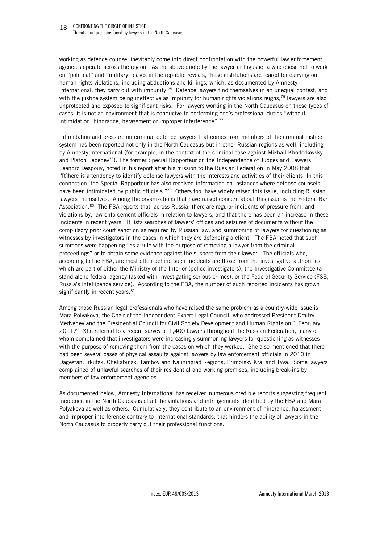working as defence counsel inevitably come into direct confrontation with the powerful law enforcement agencies operate across the region. As the above quote by the lawyer in Ingushetia who chose not to work on "political" and "military" cases in the republic reveals, these institutions are feared for carrying out human rights violations, including abductions and killings, which, as documented by Amnesty International, they carry out with impunity.<sup>75</sup> Defence lawyers find themselves in an unequal contest, and with the justice system being ineffective as impunity for human rights violations reigns,<sup>76</sup> lawyers are also unprotected and exposed to significant risks. For lawyers working in the North Caucasus on these types of cases, it is not an environment that is conducive to performing one's professional duties "without intimidation, hindrance, harassment or improper interference".<sup>77</sup>

Intimidation and pressure on criminal defence lawyers that comes from members of the criminal justice system has been reported not only in the North Caucasus but in other Russian regions as well, including by Amnesty International (for example, in the context of the criminal case against Mikhail Khodorkovsky and Platon Lebedev<sup>78</sup>). The former Special Rapporteur on the Independence of Judges and Lawyers, Leandro Despouy, noted in his report after his mission to the Russian Federation in May 2008 that "[t]here is a tendency to identify defense lawyers with the interests and activities of their clients. In this connection, the Special Rapporteur has also received information on instances where defense counsels have been intimidated by public officials."<sup>79</sup> Others too, have widely raised this issue, including Russian lawyers themselves. Among the organizations that have raised concern about this issue is the Federal Bar Association.<sup>80</sup> The FBA reports that, across Russia, there are regular incidents of pressure from, and violations by, law enforcement officials in relation to lawyers, and that there has been an increase in these incidents in recent years. It lists searches of lawyers' offices and seizures of documents without the compulsory prior court sanction as required by Russian law, and summoning of lawyers for questioning as witnesses by investigators in the cases in which they are defending a client. The FBA noted that such summons were happening "as a rule with the purpose of removing a lawyer from the criminal proceedings" or to obtain some evidence against the suspect from their lawyer. The officials who, according to the FBA, are most often behind such incidents are those from the investigative authorities which are part of either the Ministry of the Interior (police investigators), the Investigative Committee (a stand-alone federal agency tasked with investigating serious crimes), or the Federal Security Service (FSB, Russia's intelligence service). According to the FBA, the number of such reported incidents has grown significantly in recent years.<sup>81</sup>

Among those Russian legal professionals who have raised the same problem as a country-wide issue is Mara Polyakova, the Chair of the Independent Expert Legal Council, who addressed President Dmitry Medvedev and the Presidential Council for Civil Society Development and Human Rights on 1 February  $2011.^{82}$  She referred to a recent survey of 1,400 lawyers throughout the Russian Federation, many of whom complained that investigators were increasingly summoning lawyers for questioning as witnesses with the purpose of removing them from the cases on which they worked. She also mentioned that there had been several cases of physical assaults against lawyers by law enforcement officials in 2010 in Dagestan, Irkutsk, Cheliabinsk, Tambov and Kaliningrad Regions, Primorsky Krai and Tyva. Some lawyers complained of unlawful searches of their residential and working premises, including break-ins by members of law enforcement agencies.

As documented below, Amnesty International has received numerous credible reports suggesting frequent incidence in the North Caucasus of all the violations and infringements identified by the FBA and Mara Polyakova as well as others. Cumulatively, they contribute to an environment of hindrance, harassment and improper interference contrary to international standards, that hinders the ability of lawyers in the North Caucasus to properly carry out their professional functions.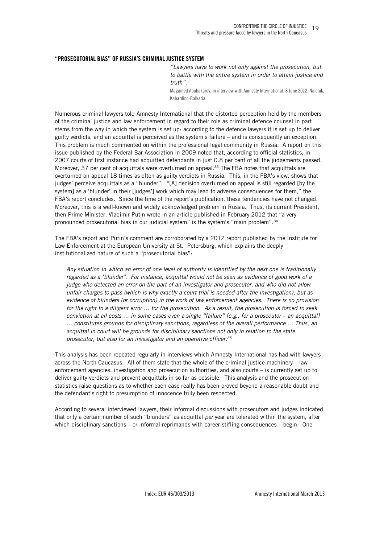#### **"PROSECUTORIAL BIAS" OF RUSSIA'S CRIMINAL JUSTICE SYSTEM**

*"Lawyers have to work not only against the prosecution, but to battle with the entire system in order to attain justice and truth".* 

Magamed Abubakarov, in interview with Amnesty International, 8 June 2012, Nalchik, Kabardino-Balkaria

Numerous criminal lawyers told Amnesty International that the distorted perception held by the members of the criminal justice and law enforcement in regard to their role as criminal defence counsel in part stems from the way in which the system is set up: according to the defence lawyers it is set up to deliver guilty verdicts, and an acquittal is perceived as the system's failure – and is consequently an exception. This problem is much commented on within the professional legal community in Russia. A report on this issue published by the Federal Bar Association in 2009 noted that, according to official statistics, in 2007 courts of first instance had acquitted defendants in just 0.8 per cent of all the judgements passed. Moreover, 37 per cent of acquittals were overturned on appeal.<sup>83</sup> The FBA notes that acquittals are overturned on appeal 18 times as often as guilty verdicts in Russia. This, in the FBA's view, shows that judges' perceive acquittals as a "blunder". "[A] decision overturned on appeal is still regarded [by the system] as a 'blunder' in their [judges'] work which may lead to adverse consequences for them," the FBA's report concludes. Since the time of the report's publication, these tendencies have not changed. Moreover, this is a well-known and widely acknowledged problem in Russia. Thus, its current President, then Prime Minister, Vladimir Putin wrote in an article published in February 2012 that "a very pronounced prosecutorial bias in our judicial system" is the system's "main problem". 84

The FBA's report and Putin's comment are corroborated by a 2012 report published by the Institute for Law Enforcement at the European University at St. Petersburg, which explains the deeply institutionalized nature of such a "prosecutorial bias":

*Any situation in which an error of one level of authority is identified by the next one is traditionally regarded as a "blunder". For instance, acquittal would not be seen as evidence of good work of a judge who detected an error on the part of an investigator and prosecutor, and who did not allow unfair charges to pass (which is why exactly a court trial is needed after the investigation), but as evidence of blunders (or corruption) in the work of law enforcement agencies. There is no provision for the right to a diligent error … for the prosecution. As a result, the prosecution is forced to seek conviction at all costs … in some cases even a single "failure" [e.g., for a prosecutor – an acquittal] … constitutes grounds for disciplinary sanctions, regardless of the overall performance … Thus, an acquittal in court will be grounds for disciplinary sanctions not only in relation to the state prosecutor, but also for an investigator and an operative officer.<sup>85</sup>*

This analysis has been repeated regularly in interviews which Amnesty International has had with lawyers across the North Caucasus. All of them state that the whole of the criminal justice machinery – law enforcement agencies, investigation and prosecution authorities, and also courts – is currently set up to deliver guilty verdicts and prevent acquittals in so far as possible. This analysis and the prosecution statistics raise questions as to whether each case really has been proved beyond a reasonable doubt and the defendant's right to presumption of innocence truly been respected.

According to several interviewed lawyers, their informal discussions with prosecutors and judges indicated that only a certain number of such "blunders" as acquittal *per* year are tolerated within the system, after which disciplinary sanctions – or informal reprimands with career-stifling consequences – begin. One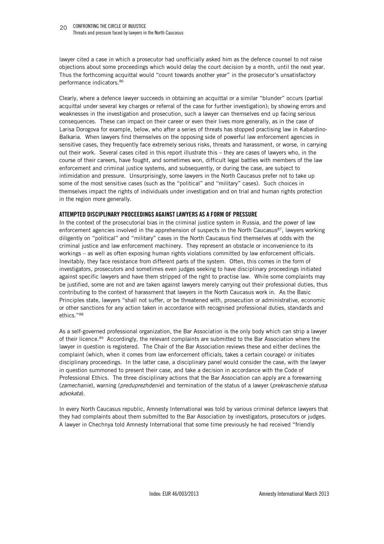lawyer cited a case in which a prosecutor had unofficially asked him as the defence counsel to not raise objections about some proceedings which would delay the court decision by a month, until the next year. Thus the forthcoming acquittal would "count towards another year" in the prosecutor's unsatisfactory performance indicators.<sup>86</sup>

Clearly, where a defence lawyer succeeds in obtaining an acquittal or a similar "blunder" occurs (partial acquittal under several key charges or referral of the case for further investigation); by showing errors and weaknesses in the investigation and prosecution, such a lawyer can themselves end up facing serious consequences. These can impact on their career or even their lives more generally, as in the case of Larisa Dorogova for example, below, who after a series of threats has stopped practising law in Kabardino-Balkaria. When lawyers find themselves on the opposing side of powerful law enforcement agencies in sensitive cases, they frequently face extremely serious risks, threats and harassment, or worse, in carrying out their work. Several cases cited in this report illustrate this – they are cases of lawyers who, in the course of their careers, have fought, and sometimes won, difficult legal battles with members of the law enforcement and criminal justice systems, and subsequently, or during the case, are subject to intimidation and pressure. Unsurprisingly, some lawyers in the North Caucasus prefer not to take up some of the most sensitive cases (such as the "political" and "military" cases). Such choices in themselves impact the rights of individuals under investigation and on trial and human rights protection in the region more generally.

#### **ATTEMPTED DISCIPLINARY PROCEEDINGS AGAINST LAWYERS AS A FORM OF PRESSURE**

In the context of the prosecutorial bias in the criminal justice system in Russia, and the power of law enforcement agencies involved in the apprehension of suspects in the North Caucasus<sup>87</sup>, lawyers working diligently on "political" and "military" cases in the North Caucasus find themselves at odds with the criminal justice and law enforcement machinery. They represent an obstacle or inconvenience to its workings – as well as often exposing human rights violations committed by law enforcement officials. Inevitably, they face resistance from different parts of the system. Often, this comes in the form of investigators, prosecutors and sometimes even judges seeking to have disciplinary proceedings initiated against specific lawyers and have them stripped of the right to practise law. While some complaints may be justified, some are not and are taken against lawyers merely carrying out their professional duties, thus contributing to the context of harassment that lawyers in the North Caucasus work in. As the Basic Principles state, lawyers "shall not suffer, or be threatened with, prosecution or administrative, economic or other sanctions for any action taken in accordance with recognised professional duties, standards and ethics."<sup>88</sup>

As a self-governed professional organization, the Bar Association is the only body which can strip a lawyer of their licence.<sup>89</sup> Accordingly, the relevant complaints are submitted to the Bar Association where the lawyer in question is registered. The Chair of the Bar Association reviews these and either declines the complaint (which, when it comes from law enforcement officials, takes a certain courage) or initiates disciplinary proceedings. In the latter case, a disciplinary panel would consider the case, with the lawyer in question summoned to present their case, and take a decision in accordance with the Code of Professional Ethics. The three disciplinary actions that the Bar Association can apply are a forewarning (*zamechanie*), warning (*preduprezhdenie*) and termination of the status of a lawyer (*prekraschenie statusa advokata*).

In every North Caucasus republic, Amnesty International was told by various criminal defence lawyers that they had complaints about them submitted to the Bar Association by investigators, prosecutors or judges. A lawyer in Chechnya told Amnesty International that some time previously he had received "friendly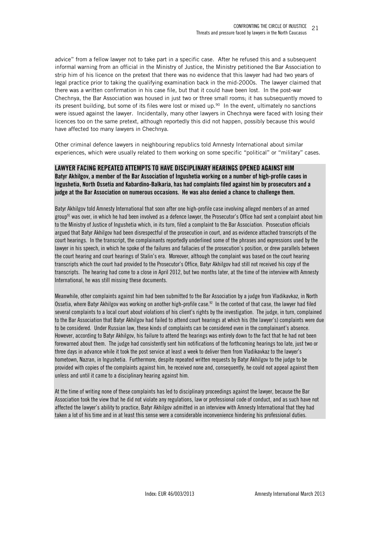advice" from a fellow lawyer not to take part in a specific case. After he refused this and a subsequent informal warning from an official in the Ministry of Justice, the Ministry petitioned the Bar Association to strip him of his licence on the pretext that there was no evidence that this lawyer had had two years of legal practice prior to taking the qualifying examination back in the mid-2000s. The lawyer claimed that there was a written confirmation in his case file, but that it could have been lost. In the post-war Chechnya, the Bar Association was housed in just two or three small rooms; it has subsequently moved to its present building, but some of its files were lost or mixed up. $90$  In the event, ultimately no sanctions were issued against the lawyer. Incidentally, many other lawyers in Chechnya were faced with losing their licences too on the same pretext, although reportedly this did not happen, possibly because this would have affected too many lawyers in Chechnya.

Other criminal defence lawyers in neighbouring republics told Amnesty International about similar experiences, which were usually related to them working on some specific "political" or "military" cases.

# **LAWYER FACING REPEATED ATTEMPTS TO HAVE DISCIPLINARY HEARINGS OPENED AGAINST HIM**

**Batyr Akhilgov, a member of the Bar Association of Ingushetia working on a number of high-profile cases in Ingushetia, North Ossetia and Kabardino-Balkaria, has had complaints filed against him by prosecutors and a judge at the Bar Association on numerous occasions. He was also denied a chance to challenge them.** 

Batyr Akhilgov told Amnesty International that soon after one high-profile case involving alleged members of an armed  $group<sup>91</sup>$  was over, in which he had been involved as a defence lawyer, the Prosecutor's Office had sent a complaint about him to the Ministry of Justice of Ingushetia which, in its turn, filed a complaint to the Bar Association. Prosecution officials argued that Batyr Akhilgov had been disrespectful of the prosecution in court, and as evidence attached transcripts of the court hearings. In the transcript, the complainants reportedly underlined some of the phrases and expressions used by the lawyer in his speech, in which he spoke of the failures and fallacies of the prosecution's position, or drew parallels between the court hearing and court hearings of Stalin's era. Moreover, although the complaint was based on the court hearing transcripts which the court had provided to the Prosecutor's Office, Batyr Akhilgov had still not received his copy of the transcripts. The hearing had come to a close in April 2012, but two months later, at the time of the interview with Amnesty International, he was still missing these documents.

Meanwhile, other complaints against him had been submitted to the Bar Association by a judge from Vladikavkaz, in North Ossetia, where Batyr Akhilgov was working on another high-profile case.<sup>92</sup> In the context of that case, the lawyer had filed several complaints to a local court about violations of his client's rights by the investigation. The judge, in turn, complained to the Bar Association that Batyr Akhilgov had failed to attend court hearings at which his (the lawyer's) complaints were due to be considered. Under Russian law, these kinds of complaints can be considered even in the complainant's absence. However, according to Batyr Akhilgov, his failure to attend the hearings was entirely down to the fact that he had not been forewarned about them. The judge had consistently sent him notifications of the forthcoming hearings too late, just two or three days in advance while it took the post service at least a week to deliver them from Vladikavkaz to the lawyer's hometown, Nazran, in Ingushetia. Furthermore, despite repeated written requests by Batyr Akhilgov to the judge to be provided with copies of the complaints against him, he received none and, consequently, he could not appeal against them unless and until it came to a disciplinary hearing against him.

At the time of writing none of these complaints has led to disciplinary proceedings against the lawyer, because the Bar Association took the view that he did not violate any regulations, law or professional code of conduct, and as such have not affected the lawyer's ability to practice, Batyr Akhilgov admitted in an interview with Amnesty International that they had taken a lot of his time and in at least this sense were a considerable inconvenience hindering his professional duties.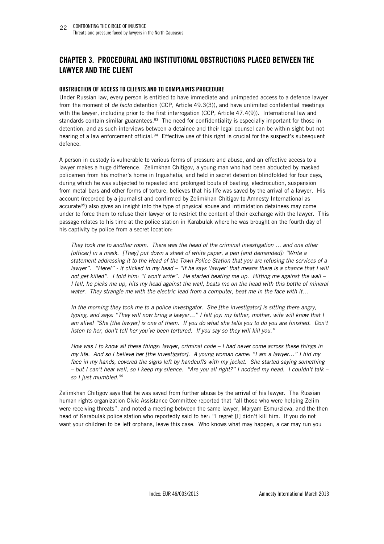# **CHAPTER 3. PROCEDURAL AND INSTITUTIONAL OBSTRUCTIONS PLACED BETWEEN THE LAWYER AND THE CLIENT**

#### **OBSTRUCTION OF ACCESS TO CLIENTS AND TO COMPLAINTS PROCEDURE**

Under Russian law, every person is entitled to have immediate and unimpeded access to a defence lawyer from the moment of *de facto* detention (CCP, Article 49.3(3)), and have unlimited confidential meetings with the lawyer, including prior to the first interrogation (CCP, Article 47.4(9)). International law and standards contain similar guarantees.<sup>93</sup> The need for confidentiality is especially important for those in detention, and as such interviews between a detainee and their legal counsel can be within sight but not hearing of a law enforcement official.<sup>94</sup> Effective use of this right is crucial for the suspect's subsequent defence.

A person in custody is vulnerable to various forms of pressure and abuse, and an effective access to a lawyer makes a huge difference. Zelimkhan Chitigov, a young man who had been abducted by masked policemen from his mother's home in Ingushetia, and held in secret detention blindfolded for four days, during which he was subjected to repeated and prolonged bouts of beating, electrocution, suspension from metal bars and other forms of torture, believes that his life was saved by the arrival of a lawyer. His account (recorded by a journalist and confirmed by Zelimkhan Chitigov to Amnesty International as accurate<sup>95</sup>) also gives an insight into the type of physical abuse and intimidation detainees may come under to force them to refuse their lawyer or to restrict the content of their exchange with the lawyer. This passage relates to his time at the police station in Karabulak where he was brought on the fourth day of his captivity by police from a secret location:

*They took me to another room. There was the head of the criminal investigation … and one other [officer] in a mask. [They] put down a sheet of white paper, a pen [and demanded]: "Write a statement addressing it to the Head of the Town Police Station that you are refusing the services of a lawyer".* "Here!" - it clicked in my head – "if he says 'lawyer' that means there is a chance that I will *not get killed". I told him: "I won't write". He started beating me up. Hitting me against the wall – I fall, he picks me up, hits my head against the wall, beats me on the head with this bottle of mineral water. They strangle me with the electric lead from a computer, beat me in the face with it…* 

*In the morning they took me to a police investigator. She [the investigator] is sitting there angry, typing, and says: "They will now bring a lawyer…" I felt joy: my father, mother, wife will know that I*  am alive! "She [the lawyer] is one of them. If you do what she tells you to do you are finished. Don't *listen to her, don't tell her you've been tortured. If you say so they will kill you."* 

*How was I to know all these things: lawyer, criminal code – I had never come across these things in my life. And so I believe her [the investigator]. A young woman came: "I am a lawyer…" I hid my*  face in my hands, covered the signs left by handcuffs with my jacket. She started saying something *– but I can't hear well, so I keep my silence. "Are you all right?" I nodded my head. I couldn't talk – so I just mumbled.<sup>96</sup>* 

Zelimkhan Chitigov says that he was saved from further abuse by the arrival of his lawyer. The Russian human rights organization Civic Assistance Committee reported that "all those who were helping Zelim were receiving threats", and noted a meeting between the same lawyer, Maryam Esmurzieva, and the then head of Karabulak police station who reportedly said to her: "I regret [I] didn't kill him. If you do not want your children to be left orphans, leave this case. Who knows what may happen, a car may run you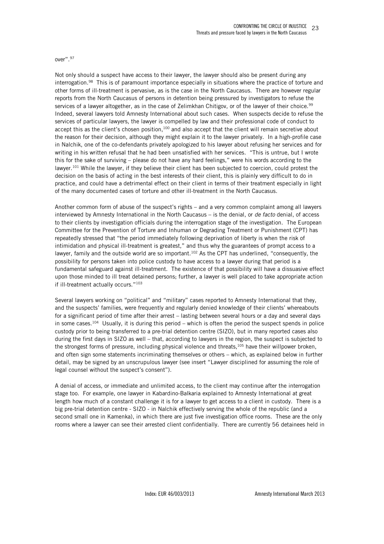#### over".<sup>97</sup>

Not only should a suspect have access to their lawyer, the lawyer should also be present during any interrogation.<sup>98</sup> This is of paramount importance especially in situations where the practice of torture and other forms of ill-treatment is pervasive, as is the case in the North Caucasus. There are however regular reports from the North Caucasus of persons in detention being pressured by investigators to refuse the services of a lawyer altogether, as in the case of Zelimkhan Chitigov, or of the lawyer of their choice.<sup>99</sup> Indeed, several lawyers told Amnesty International about such cases. When suspects decide to refuse the services of particular lawyers, the lawyer is compelled by law and their professional code of conduct to accept this as the client's chosen position, $100$  and also accept that the client will remain secretive about the reason for their decision, although they might explain it to the lawyer privately. In a high-profile case in Nalchik, one of the co-defendants privately apologized to his lawyer about refusing her services and for writing in his written refusal that he had been unsatisfied with her services. "This is untrue, but I wrote this for the sake of surviving – please do not have any hard feelings," were his words according to the lawyer.<sup>101</sup> While the lawyer, if they believe their client has been subjected to coercion, could protest the decision on the basis of acting in the best interests of their client, this is plainly very difficult to do in practice, and could have a detrimental effect on their client in terms of their treatment especially in light of the many documented cases of torture and other ill-treatment in the North Caucasus.

Another common form of abuse of the suspect's rights – and a very common complaint among all lawyers interviewed by Amnesty International in the North Caucasus – is the denial, or *de facto* denial, of access to their clients by investigation officials during the interrogation stage of the investigation. The European Committee for the Prevention of Torture and Inhuman or Degrading Treatment or Punishment (CPT) has repeatedly stressed that "the period immediately following deprivation of liberty is when the risk of intimidation and physical ill-treatment is greatest," and thus why the guarantees of prompt access to a lawyer, family and the outside world are so important.<sup>102</sup> As the CPT has underlined, "consequently, the possibility for persons taken into police custody to have access to a lawyer during that period is a fundamental safeguard against ill-treatment. The existence of that possibility will have a dissuasive effect upon those minded to ill treat detained persons; further, a lawyer is well placed to take appropriate action if ill-treatment actually occurs."<sup>103</sup>

Several lawyers working on "political" and "military" cases reported to Amnesty International that they, and the suspects' families, were frequently and regularly denied knowledge of their clients' whereabouts for a significant period of time after their arrest – lasting between several hours or a day and several days in some cases.<sup>104</sup> Usually, it is during this period – which is often the period the suspect spends in police custody prior to being transferred to a pre-trial detention centre (SIZO), but in many reported cases also during the first days in SIZO as well – that, according to lawyers in the region, the suspect is subjected to the strongest forms of pressure, including physical violence and threats,<sup>105</sup> have their willpower broken, and often sign some statements incriminating themselves or others – which, as explained below in further detail, may be signed by an unscrupulous lawyer (see insert "Lawyer disciplined for assuming the role of legal counsel without the suspect's consent").

A denial of access, or immediate and unlimited access, to the client may continue after the interrogation stage too. For example, one lawyer in Kabardino-Balkaria explained to Amnesty International at great length how much of a constant challenge it is for a lawyer to get access to a client in custody. There is a big pre-trial detention centre - SIZO - in Nalchik effectively serving the whole of the republic (and a second small one in Kamenka), in which there are just five investigation office rooms. These are the only rooms where a lawyer can see their arrested client confidentially. There are currently 56 detainees held in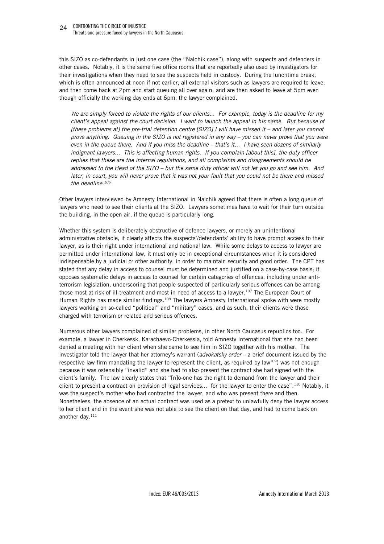this SIZO as co-defendants in just one case (the "Nalchik case"), along with suspects and defenders in other cases. Notably, it is the same five office rooms that are reportedly also used by investigators for their investigations when they need to see the suspects held in custody. During the lunchtime break, which is often announced at noon if not earlier, all external visitors such as lawyers are required to leave, and then come back at 2pm and start queuing all over again, and are then asked to leave at 5pm even though officially the working day ends at 6pm, the lawyer complained.

*We are simply forced to violate the rights of our clients... For example, today is the deadline for my client's appeal against the court decision. I want to launch the appeal in his name. But because of [these problems at] the pre-trial detention centre [SIZO] I will have missed it – and later you cannot prove anything. Queuing in the SIZO is not registered in any way – you can never prove that you were even in the queue there. And if you miss the deadline – that's it... I have seen dozens of similarly indignant lawyers... This is affecting human rights. If you complain [about this], the duty officer replies that these are the internal regulations, and all complaints and disagreements should be addressed to the Head of the SIZO – but the same duty officer will not let you go and see him. And later, in court, you will never prove that it was not your fault that you could not be there and missed the deadline.<sup>106</sup>* 

Other lawyers interviewed by Amnesty International in Nalchik agreed that there is often a long queue of lawyers who need to see their clients at the SIZO. Lawyers sometimes have to wait for their turn outside the building, in the open air, if the queue is particularly long.

Whether this system is deliberately obstructive of defence lawyers, or merely an unintentional administrative obstacle, it clearly affects the suspects'/defendants' ability to have prompt access to their lawyer, as is their right under international and national law. While some delays to access to lawyer are permitted under international law, it must only be in exceptional circumstances when it is considered indispensable by a judicial or other authority, in order to maintain security and good order. The CPT has stated that any delay in access to counsel must be determined and justified on a case-by-case basis; it opposes systematic delays in access to counsel for certain categories of offences, including under antiterrorism legislation, underscoring that people suspected of particularly serious offences can be among those most at risk of ill-treatment and most in need of access to a lawyer.<sup>107</sup> The European Court of Human Rights has made similar findings.<sup>108</sup> The lawyers Amnesty International spoke with were mostly lawyers working on so-called "political" and "military" cases, and as such, their clients were those charged with terrorism or related and serious offences.

Numerous other lawyers complained of similar problems, in other North Caucasus republics too. For example, a lawyer in Cherkessk, Karachaevo-Cherkessia, told Amnesty International that she had been denied a meeting with her client when she came to see him in SIZO together with his mother. The investigator told the lawyer that her attorney's warrant (*advokatsky order* – a brief document issued by the respective law firm mandating the lawyer to represent the client, as required by law<sup>109</sup>) was not enough because it was ostensibly "invalid" and she had to also present the contract she had signed with the client's family. The law clearly states that "[n]o-one has the right to demand from the lawyer and their client to present a contract on provision of legal services... for the lawyer to enter the case".<sup>110</sup> Notably, it was the suspect's mother who had contracted the lawyer, and who was present there and then. Nonetheless, the absence of an actual contract was used as a pretext to unlawfully deny the lawyer access to her client and in the event she was not able to see the client on that day, and had to come back on another day.<sup>111</sup>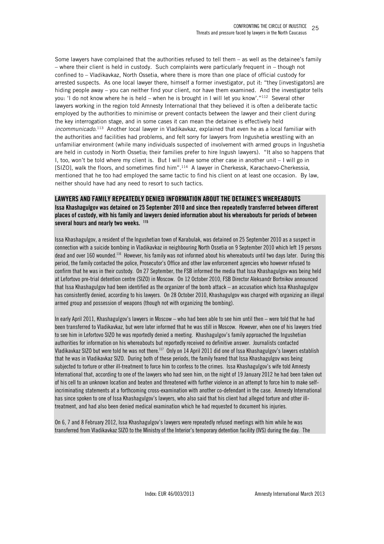Some lawyers have complained that the authorities refused to tell them  $-$  as well as the detainee's family – where their client is held in custody. Such complaints were particularly frequent in – though not confined to – Vladikavkaz, North Ossetia, where there is more than one place of official custody for arrested suspects. As one local lawyer there, himself a former investigator, put it: "they [investigators] are hiding people away – you can neither find your client, nor have them examined. And the investigator tells you: 'I do not know where he is held – when he is brought in I will let you know'."<sup>112</sup> Several other lawyers working in the region told Amnesty International that they believed it is often a deliberate tactic employed by the authorities to minimise or prevent contacts between the lawyer and their client during the key interrogation stage, and in some cases it can mean the detainee is effectively held *incommunicado*. <sup>113</sup> Another local lawyer in Vladikavkaz, explained that even he as a local familiar with the authorities and facilities had problems, and felt sorry for lawyers from Ingushetia wrestling with an unfamiliar environment (while many individuals suspected of involvement with armed groups in Ingushetia are held in custody in North Ossetia; their families prefer to hire Ingush lawyers). "It also so happens that I, too, won't be told where my client is. But I will have some other case in another unit – I will go in [SIZO], walk the floors, and sometimes find him".<sup>114</sup> A lawyer in Cherkessk, Karachaevo-Cherkessia, mentioned that he too had employed the same tactic to find his client on at least one occasion. By law, neither should have had any need to resort to such tactics.

#### **LAWYERS AND FAMILY REPEATEDLY DENIED INFORMATION ABOUT THE DETAINEE'S WHEREABOUTS**

**Issa Khashagulgov was detained on 25 September 2010 and since then repeatedly transferred between different places of custody, with his family and lawyers denied information about his whereabouts for periods of between several hours and nearly two weeks. <sup>115</sup>** 

Issa Khashagulgov, a resident of the Ingushetian town of Karabulak, was detained on 25 September 2010 as a suspect in connection with a suicide bombing in Vladikavkaz in neighbouring North Ossetia on 9 September 2010 which left 19 persons dead and over 160 wounded.<sup>116</sup> However, his family was not informed about his whereabouts until two days later. During this period, the family contacted the police, Prosecutor's Office and other law enforcement agencies who however refused to confirm that he was in their custody. On 27 September, the FSB informed the media that Issa Khashagulgov was being held at Lefortovo pre-trial detention centre (SIZO) in Moscow. On 12 October 2010, FSB Director Aleksandr Bortnikov announced that Issa Khashagulgov had been identified as the organizer of the bomb attack – an accusation which Issa Khashagulgov has consistently denied, according to his lawyers. On 28 October 2010, Khashagulgov was charged with organizing an illegal armed group and possession of weapons (though not with organizing the bombing).

In early April 2011, Khashagulgov's lawyers in Moscow – who had been able to see him until then – were told that he had been transferred to Vladikavkaz, but were later informed that he was still in Moscow. However, when one of his lawyers tried to see him in Lefortovo SIZO he was reportedly denied a meeting. Khashagulgov's family approached the Ingushetian authorities for information on his whereabouts but reportedly received no definitive answer. Journalists contacted Vladikavkaz SIZO but were told he was not there.<sup>117</sup> Only on 14 April 2011 did one of Issa Khashagulgov's lawyers establish that he was in Vladikavkaz SIZO. During both of these periods, the family feared that Issa Khashagulgov was being subjected to torture or other ill-treatment to force him to confess to the crimes. Issa Khashagulgov's wife told Amnesty International that, according to one of the lawyers who had seen him, on the night of 19 January 2012 he had been taken out of his cell to an unknown location and beaten and threatened with further violence in an attempt to force him to make selfincriminating statements at a forthcoming cross-examination with another co-defendant in the case. Amnesty International has since spoken to one of Issa Khashagulgov's lawyers, who also said that his client had alleged torture and other illtreatment, and had also been denied medical examination which he had requested to document his injuries.

On 6, 7 and 8 February 2012, Issa Khashagulgov's lawyers were repeatedly refused meetings with him while he was transferred from Vladikavkaz SIZO to the Ministry of the Interior's temporary detention facility (IVS) during the day. The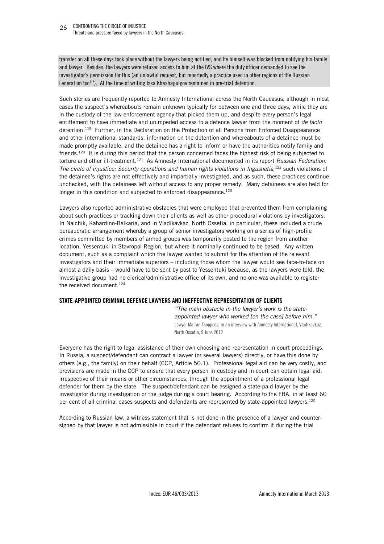transfer on all these days took place without the lawyers being notified, and he himself was blocked from notifying his family and lawyer. Besides, the lawyers were refused access to him at the IVS where the duty officer demanded to see the investigator's permission for this (an unlawful request, but reportedly a practice used in other regions of the Russian Federation too<sup>118</sup>). At the time of writing Issa Khashagulgov remained in pre-trial detention.

Such stories are frequently reported to Amnesty International across the North Caucasus, although in most cases the suspect's whereabouts remain unknown typically for between one and three days, while they are in the custody of the law enforcement agency that picked them up, and despite every person's legal entitlement to have immediate and unimpeded access to a defence lawyer from the moment of *de facto* detention.<sup>119</sup> Further, in the Declaration on the Protection of all Persons from Enforced Disappearance and other international standards, information on the detention and whereabouts of a detainee must be made promptly available, and the detainee has a right to inform or have the authorities notify family and friends.<sup>120</sup> It is during this period that the person concerned faces the highest risk of being subjected to torture and other ill-treatment.<sup>121</sup> As Amnesty International documented in its report *Russian Federation:*  The circle of injustice: Security operations and human rights violations in Ingushetia,<sup>122</sup> such violations of the detainee's rights are not effectively and impartially investigated, and as such, these practices continue unchecked, with the detainees left without access to any proper remedy. Many detainees are also held for longer in this condition and subjected to enforced disappearance.<sup>123</sup>

Lawyers also reported administrative obstacles that were employed that prevented them from complaining about such practices or tracking down their clients as well as other procedural violations by investigators. In Nalchik, Kabardino-Balkaria, and in Vladikavkaz, North Ossetia, in particular, these included a crude bureaucratic arrangement whereby a group of senior investigators working on a series of high-profile crimes committed by members of armed groups was temporarily posted to the region from another location, Yessentuki in Stavropol Region, but where it nominally continued to be based. Any written document, such as a complaint which the lawyer wanted to submit for the attention of the relevant investigators and their immediate superiors – including those whom the lawyer would see face-to-face on almost a daily basis – would have to be sent by post to Yessentuki because, as the lawyers were told, the investigative group had no clerical/administrative office of its own, and no-one was available to register the received document.<sup>124</sup>

#### **STATE-APPOINTED CRIMINAL DEFENCE LAWYERS AND INEFFECTIVE REPRESENTATION OF CLIENTS**

*"The main obstacle in the lawyer's work is the stateappointed lawyer who worked [on the case] before him."*  Lawyer Mairan Tsoppoev, in an interview with Amnesty International, Vladikavkaz, North Ossetia, 9 June 2012

Everyone has the right to legal assistance of their own choosing and representation in court proceedings. In Russia, a suspect/defendant can contract a lawyer (or several lawyers) directly, or have this done by others (e.g., the family) on their behalf (CCP, Article 50.1). Professional legal aid can be very costly, and provisions are made in the CCP to ensure that every person in custody and in court can obtain legal aid, irrespective of their means or other circumstances, through the appointment of a professional legal defender for them by the state. The suspect/defendant can be assigned a state-paid lawyer by the investigator during investigation or the judge during a court hearing. According to the FBA, in at least 60 per cent of all criminal cases suspects and defendants are represented by state-appointed lawyers.<sup>125</sup>

According to Russian law, a witness statement that is not done in the presence of a lawyer and countersigned by that lawyer is not admissible in court if the defendant refuses to confirm it during the trial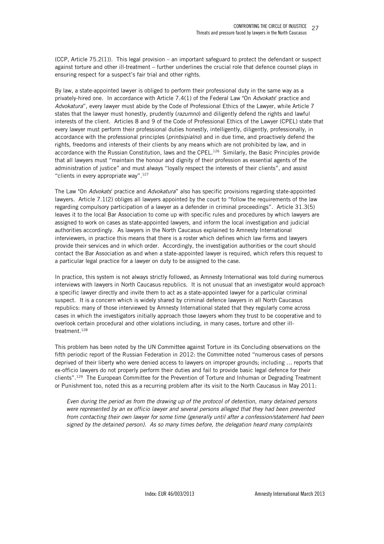(CCP, Article 75.2(1)). This legal provision – an important safeguard to protect the defendant or suspect against torture and other ill-treatment – further underlines the crucial role that defence counsel plays in ensuring respect for a suspect's fair trial and other rights.

By law, a state-appointed lawyer is obliged to perform their professional duty in the same way as a privately-hired one. In accordance with Article 7.4(1) of the Federal Law "On *Advokats*' practice and *Advokatura*", every lawyer must abide by the Code of Professional Ethics of the Lawyer, while Article 7 states that the lawyer must honestly, prudently (*razumno*) and diligently defend the rights and lawful interests of the client. Articles 8 and 9 of the Code of Professional Ethics of the Lawyer (CPEL) state that every lawyer must perform their professional duties honestly, intelligently, diligently, professionally, in accordance with the professional principles (*printsipialno*) and in due time, and proactively defend the rights, freedoms and interests of their clients by any means which are not prohibited by law, and in accordance with the Russian Constitution, laws and the CPEL.<sup>126</sup> Similarly, the Basic Principles provide that all lawyers must "maintain the honour and dignity of their profession as essential agents of the administration of justice" and must always "loyally respect the interests of their clients", and assist "clients in every appropriate way". $127$ 

The Law "On *Advokats*' practice and *Advokatura*" also has specific provisions regarding state-appointed lawyers. Article 7.1(2) obliges all lawyers appointed by the court to "follow the requirements of the law regarding compulsory participation of a lawyer as a defender in criminal proceedings". Article 31.3(5) leaves it to the local Bar Association to come up with specific rules and procedures by which lawyers are assigned to work on cases as state-appointed lawyers, and inform the local investigation and judicial authorities accordingly. As lawyers in the North Caucasus explained to Amnesty International interviewers, in practice this means that there is a roster which defines which law firms and lawyers provide their services and in which order. Accordingly, the investigation authorities or the court should contact the Bar Association as and when a state-appointed lawyer is required, which refers this request to a particular legal practice for a lawyer on duty to be assigned to the case.

In practice, this system is not always strictly followed, as Amnesty International was told during numerous interviews with lawyers in North Caucasus republics. It is not unusual that an investigator would approach a specific lawyer directly and invite them to act as a state-appointed lawyer for a particular criminal suspect. It is a concern which is widely shared by criminal defence lawyers in all North Caucasus republics: many of those interviewed by Amnesty International stated that they regularly come across cases in which the investigators initially approach those lawyers whom they trust to be cooperative and to overlook certain procedural and other violations including, in many cases, torture and other illtreatment.<sup>128</sup>

This problem has been noted by the UN Committee against Torture in its Concluding observations on the fifth periodic report of the Russian Federation in 2012: the Committee noted "numerous cases of persons deprived of their liberty who were denied access to lawyers on improper grounds; including … reports that ex-officio lawyers do not properly perform their duties and fail to provide basic legal defence for their clients".<sup>129</sup> The European Committee for the Prevention of Torture and Inhuman or Degrading Treatment or Punishment too, noted this as a recurring problem after its visit to the North Caucasus in May 2011:

*Even during the period as from the drawing up of the protocol of detention, many detained persons were represented by an ex officio lawyer and several persons alleged that they had been prevented from contacting their own lawyer for some time (generally until after a confession/statement had been signed by the detained person). As so many times before, the delegation heard many complaints*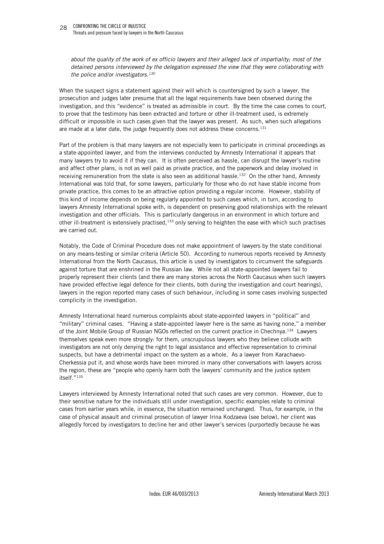*about the quality of the work of ex officio lawyers and their alleged lack of impartiality; most of the detained persons interviewed by the delegation expressed the view that they were collaborating with the police and/or investigators.<sup>130</sup>*

When the suspect signs a statement against their will which is countersigned by such a lawyer, the prosecution and judges later presume that all the legal requirements have been observed during the investigation, and this "evidence" is treated as admissible in court. By the time the case comes to court, to prove that the testimony has been extracted and torture or other ill-treatment used, is extremely difficult or impossible in such cases given that the lawyer was present. As such, when such allegations are made at a later date, the judge frequently does not address these concerns.<sup>131</sup>

Part of the problem is that many lawyers are not especially keen to participate in criminal proceedings as a state-appointed lawyer, and from the interviews conducted by Amnesty International it appears that many lawyers try to avoid it if they can. It is often perceived as hassle, can disrupt the lawyer's routine and affect other plans, is not as well paid as private practice, and the paperwork and delay involved in receiving remuneration from the state is also seen as additional hassle.<sup>132</sup> On the other hand, Amnesty International was told that, for some lawyers, particularly for those who do not have stable income from private practice, this comes to be an attractive option providing a regular income. However, stability of this kind of income depends on being regularly appointed to such cases which, in turn, according to lawyers Amnesty International spoke with, is dependent on preserving good relationships with the relevant investigation and other officials. This is particularly dangerous in an environment in which torture and other ill-treatment is extensively practised,<sup>133</sup> only serving to heighten the ease with which such practises are carried out.

Notably, the Code of Criminal Procedure does not make appointment of lawyers by the state conditional on any means-testing or similar criteria (Article 50). According to numerous reports received by Amnesty International from the North Caucasus, this article is used by investigators to circumvent the safeguards against torture that are enshrined in the Russian law. While not all state-appointed lawyers fail to properly represent their clients (and there are many stories across the North Caucasus when such lawyers have provided effective legal defence for their clients, both during the investigation and court hearings), lawyers in the region reported many cases of such behaviour, including in some cases involving suspected complicity in the investigation.

Amnesty International heard numerous complaints about state-appointed lawyers in "political" and "military" criminal cases. "Having a state-appointed lawyer here is the same as having none," a member of the Joint Mobile Group of Russian NGOs reflected on the current practice in Chechnya.<sup>134</sup> Lawyers themselves speak even more strongly: for them, unscrupulous lawyers who they believe collude with investigators are not only denying the right to legal assistance and effective representation to criminal suspects, but have a detrimental impact on the system as a whole. As a lawyer from Karachaevo-Cherkessia put it, and whose words have been mirrored in many other conversations with lawyers across the region, these are "people who openly harm both the lawyers' community and the justice system itself."<sup>135</sup>

Lawyers interviewed by Amnesty International noted that such cases are very common. However, due to their sensitive nature for the individuals still under investigation, specific examples relate to criminal cases from earlier years while, in essence, the situation remained unchanged. Thus, for example, in the case of physical assault and criminal prosecution of lawyer Irina Kodzaeva (see below), her client was allegedly forced by investigators to decline her and other lawyer's services (purportedly because he was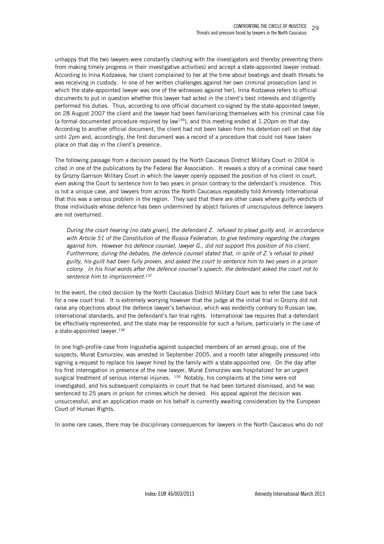unhappy that the two lawyers were constantly clashing with the investigators and thereby preventing them from making timely progress in their investigative activities) and accept a state-appointed lawyer instead. According to Irina Kodzaeva, her client complained to her at the time about beatings and death threats he was receiving in custody. In one of her written challenges against her own criminal prosecution (and in which the state-appointed lawyer was one of the witnesses against her), Irina Kodzaeva refers to official documents to put in question whether this lawyer had acted in the client's best interests and diligently performed his duties. Thus, according to one official document co-signed by the state-appointed lawyer, on 28 August 2007 the client and the lawyer had been familiarizing themselves with his criminal case file (a formal documented procedure required by law<sup>136</sup>), and this meeting ended at 1.20pm on that day. According to another official document, the client had not been taken from his detention cell on that day until 2pm and, accordingly, the first document was a record of a procedure that could not have taken place on that day in the client's presence.

The following passage from a decision passed by the North Caucasus District Military Court in 2004 is cited in one of the publications by the Federal Bar Association. It reveals a story of a criminal case heard by Grozny Garrison Military Court in which the lawyer openly opposed the position of his client in court, even asking the Court to sentence him to two years in prison contrary to the defendant's insistence. This is not a unique case, and lawyers from across the North Caucasus repeatedly told Amnesty International that this was a serious problem in the region. They said that there are other cases where guilty verdicts of those individuals whose defence has been undermined by abject failures of unscrupulous defence lawyers are not overturned.

*During the court hearing [no date given], the defendant Z. refused to plead guilty and, in accordance with Article 51 of the Constitution of the Russia Federation, to give testimony regarding the charges against him. However his defence counsel, lawyer G., did not support this position of his client. Furthermore, during the debates, the defence counsel stated that, in spite of Z.'s refusal to plead guilty, his guilt had been fully proven, and asked the court to sentence him to two years in a prison colony. In his final words after the defence counsel's speech, the defendant asked the court not to sentence him to imprisonment.*<sup>137</sup>

In the event, the cited decision by the North Caucasus District Military Court was to refer the case back for a new court trial. It is extremely worrying however that the judge at the initial trial in Grozny did not raise any objections about the defence lawyer's behaviour, which was evidently contrary to Russian law, international standards, and the defendant's fair trial rights. International law requires that a defendant be effectively represented, and the state may be responsible for such a failure, particularly in the case of a state-appointed lawyer.<sup>138</sup>

In one high-profile case from Ingushetia against suspected members of an armed group, one of the suspects, Murat Esmurziev, was arrested in September 2005, and a month later allegedly pressured into signing a request to replace his lawyer hired by the family with a state-appointed one. On the day after his first interrogation in presence of the new lawyer, Murat Esmurziev was hospitalized for an urgent surgical treatment of serious internal injuries. 139 Notably, his complaints at the time were not investigated, and his subsequent complaints in court that he had been tortured dismissed, and he was sentenced to 25 years in prison for crimes which he denied. His appeal against the decision was unsuccessful, and an application made on his behalf is currently awaiting consideration by the European Court of Human Rights.

In some rare cases, there may be disciplinary consequences for lawyers in the North Caucasus who do not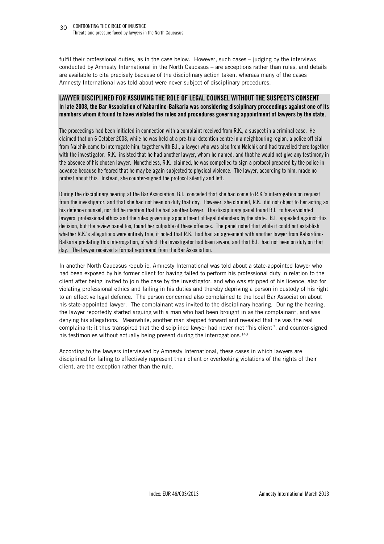fulfil their professional duties, as in the case below. However, such cases – judging by the interviews conducted by Amnesty International in the North Caucasus – are exceptions rather than rules, and details are available to cite precisely because of the disciplinary action taken, whereas many of the cases Amnesty International was told about were never subject of disciplinary procedures.

#### **LAWYER DISCIPLINED FOR ASSUMING THE ROLE OF LEGAL COUNSEL WITHOUT THE SUSPECT'S CONSENT In late 2008, the Bar Association of Kabardino-Balkaria was considering disciplinary proceedings against one of its members whom it found to have violated the rules and procedures governing appointment of lawyers by the state.**

The proceedings had been initiated in connection with a complaint received from R.K., a suspect in a criminal case. He claimed that on 6 October 2008, while he was held at a pre-trial detention centre in a neighbouring region, a police official from Nalchik came to interrogate him, together with B.I., a lawyer who was also from Nalchik and had travelled there together with the investigator. R.K. insisted that he had another lawyer, whom he named, and that he would not give any testimony in the absence of his chosen lawyer. Nonetheless, R.K. claimed, he was compelled to sign a protocol prepared by the police in advance because he feared that he may be again subjected to physical violence. The lawyer, according to him, made no protest about this. Instead, she counter-signed the protocol silently and left.

During the disciplinary hearing at the Bar Association, B.I. conceded that she had come to R.K.'s interrogation on request from the investigator, and that she had not been on duty that day. However, she claimed, R.K. did not object to her acting as his defence counsel, nor did he mention that he had another lawyer. The disciplinary panel found B.I. to have violated lawyers' professional ethics and the rules governing appointment of legal defenders by the state. B.I. appealed against this decision, but the review panel too, found her culpable of these offences. The panel noted that while it could not establish whether R.K.'s allegations were entirely true, it noted that R.K. had had an agreement with another lawyer from Kabardino-Balkaria predating this interrogation, of which the investigator had been aware, and that B.I. had not been on duty on that day. The lawyer received a formal reprimand from the Bar Association.

In another North Caucasus republic, Amnesty International was told about a state-appointed lawyer who had been exposed by his former client for having failed to perform his professional duty in relation to the client after being invited to join the case by the investigator, and who was stripped of his licence, also for violating professional ethics and failing in his duties and thereby depriving a person in custody of his right to an effective legal defence. The person concerned also complained to the local Bar Association about his state-appointed lawyer. The complainant was invited to the disciplinary hearing. During the hearing, the lawyer reportedly started arguing with a man who had been brought in as the complainant, and was denying his allegations. Meanwhile, another man stepped forward and revealed that he was the real complainant; it thus transpired that the disciplined lawyer had never met "his client", and counter-signed his testimonies without actually being present during the interrogations.<sup>140</sup>

According to the lawyers interviewed by Amnesty International, these cases in which lawyers are disciplined for failing to effectively represent their client or overlooking violations of the rights of their client, are the exception rather than the rule.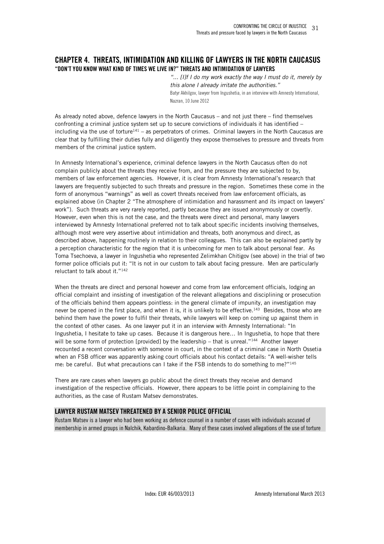### **CHAPTER 4. THREATS, INTIMIDATION AND KILLING OF LAWYERS IN THE NORTH CAUCASUS "DON'T YOU KNOW WHAT KIND OF TIMES WE LIVE IN?" THREATS AND INTIMIDATION OF LAWYERS**

*"... [I]f I do my work exactly the way I must do it, merely by this alone I already irritate the authorities."*  Batyr Akhilgov, lawyer from Ingushetia, in an interview with Amnesty International, Nazran, 10 June 2012

As already noted above, defence lawyers in the North Caucasus – and not just there – find themselves confronting a criminal justice system set up to secure convictions of individuals it has identified – including via the use of torture<sup>141</sup> – as perpetrators of crimes. Criminal lawyers in the North Caucasus are clear that by fulfilling their duties fully and diligently they expose themselves to pressure and threats from members of the criminal justice system.

In Amnesty International's experience, criminal defence lawyers in the North Caucasus often do not complain publicly about the threats they receive from, and the pressure they are subjected to by, members of law enforcement agencies. However, it is clear from Amnesty International's research that lawyers are frequently subjected to such threats and pressure in the region. Sometimes these come in the form of anonymous "warnings" as well as covert threats received from law enforcement officials, as explained above (in Chapter 2 "The atmosphere of intimidation and harassment and its impact on lawyers' work"). Such threats are very rarely reported, partly because they are issued anonymously or covertly. However, even when this is not the case, and the threats were direct and personal, many lawyers interviewed by Amnesty International preferred not to talk about specific incidents involving themselves, although most were very assertive about intimidation and threats, both anonymous and direct, as described above, happening routinely in relation to their colleagues. This can also be explained partly by a perception characteristic for the region that it is unbecoming for men to talk about personal fear. As Toma Tsechoeva, a lawyer in Ingushetia who represented Zelimkhan Chitigov (see above) in the trial of two former police officials put it: "It is not in our custom to talk about facing pressure. Men are particularly reluctant to talk about it."<sup>142</sup>

When the threats are direct and personal however and come from law enforcement officials, lodging an official complaint and insisting of investigation of the relevant allegations and disciplining or prosecution of the officials behind them appears pointless: in the general climate of impunity, an investigation may never be opened in the first place, and when it is, it is unlikely to be effective.<sup>143</sup> Besides, those who are behind them have the power to fulfil their threats, while lawyers will keep on coming up against them in the context of other cases. As one lawyer put it in an interview with Amnesty International: "In Ingushetia, I hesitate to take up cases. Because it is dangerous here… In Ingushetia, to hope that there will be some form of protection [provided] by the leadership – that is unreal."<sup>144</sup> Another lawyer recounted a recent conversation with someone in court, in the context of a criminal case in North Ossetia when an FSB officer was apparently asking court officials about his contact details: "A well-wisher tells me: be careful. But what precautions can I take if the FSB intends to do something to me?"<sup>145</sup>

There are rare cases when lawyers go public about the direct threats they receive and demand investigation of the respective officials. However, there appears to be little point in complaining to the authorities, as the case of Rustam Matsev demonstrates.

#### **LAWYER RUSTAM MATSEV THREATENED BY A SENIOR POLICE OFFICIAL**

Rustam Matsev is a lawyer who had been working as defence counsel in a number of cases with individuals accused of membership in armed groups in Nalchik, Kabardino-Balkaria. Many of these cases involved allegations of the use of torture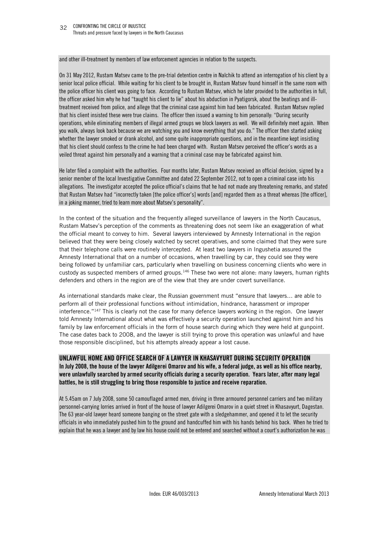and other ill-treatment by members of law enforcement agencies in relation to the suspects.

On 31 May 2012, Rustam Matsev came to the pre-trial detention centre in Nalchik to attend an interrogation of his client by a senior local police official. While waiting for his client to be brought in, Rustam Matsev found himself in the same room with the police officer his client was going to face. According to Rustam Matsev, which he later provided to the authorities in full, the officer asked him why he had "taught his client to lie" about his abduction in Pyatigorsk, about the beatings and illtreatment received from police, and allege that the criminal case against him had been fabricated. Rustam Matsev replied that his client insisted these were true claims. The officer then issued a warning to him personally: "During security operations, while eliminating members of illegal armed groups we block lawyers as well. We will definitely meet again. When you walk, always look back because we are watching you and know everything that you do." The officer then started asking whether the lawyer smoked or drank alcohol, and some quite inappropriate questions, and in the meantime kept insisting that his client should confess to the crime he had been charged with. Rustam Matsev perceived the officer's words as a veiled threat against him personally and a warning that a criminal case may be fabricated against him.

He later filed a complaint with the authorities. Four months later, Rustam Matsev received an official decision, signed by a senior member of the local Investigative Committee and dated 22 September 2012, not to open a criminal case into his allegations. The investigator accepted the police official's claims that he had not made any threatening remarks, and stated that Rustam Matsev had "incorrectly taken [the police officer's] words [and] regarded them as a threat whereas [the officer], in a joking manner, tried to learn more about Matsev's personality".

In the context of the situation and the frequently alleged surveillance of lawyers in the North Caucasus, Rustam Matsev's perception of the comments as threatening does not seem like an exaggeration of what the official meant to convey to him. Several lawyers interviewed by Amnesty International in the region believed that they were being closely watched by secret operatives, and some claimed that they were sure that their telephone calls were routinely intercepted. At least two lawyers in Ingushetia assured the Amnesty International that on a number of occasions, when travelling by car, they could see they were being followed by unfamiliar cars, particularly when travelling on business concerning clients who were in custody as suspected members of armed groups.<sup>146</sup> These two were not alone: many lawyers, human rights defenders and others in the region are of the view that they are under covert surveillance.

As international standards make clear, the Russian government must "ensure that lawyers… are able to perform all of their professional functions without intimidation, hindrance, harassment or improper interference."<sup>147</sup> This is clearly not the case for many defence lawyers working in the region. One lawyer told Amnesty International about what was effectively a security operation launched against him and his family by law enforcement officials in the form of house search during which they were held at gunpoint. The case dates back to 2008, and the lawyer is still trying to prove this operation was unlawful and have those responsible disciplined, but his attempts already appear a lost cause.

#### **UNLAWFUL HOME AND OFFICE SEARCH OF A LAWYER IN KHASAVYURT DURING SECURITY OPERATION**

**In July 2008, the house of the lawyer Adilgerei Omarov and his wife, a federal judge, as well as his office nearby, were unlawfully searched by armed security officials during a security operation. Years later, after many legal battles, he is still struggling to bring those responsible to justice and receive reparation.** 

At 5.45am on 7 July 2008, some 50 camouflaged armed men, driving in three armoured personnel carriers and two military personnel-carrying lorries arrived in front of the house of lawyer Adilgerei Omarov in a quiet street in Khasavyurt, Dagestan. The 63 year-old lawyer heard someone banging on the street gate with a sledgehammer, and opened it to let the security officials in who immediately pushed him to the ground and handcuffed him with his hands behind his back. When he tried to explain that he was a lawyer and by law his house could not be entered and searched without a court's authorization he was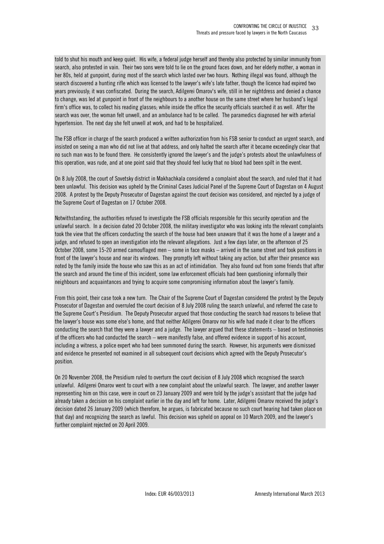told to shut his mouth and keep quiet. His wife, a federal judge herself and thereby also protected by similar immunity from search, also protested in vain. Their two sons were told to lie on the ground faces down, and her elderly mother, a woman in her 80s, held at gunpoint, during most of the search which lasted over two hours. Nothing illegal was found, although the search discovered a hunting rifle which was licensed to the lawyer's wife's late father, though the licence had expired two years previously; it was confiscated. During the search, Adilgerei Omarov's wife, still in her nightdress and denied a chance to change, was led at gunpoint in front of the neighbours to a another house on the same street where her husband's legal firm's office was, to collect his reading glasses; while inside the office the security officials searched it as well. After the search was over, the woman felt unwell, and an ambulance had to be called. The paramedics diagnosed her with arterial hypertension. The next day she felt unwell at work, and had to be hospitalized.

The FSB officer in charge of the search produced a written authorization from his FSB senior to conduct an urgent search, and insisted on seeing a man who did not live at that address, and only halted the search after it became exceedingly clear that no such man was to be found there. He consistently ignored the lawyer's and the judge's protests about the unlawfulness of this operation, was rude, and at one point said that they should feel lucky that no blood had been spilt in the event.

On 8 July 2008, the court of Sovetsky district in Makhachkala considered a complaint about the search, and ruled that it had been unlawful. This decision was upheld by the Criminal Cases Judicial Panel of the Supreme Court of Dagestan on 4 August 2008. A protest by the Deputy Prosecutor of Dagestan against the court decision was considered, and rejected by a judge of the Supreme Court of Dagestan on 17 October 2008.

Notwithstanding, the authorities refused to investigate the FSB officials responsible for this security operation and the unlawful search. In a decision dated 20 October 2008, the military investigator who was looking into the relevant complaints took the view that the officers conducting the search of the house had been unaware that it was the home of a lawyer and a judge, and refused to open an investigation into the relevant allegations. Just a few days later, on the afternoon of 25 October 2008, some 15-20 armed camouflaged men – some in face masks – arrived in the same street and took positions in front of the lawyer's house and near its windows. They promptly left without taking any action, but after their presence was noted by the family inside the house who saw this as an act of intimidation. They also found out from some friends that after the search and around the time of this incident, some law enforcement officials had been questioning informally their neighbours and acquaintances and trying to acquire some compromising information about the lawyer's family.

From this point, their case took a new turn. The Chair of the Supreme Court of Dagestan considered the protest by the Deputy Prosecutor of Dagestan and overruled the court decision of 8 July 2008 ruling the search unlawful, and referred the case to the Supreme Court's Presidium. The Deputy Prosecutor argued that those conducting the search had reasons to believe that the lawyer's house was some else's home, and that neither Adilgerei Omarov nor his wife had made it clear to the officers conducting the search that they were a lawyer and a judge. The lawyer argued that these statements – based on testimonies of the officers who had conducted the search – were manifestly false, and offered evidence in support of his account, including a witness, a police expert who had been summoned during the search. However, his arguments were dismissed and evidence he presented not examined in all subsequent court decisions which agreed with the Deputy Prosecutor's position.

On 20 November 2008, the Presidium ruled to overturn the court decision of 8 July 2008 which recognised the search unlawful. Adilgerei Omarov went to court with a new complaint about the unlawful search. The lawyer, and another lawyer representing him on this case, were in court on 23 January 2009 and were told by the judge's assistant that the judge had already taken a decision on his complaint earlier in the day and left for home. Later, Adilgerei Omarov received the judge's decision dated 26 January 2009 (which therefore, he argues, is fabricated because no such court hearing had taken place on that day) and recognizing the search as lawful. This decision was upheld on appeal on 10 March 2009, and the lawyer's further complaint rejected on 20 April 2009.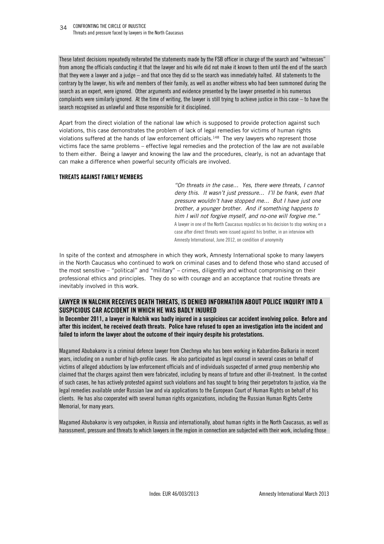CONFRONTING THE CIRCLE OF INJUSTICE 34 Threats and pressure faced by lawyers in the North Caucasus

These latest decisions repeatedly reiterated the statements made by the FSB officer in charge of the search and "witnesses" from among the officials conducting it that the lawyer and his wife did not make it known to them until the end of the search that they were a lawyer and a judge – and that once they did so the search was immediately halted. All statements to the contrary by the lawyer, his wife and members of their family, as well as another witness who had been summoned during the search as an expert, were ignored. Other arguments and evidence presented by the lawyer presented in his numerous complaints were similarly ignored. At the time of writing, the lawyer is still trying to achieve justice in this case – to have the search recognised as unlawful and those responsible for it disciplined.

Apart from the direct violation of the national law which is supposed to provide protection against such violations, this case demonstrates the problem of lack of legal remedies for victims of human rights violations suffered at the hands of law enforcement officials.<sup>148</sup> The very lawyers who represent those victims face the same problems – effective legal remedies and the protection of the law are not available to them either. Being a lawyer and knowing the law and the procedures, clearly, is not an advantage that can make a difference when powerful security officials are involved.

#### **THREATS AGAINST FAMILY MEMBERS**

*"On threats in the case... Yes, there were threats, I cannot deny this. It wasn't just pressure... I'll be frank, even that pressure wouldn't have stopped me... But I have just one brother, a younger brother. And if something happens to him I will not forgive myself, and no-one will forgive me."*  A lawyer in one of the North Caucasus republics on his decision to stop working on a case after direct threats were issued against his brother, in an interview with Amnesty International, June 2012, on condition of anonymity

In spite of the context and atmosphere in which they work, Amnesty International spoke to many lawyers in the North Caucasus who continued to work on criminal cases and to defend those who stand accused of the most sensitive – "political" and "military" – crimes, diligently and without compromising on their professional ethics and principles. They do so with courage and an acceptance that routine threats are inevitably involved in this work.

#### **LAWYER IN NALCHIK RECEIVES DEATH THREATS, IS DENIED INFORMATION ABOUT POLICE INQUIRY INTO A SUSPICIOUS CAR ACCIDENT IN WHICH HE WAS BADLY INJURED**

**In December 2011, a lawyer in Nalchik was badly injured in a suspicious car accident involving police. Before and after this incident, he received death threats. Police have refused to open an investigation into the incident and failed to inform the lawyer about the outcome of their inquiry despite his protestations.** 

Magamed Abubakarov is a criminal defence lawyer from Chechnya who has been working in Kabardino-Balkaria in recent years, including on a number of high-profile cases. He also participated as legal counsel in several cases on behalf of victims of alleged abductions by law enforcement officials and of individuals suspected of armed group membership who claimed that the charges against them were fabricated, including by means of torture and other ill-treatment. In the context of such cases, he has actively protested against such violations and has sought to bring their perpetrators to justice, via the legal remedies available under Russian law and via applications to the European Court of Human Rights on behalf of his clients. He has also cooperated with several human rights organizations, including the Russian Human Rights Centre Memorial, for many years.

Magamed Abubakarov is very outspoken, in Russia and internationally, about human rights in the North Caucasus, as well as harassment, pressure and threats to which lawyers in the region in connection are subjected with their work, including those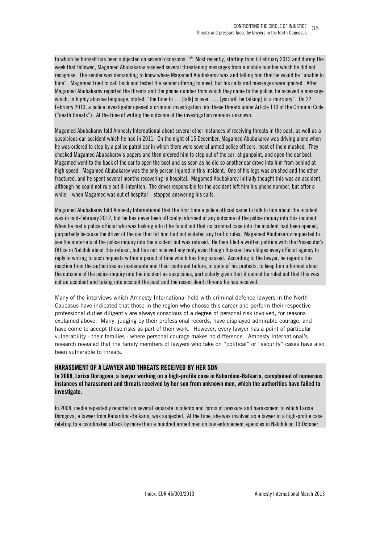to which he himself has been subjected on several occasions. <sup>149</sup> Most recently, starting from 6 February 2013 and during the week that followed, Magamed Abubakarov received several threatening messages from a mobile number which he did not recognise. The sender was demanding to know where Magamed Abubakarov was and telling him that he would be "unable to hide". Magamed tried to call back and texted the sender offering to meet, but his calls and messages were ignored. After Magamed Abubakarov reported the threats and the phone number from which they came to the police, he received a message which, in highly abusive language, stated: "the time to … [talk] is over. … [you will be talking] in a mortuary". On 22 February 2013, a police investigator opened a criminal investigation into these threats under Article 119 of the Criminal Code ("death threats"). At the time of writing the outcome of the investigation remains unknown.

Magamed Abubakarov told Amnesty International about several other instances of receiving threats in the past, as well as a suspicious car accident which he had in 2011. On the night of 15 December, Magamed Abubakarov was driving alone when he was ordered to stop by a police patrol car in which there were several armed police officers, most of them masked. They checked Magamed Abubakarov's papers and then ordered him to step out of the car, at gunpoint, and open the car boot. Magamed went to the back of the car to open the boot and as soon as he did so another car drove into him from behind at high speed. Magamed Abubakarov was the only person injured in this incident. One of his legs was crushed and the other fractured, and he spent several months recovering in hospital. Magamed Abubakarov initially thought this was an accident, although he could not rule out ill intention. The driver responsible for the accident left him his phone number, but after a while – when Magamed was out of hospital – stopped answering his calls.

Magamed Abubakarov told Amnesty International that the first time a police official came to talk to him about the incident was in mid-February 2012, but he has never been officially informed of any outcome of the police inquiry into this incident. When he met a police official who was looking into it he found out that no criminal case into the incident had been opened, purportedly because the driver of the car that hit him had not violated any traffic rules. Magamed Abubakarov requested to see the materials of the police inquiry into the incident but was refused. He then filed a written petition with the Prosecutor's Office in Nalchik about this refusal, but has not received any reply even though Russian law obliges every official agency to reply in writing to such requests within a period of time which has long passed. According to the lawyer, he regards this reaction from the authorities as inadequate and their continual failure, in spite of his protests, to keep him informed about the outcome of the police inquiry into the incident as suspicious, particularly given that it cannot be ruled out that this was not an accident and taking into account the past and the recent death threats he has received.

Many of the interviews which Amnesty International held with criminal defence lawyers in the North Caucasus have indicated that those in the region who choose this career and perform their respective professional duties diligently are always conscious of a degree of personal risk involved, for reasons explained above. Many, judging by their professional records, have displayed admirable courage, and have come to accept these risks as part of their work. However, every lawyer has a point of particular vulnerability - their families - where personal courage makes no difference. Amnesty International's research revealed that the family members of lawyers who take on "political" or "security" cases have also been vulnerable to threats.

#### **HARASSMENT OF A LAWYER AND THREATS RECEIVED BY HER SON**

**In 2008, Larisa Dorogova, a lawyer working on a high-profile case in Kabardino-Balkaria, complained of numerous instances of harassment and threats received by her son from unknown men, which the authorities have failed to investigate.** 

In 2008, media repeatedly reported on several separate incidents and forms of pressure and harassment to which Larisa Dorogova, a lawyer from Kabardino-Balkaria, was subjected. At the time, she was involved as a lawyer in a high-profile case relating to a coordinated attack by more than a hundred armed men on law enforcement agencies in Nalchik on 13 October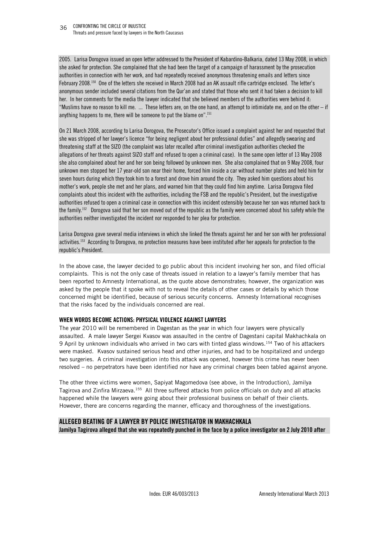2005. Larisa Dorogova issued an open letter addressed to the President of Kabardino-Balkaria, dated 13 May 2008, in which she asked for protection. She complained that she had been the target of a campaign of harassment by the prosecution authorities in connection with her work, and had repeatedly received anonymous threatening emails and letters since February 2008.<sup>150</sup> One of the letters she received in March 2008 had an AK assault rifle cartridge enclosed. The letter's anonymous sender included several citations from the Qur'an and stated that those who sent it had taken a decision to kill her. In her comments for the media the lawyer indicated that she believed members of the authorities were behind it: "Muslims have no reason to kill me. ... These letters are, on the one hand, an attempt to intimidate me, and on the other – if anything happens to me, there will be someone to put the blame on".<sup>151</sup>

On 21 March 2008, according to Larisa Dorogova, the Prosecutor's Office issued a complaint against her and requested that she was stripped of her lawyer's licence "for being negligent about her professional duties" and allegedly swearing and threatening staff at the SIZO (the complaint was later recalled after criminal investigation authorities checked the allegations of her threats against SIZO staff and refused to open a criminal case). In the same open letter of 13 May 2008 she also complained about her and her son being followed by unknown men. She also complained that on 9 May 2008, four unknown men stopped her 17 year-old son near their home, forced him inside a car without number plates and held him for seven hours during which they took him to a forest and drove him around the city. They asked him questions about his mother's work, people she met and her plans, and warned him that they could find him anytime. Larisa Dorogova filed complaints about this incident with the authorities, including the FSB and the republic's President, but the investigative authorities refused to open a criminal case in connection with this incident ostensibly because her son was returned back to the family.<sup>152</sup> Dorogova said that her son moved out of the republic as the family were concerned about his safety while the authorities neither investigated the incident nor responded to her plea for protection.

Larisa Dorogova gave several media interviews in which she linked the threats against her and her son with her professional activities.<sup>153</sup> According to Dorogova, no protection measures have been instituted after her appeals for protection to the republic's President.

In the above case, the lawyer decided to go public about this incident involving her son, and filed official complaints. This is not the only case of threats issued in relation to a lawyer's family member that has been reported to Amnesty International, as the quote above demonstrates; however, the organization was asked by the people that it spoke with not to reveal the details of other cases or details by which those concerned might be identified, because of serious security concerns. Amnesty International recognises that the risks faced by the individuals concerned are real.

#### **WHEN WORDS BECOME ACTIONS: PHYSICAL VIOLENCE AGAINST LAWYERS**

The year 2010 will be remembered in Dagestan as the year in which four lawyers were physically assaulted. A male lawyer Sergei Kvasov was assaulted in the centre of Dagestani capital Makhachkala on 9 April by unknown individuals who arrived in two cars with tinted glass windows.<sup>154</sup> Two of his attackers were masked. Kvasov sustained serious head and other injuries, and had to be hospitalized and undergo two surgeries. A criminal investigation into this attack was opened, however this crime has never been resolved – no perpetrators have been identified nor have any criminal charges been tabled against anyone.

The other three victims were women, Sapiyat Magomedova (see above, in the Introduction), Jamilya Tagirova and Zinfira Mirzaeva.<sup>155</sup> All three suffered attacks from police officials on duty and all attacks happened while the lawyers were going about their professional business on behalf of their clients. However, there are concerns regarding the manner, efficacy and thoroughness of the investigations.

# **ALLEGED BEATING OF A LAWYER BY POLICE INVESTIGATOR IN MAKHACHKALA Jamilya Tagirova alleged that she was repeatedly punched in the face by a police investigator on 2 July 2010 after**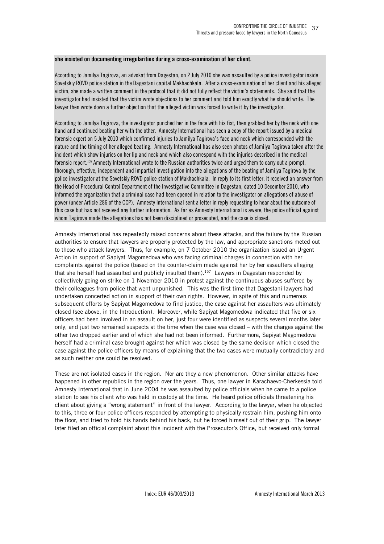#### **she insisted on documenting irregularities during a cross-examination of her client.**

According to Jamilya Tagirova, an advokat from Dagestan, on 2 July 2010 she was assaulted by a police investigator inside Sovetskiy ROVD police station in the Dagestani capital Makhachkala. After a cross-examination of her client and his alleged victim, she made a written comment in the protocol that it did not fully reflect the victim's statements. She said that the investigator had insisted that the victim wrote objections to her comment and told him exactly what he should write. The lawyer then wrote down a further objection that the alleged victim was forced to write it by the investigator.

According to Jamilya Tagirova, the investigator punched her in the face with his fist, then grabbed her by the neck with one hand and continued beating her with the other. Amnesty International has seen a copy of the report issued by a medical forensic expert on 5 July 2010 which confirmed injuries to Jamilya Tagirova's face and neck which corresponded with the nature and the timing of her alleged beating. Amnesty International has also seen photos of Jamilya Tagirova taken after the incident which show injuries on her lip and neck and which also correspond with the injuries described in the medical forensic report.<sup>156</sup> Amnesty International wrote to the Russian authorities twice and urged them to carry out a prompt, thorough, effective, independent and impartial investigation into the allegations of the beating of Jamilya Tagirova by the police investigator at the Sovetskiy ROVD police station of Makhachkala. In reply to its first letter, it received an answer from the Head of Procedural Control Department of the Investigative Committee in Dagestan, dated 10 December 2010, who informed the organization that a criminal case had been opened in relation to the investigator on allegations of abuse of power (under Article 286 of the CCP). Amnesty International sent a letter in reply requesting to hear about the outcome of this case but has not received any further information. As far as Amnesty International is aware, the police official against whom Tagirova made the allegations has not been disciplined or prosecuted, and the case is closed.

Amnesty International has repeatedly raised concerns about these attacks, and the failure by the Russian authorities to ensure that lawyers are properly protected by the law, and appropriate sanctions meted out to those who attack lawyers. Thus, for example, on 7 October 2010 the organization issued an Urgent Action in support of Sapiyat Magomedova who was facing criminal charges in connection with her complaints against the police (based on the counter-claim made against her by her assaulters alleging that she herself had assaulted and publicly insulted them).<sup>157</sup> Lawyers in Dagestan responded by collectively going on strike on 1 November 2010 in protest against the continuous abuses suffered by their colleagues from police that went unpunished. This was the first time that Dagestani lawyers had undertaken concerted action in support of their own rights. However, in spite of this and numerous subsequent efforts by Sapiyat Magomedova to find justice, the case against her assaulters was ultimately closed (see above, in the Introduction). Moreover, while Sapiyat Magomedova indicated that five or six officers had been involved in an assault on her, just four were identified as suspects several months later only, and just two remained suspects at the time when the case was closed – with the charges against the other two dropped earlier and of which she had not been informed. Furthermore, Sapiyat Magomedova herself had a criminal case brought against her which was closed by the same decision which closed the case against the police officers by means of explaining that the two cases were mutually contradictory and as such neither one could be resolved.

These are not isolated cases in the region. Nor are they a new phenomenon. Other similar attacks have happened in other republics in the region over the years. Thus, one lawyer in Karachaevo-Cherkessia told Amnesty International that in June 2004 he was assaulted by police officials when he came to a police station to see his client who was held in custody at the time. He heard police officials threatening his client about giving a "wrong statement" in front of the lawyer. According to the lawyer, when he objected to this, three or four police officers responded by attempting to physically restrain him, pushing him onto the floor, and tried to hold his hands behind his back, but he forced himself out of their grip. The lawyer later filed an official complaint about this incident with the Prosecutor's Office, but received only formal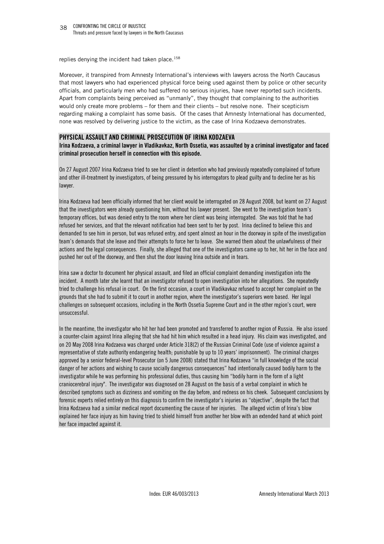replies denying the incident had taken place.<sup>158</sup>

Moreover, it transpired from Amnesty International's interviews with lawyers across the North Caucasus that most lawyers who had experienced physical force being used against them by police or other security officials, and particularly men who had suffered no serious injuries, have never reported such incidents. Apart from complaints being perceived as "unmanly", they thought that complaining to the authorities would only create more problems – for them and their clients – but resolve none. Their scepticism regarding making a complaint has some basis. Of the cases that Amnesty International has documented, none was resolved by delivering justice to the victim, as the case of Irina Kodzaeva demonstrates.

#### **PHYSICAL ASSAULT AND CRIMINAL PROSECUTION OF IRINA KODZAEVA**

**Irina Kodzaeva, a criminal lawyer in Vladikavkaz, North Ossetia, was assaulted by a criminal investigator and faced criminal prosecution herself in connection with this episode.** 

On 27 August 2007 Irina Kodzaeva tried to see her client in detention who had previously repeatedly complained of torture and other ill-treatment by investigators, of being pressured by his interrogators to plead guilty and to decline her as his lawyer.

Irina Kodzaeva had been officially informed that her client would be interrogated on 28 August 2008, but learnt on 27 August that the investigators were already questioning him, without his lawyer present. She went to the investigation team's temporary offices, but was denied entry to the room where her client was being interrogated. She was told that he had refused her services, and that the relevant notification had been sent to her by post. Irina declined to believe this and demanded to see him in person, but was refused entry, and spent almost an hour in the doorway in spite of the investigation team's demands that she leave and their attempts to force her to leave. She warned them about the unlawfulness of their actions and the legal consequences. Finally, she alleged that one of the investigators came up to her, hit her in the face and pushed her out of the doorway, and then shut the door leaving Irina outside and in tears.

Irina saw a doctor to document her physical assault, and filed an official complaint demanding investigation into the incident. A month later she learnt that an investigator refused to open investigation into her allegations. She repeatedly tried to challenge his refusal in court. On the first occasion, a court in Vladikavkaz refused to accept her complaint on the grounds that she had to submit it to court in another region, where the investigator's superiors were based. Her legal challenges on subsequent occasions, including in the North Ossetia Supreme Court and in the other region's court, were unsuccessful.

In the meantime, the investigator who hit her had been promoted and transferred to another region of Russia. He also issued a counter-claim against Irina alleging that she had hit him which resulted in a head injury. His claim was investigated, and on 20 May 2008 Irina Kodzaeva was charged under Article 318(2) of the Russian Criminal Code (use of violence against a representative of state authority endangering health; punishable by up to 10 years' imprisonment). The criminal charges approved by a senior federal-level Prosecutor (on 5 June 2008) stated that Irina Kodzaeva "in full knowledge of the social danger of her actions and wishing to cause socially dangerous consequences" had intentionally caused bodily harm to the investigator while he was performing his professional duties, thus causing him "bodily harm in the form of a light craniocerebral injury". The investigator was diagnosed on 28 August on the basis of a verbal complaint in which he described symptoms such as dizziness and vomiting on the day before, and redness on his cheek. Subsequent conclusions by forensic experts relied entirely on this diagnosis to confirm the investigator's injuries as "objective", despite the fact that Irina Kodzaeva had a similar medical report documenting the cause of her injuries. The alleged victim of Irina's blow explained her face injury as him having tried to shield himself from another her blow with an extended hand at which point her face impacted against it.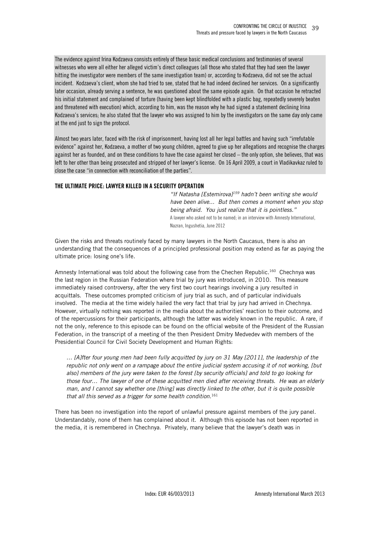The evidence against Irina Kodzaeva consists entirely of these basic medical conclusions and testimonies of several witnesses who were all either her alleged victim's direct colleagues (all those who stated that they had seen the lawyer hitting the investigator were members of the same investigation team) or, according to Kodzaeva, did not see the actual incident. Kodzaeva's client, whom she had tried to see, stated that he had indeed declined her services. On a significantly later occasion, already serving a sentence, he was questioned about the same episode again. On that occasion he retracted his initial statement and complained of torture (having been kept blindfolded with a plastic bag, repeatedly severely beaten and threatened with execution) which, according to him, was the reason why he had signed a statement declining Irina Kodzaeva's services; he also stated that the lawyer who was assigned to him by the investigators on the same day only came at the end just to sign the protocol.

Almost two years later, faced with the risk of imprisonment, having lost all her legal battles and having such "irrefutable evidence" against her, Kodzaeva, a mother of two young children, agreed to give up her allegations and recognise the charges against her as founded, and on these conditions to have the case against her closed – the only option, she believes, that was left to her other than being prosecuted and stripped of her lawyer's license. On 16 April 2009, a court in Vladikavkaz ruled to close the case "in connection with reconciliation of the parties".

#### **THE ULTIMATE PRICE: LAWYER KILLED IN A SECURITY OPERATION**

*"If Natasha [Estemirova]<sup>159</sup> hadn't been writing she would have been alive... But then comes a moment when you stop being afraid. You just realize that it is pointless."*  A lawyer who asked not to be named; in an interview with Amnesty International, Nazran, Ingushetia, June 2012

Given the risks and threats routinely faced by many lawyers in the North Caucasus, there is also an understanding that the consequences of a principled professional position may extend as far as paying the ultimate price: losing one's life.

Amnesty International was told about the following case from the Chechen Republic.<sup>160</sup> Chechnya was the last region in the Russian Federation where trial by jury was introduced, in 2010. This measure immediately raised controversy, after the very first two court hearings involving a jury resulted in acquittals. These outcomes prompted criticism of jury trial as such, and of particular individuals involved. The media at the time widely hailed the very fact that trial by jury had arrived in Chechnya. However, virtually nothing was reported in the media about the authorities' reaction to their outcome, and of the repercussions for their participants, although the latter was widely known in the republic. A rare, if not the only, reference to this episode can be found on the official website of the President of the Russian Federation, in the transcript of a meeting of the then President Dmitry Medvedev with members of the Presidential Council for Civil Society Development and Human Rights:

*… [A]fter four young men had been fully acquitted by jury on 31 May [2011], the leadership of the republic not only went on a rampage about the entire judicial system accusing it of not working, [but also] members of the jury were taken to the forest [by security officials] and told to go looking for those four… The lawyer of one of these acquitted men died after receiving threats. He was an elderly man, and I cannot say whether one [thing] was directly linked to the other, but it is quite possible that all this served as a trigger for some health condition.*<sup>161</sup>

There has been no investigation into the report of unlawful pressure against members of the jury panel. Understandably, none of them has complained about it. Although this episode has not been reported in the media, it is remembered in Chechnya. Privately, many believe that the lawyer's death was in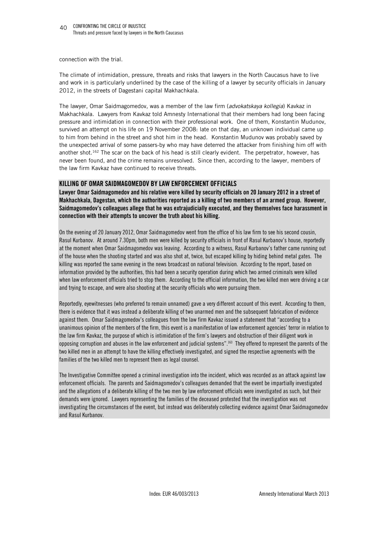connection with the trial.

The climate of intimidation, pressure, threats and risks that lawyers in the North Caucasus have to live and work in is particularly underlined by the case of the killing of a lawyer by security officials in January 2012, in the streets of Dagestani capital Makhachkala.

The lawyer, Omar Saidmagomedov, was a member of the law firm (*advokatskaya kollegia*) Kavkaz in Makhachkala. Lawyers from Kavkaz told Amnesty International that their members had long been facing pressure and intimidation in connection with their professional work. One of them, Konstantin Mudunov, survived an attempt on his life on 19 November 2008: late on that day, an unknown individual came up to him from behind in the street and shot him in the head. Konstantin Mudunov was probably saved by the unexpected arrival of some passers-by who may have deterred the attacker from finishing him off with another shot.<sup>162</sup> The scar on the back of his head is still clearly evident. The perpetrator, however, has never been found, and the crime remains unresolved. Since then, according to the lawyer, members of the law firm Kavkaz have continued to receive threats.

#### **KILLING OF OMAR SAIDMAGOMEDOV BY LAW ENFORCEMENT OFFICIALS**

**Lawyer Omar Saidmagomedov and his relative were killed by security officials on 20 January 2012 in a street of Makhachkala, Dagestan, which the authorities reported as a killing of two members of an armed group. However, Saidmagomedov's colleagues allege that he was extrajudicially executed, and they themselves face harassment in connection with their attempts to uncover the truth about his killing.** 

On the evening of 20 January 2012, Omar Saidmagomedov went from the office of his law firm to see his second cousin, Rasul Kurbanov. At around 7.30pm, both men were killed by security officials in front of Rasul Kurbanov's house, reportedly at the moment when Omar Saidmagomedov was leaving. According to a witness, Rasul Kurbanov's father came running out of the house when the shooting started and was also shot at, twice, but escaped killing by hiding behind metal gates. The killing was reported the same evening in the news broadcast on national television. According to the report, based on information provided by the authorities, this had been a security operation during which two armed criminals were killed when law enforcement officials tried to stop them. According to the official information, the two killed men were driving a car and trying to escape, and were also shooting at the security officials who were pursuing them.

Reportedly, eyewitnesses (who preferred to remain unnamed) gave a very different account of this event. According to them, there is evidence that it was instead a deliberate killing of two unarmed men and the subsequent fabrication of evidence against them. Omar Saidmagomedov's colleagues from the law firm Kavkaz issued a statement that "according to a unanimous opinion of the members of the firm, this event is a manifestation of law enforcement agencies' terror in relation to the law firm Kavkaz, the purpose of which is intimidation of the firm's lawyers and obstruction of their diligent work in opposing corruption and abuses in the law enforcement and judicial systems".<sup>163</sup> They offered to represent the parents of the two killed men in an attempt to have the killing effectively investigated, and signed the respective agreements with the families of the two killed men to represent them as legal counsel.

The Investigative Committee opened a criminal investigation into the incident, which was recorded as an attack against law enforcement officials. The parents and Saidmagomedov's colleagues demanded that the event be impartially investigated and the allegations of a deliberate killing of the two men by law enforcement officials were investigated as such, but their demands were ignored. Lawyers representing the families of the deceased protested that the investigation was not investigating the circumstances of the event, but instead was deliberately collecting evidence against Omar Saidmagomedov and Rasul Kurbanov.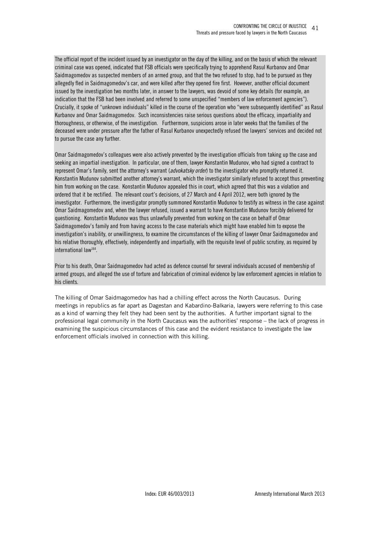The official report of the incident issued by an investigator on the day of the killing, and on the basis of which the relevant criminal case was opened, indicated that FSB officials were specifically trying to apprehend Rasul Kurbanov and Omar Saidmagomedov as suspected members of an armed group, and that the two refused to stop, had to be pursued as they allegedly fled in Saidmagomedov's car, and were killed after they opened fire first. However, another official document issued by the investigation two months later, in answer to the lawyers, was devoid of some key details (for example, an indication that the FSB had been involved, and referred to some unspecified "members of law enforcement agencies"). Crucially, it spoke of "unknown individuals" killed in the course of the operation who "were subsequently identified" as Rasul Kurbanov and Omar Saidmagomedov. Such inconsistencies raise serious questions about the efficacy, impartiality and thoroughness, or otherwise, of the investigation. Furthermore, suspicions arose in later weeks that the families of the deceased were under pressure after the father of Rasul Kurbanov unexpectedly refused the lawyers' services and decided not to pursue the case any further.

Omar Saidmagomedov's colleagues were also actively prevented by the investigation officials from taking up the case and seeking an impartial investigation. In particular, one of them, lawyer Konstantin Mudunov, who had signed a contract to represent Omar's family, sent the attorney's warrant (*advokatsky order*) to the investigator who promptly returned it. Konstantin Mudunov submitted another attorney's warrant, which the investigator similarly refused to accept thus preventing him from working on the case. Konstantin Mudunov appealed this in court, which agreed that this was a violation and ordered that it be rectified. The relevant court's decisions, of 27 March and 4 April 2012, were both ignored by the investigator. Furthermore, the investigator promptly summoned Konstantin Mudunov to testify as witness in the case against Omar Saidmagomedov and, when the lawyer refused, issued a warrant to have Konstantin Mudunov forcibly delivered for questioning. Konstantin Mudunov was thus unlawfully prevented from working on the case on behalf of Omar Saidmagomedov's family and from having access to the case materials which might have enabled him to expose the investigation's inability, or unwillingness, to examine the circumstances of the killing of lawyer Omar Saidmagomedov and his relative thoroughly, effectively, independently and impartially, with the requisite level of public scrutiny, as required by international law<sup>164</sup>.

Prior to his death, Omar Saidmagomedov had acted as defence counsel for several individuals accused of membership of armed groups, and alleged the use of torture and fabrication of criminal evidence by law enforcement agencies in relation to his clients.

The killing of Omar Saidmagomedov has had a chilling effect across the North Caucasus. During meetings in republics as far apart as Dagestan and Kabardino-Balkaria, lawyers were referring to this case as a kind of warning they felt they had been sent by the authorities. A further important signal to the professional legal community in the North Caucasus was the authorities' response – the lack of progress in examining the suspicious circumstances of this case and the evident resistance to investigate the law enforcement officials involved in connection with this killing.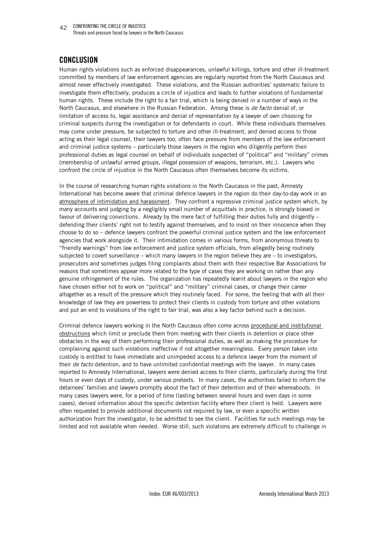CONFRONTING THE CIRCLE OF INJUSTICE 42 Threats and pressure faced by lawyers in the North Caucasus

# **CONCLUSION**

Human rights violations such as enforced disappearances, unlawful killings, torture and other ill-treatment committed by members of law enforcement agencies are regularly reported from the North Caucasus and almost never effectively investigated. These violations, and the Russian authorities' systematic failure to investigate them effectively, produces a circle of injustice and leads to further violations of fundamental human rights. These include the right to a fair trial, which is being denied in a number of ways in the North Caucasus, and elsewhere in the Russian Federation. Among these is *de facto* denial of, or limitation of access to, legal assistance and denial of representation by a lawyer of own choosing for criminal suspects during the investigation or for defendants in court. While these individuals themselves may come under pressure, be subjected to torture and other ill-treatment, and denied access to those acting as their legal counsel, their lawyers too, often face pressure from members of the law enforcement and criminal justice systems – particularly those lawyers in the region who diligently perform their professional duties as legal counsel on behalf of individuals suspected of "political" and "military" crimes (membership of unlawful armed groups, illegal possession of weapons, terrorism, etc.). Lawyers who confront the circle of injustice in the North Caucasus often themselves become its victims.

In the course of researching human rights violations in the North Caucasus in the past, Amnesty International has become aware that criminal defence lawyers in the region do their day-to-day work in an atmosphere of intimidation and harassment. They confront a repressive criminal justice system which, by many accounts and judging by a negligibly small number of acquittals in practice, is strongly biased in favour of delivering convictions. Already by the mere fact of fulfilling their duties fully and diligently – defending their clients' right not to testify against themselves, and to insist on their innocence when they choose to do so – defence lawyers confront the powerful criminal justice system and the law enforcement agencies that work alongside it. Their intimidation comes in various forms, from anonymous threats to "friendly warnings" from law enforcement and justice system officials, from allegedly being routinely subjected to covert surveillance – which many lawyers in the region believe they are – to investigators, prosecutors and sometimes judges filing complaints about them with their respective Bar Associations for reasons that sometimes appear more related to the type of cases they are working on rather than any genuine infringement of the rules. The organization has repeatedly learnt about lawyers in the region who have chosen either not to work on "political" and "military" criminal cases, or change their career altogether as a result of the pressure which they routinely faced. For some, the feeling that with all their knowledge of law they are powerless to protect their clients in custody from torture and other violations and put an end to violations of the right to fair trial, was also a key factor behind such a decision.

Criminal defence lawyers working in the North Caucasus often come across procedural and institutional obstructions which limit or preclude them from meeting with their clients in detention or place other obstacles in the way of them performing their professional duties, as well as making the procedure for complaining against such violations ineffective if not altogether meaningless. Every person taken into custody is entitled to have immediate and unimpeded access to a defence lawyer from the moment of their *de facto* detention, and to have unlimited confidential meetings with the lawyer. In many cases reported to Amnesty International, lawyers were denied access to their clients, particularly during the first hours or even days of custody, under various pretexts. In many cases, the authorities failed to inform the detainees' families and lawyers promptly about the fact of their detention and of their whereabouts. In many cases lawyers were, for a period of time (lasting between several hours and even days in some cases), denied information about the specific detention facility where their client is held. Lawyers were often requested to provide additional documents not required by law, or even a specific written authorization from the investigator, to be admitted to see the client. Facilities for such meetings may be limited and not available when needed. Worse still, such violations are extremely difficult to challenge in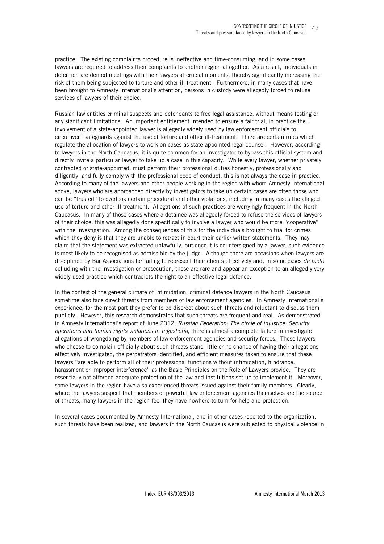practice. The existing complaints procedure is ineffective and time-consuming, and in some cases lawyers are required to address their complaints to another region altogether. As a result, individuals in detention are denied meetings with their lawyers at crucial moments, thereby significantly increasing the risk of them being subjected to torture and other ill-treatment. Furthermore, in many cases that have been brought to Amnesty International's attention, persons in custody were allegedly forced to refuse services of lawyers of their choice.

Russian law entitles criminal suspects and defendants to free legal assistance, without means testing or any significant limitations. An important entitlement intended to ensure a fair trial, in practice the involvement of a state-appointed lawyer is allegedly widely used by law enforcement officials to circumvent safeguards against the use of torture and other ill-treatment. There are certain rules which regulate the allocation of lawyers to work on cases as state-appointed legal counsel. However, according to lawyers in the North Caucasus, it is quite common for an investigator to bypass this official system and directly invite a particular lawyer to take up a case in this capacity. While every lawyer, whether privately contracted or state-appointed, must perform their professional duties honestly, professionally and diligently, and fully comply with the professional code of conduct, this is not always the case in practice. According to many of the lawyers and other people working in the region with whom Amnesty International spoke, lawyers who are approached directly by investigators to take up certain cases are often those who can be "trusted" to overlook certain procedural and other violations, including in many cases the alleged use of torture and other ill-treatment. Allegations of such practices are worryingly frequent in the North Caucasus. In many of those cases where a detainee was allegedly forced to refuse the services of lawyers of their choice, this was allegedly done specifically to involve a lawyer who would be more "cooperative" with the investigation. Among the consequences of this for the individuals brought to trial for crimes which they deny is that they are unable to retract in court their earlier written statements. They may claim that the statement was extracted unlawfully, but once it is countersigned by a lawyer, such evidence is most likely to be recognised as admissible by the judge. Although there are occasions when lawyers are disciplined by Bar Associations for failing to represent their clients effectively and, in some cases *de facto* colluding with the investigation or prosecution, these are rare and appear an exception to an allegedly very widely used practice which contradicts the right to an effective legal defence.

In the context of the general climate of intimidation, criminal defence lawyers in the North Caucasus sometime also face direct threats from members of law enforcement agencies. In Amnesty International's experience, for the most part they prefer to be discreet about such threats and reluctant to discuss them publicly. However, this research demonstrates that such threats are frequent and real. As demonstrated in Amnesty International's report of June 2012, *Russian Federation: The circle of injustice: Security operations and human rights violations in Ingushetia*, there is almost a complete failure to investigate allegations of wrongdoing by members of law enforcement agencies and security forces. Those lawyers who choose to complain officially about such threats stand little or no chance of having their allegations effectively investigated, the perpetrators identified, and efficient measures taken to ensure that these lawyers "are able to perform all of their professional functions without intimidation, hindrance, harassment or improper interference" as the Basic Principles on the Role of Lawyers provide. They are essentially not afforded adequate protection of the law and institutions set up to implement it. Moreover, some lawyers in the region have also experienced threats issued against their family members. Clearly, where the lawyers suspect that members of powerful law enforcement agencies themselves are the source of threats, many lawyers in the region feel they have nowhere to turn for help and protection.

In several cases documented by Amnesty International, and in other cases reported to the organization, such threats have been realized, and lawyers in the North Caucasus were subjected to physical violence in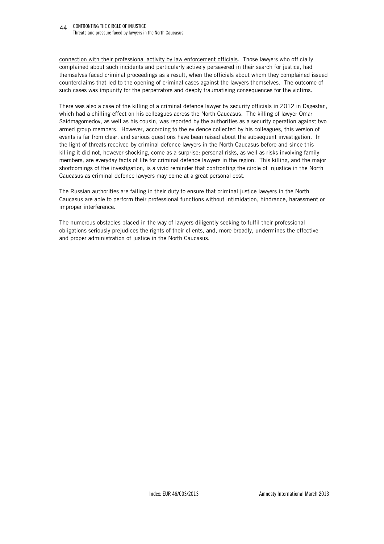CONFRONTING THE CIRCLE OF INJUSTICE 44 Threats and pressure faced by lawyers in the North Caucasus

connection with their professional activity by law enforcement officials. Those lawyers who officially complained about such incidents and particularly actively persevered in their search for justice, had themselves faced criminal proceedings as a result, when the officials about whom they complained issued counterclaims that led to the opening of criminal cases against the lawyers themselves. The outcome of such cases was impunity for the perpetrators and deeply traumatising consequences for the victims.

There was also a case of the killing of a criminal defence lawyer by security officials in 2012 in Dagestan, which had a chilling effect on his colleagues across the North Caucasus. The killing of lawyer Omar Saidmagomedov, as well as his cousin, was reported by the authorities as a security operation against two armed group members. However, according to the evidence collected by his colleagues, this version of events is far from clear, and serious questions have been raised about the subsequent investigation. In the light of threats received by criminal defence lawyers in the North Caucasus before and since this killing it did not, however shocking, come as a surprise: personal risks, as well as risks involving family members, are everyday facts of life for criminal defence lawyers in the region. This killing, and the major shortcomings of the investigation, is a vivid reminder that confronting the circle of injustice in the North Caucasus as criminal defence lawyers may come at a great personal cost.

The Russian authorities are failing in their duty to ensure that criminal justice lawyers in the North Caucasus are able to perform their professional functions without intimidation, hindrance, harassment or improper interference.

The numerous obstacles placed in the way of lawyers diligently seeking to fulfil their professional obligations seriously prejudices the rights of their clients, and, more broadly, undermines the effective and proper administration of justice in the North Caucasus.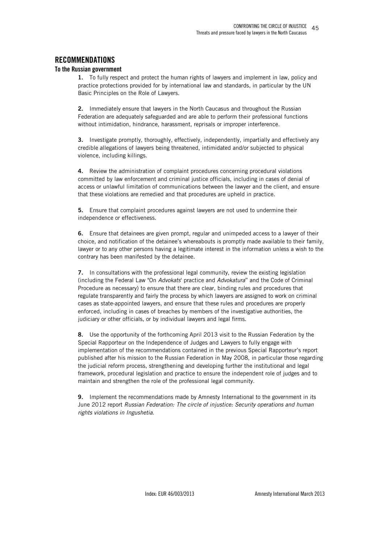# **RECOMMENDATIONS**

#### **To the Russian government**

**1.** To fully respect and protect the human rights of lawyers and implement in law, policy and practice protections provided for by international law and standards, in particular by the UN Basic Principles on the Role of Lawyers.

**2.** Immediately ensure that lawyers in the North Caucasus and throughout the Russian Federation are adequately safeguarded and are able to perform their professional functions without intimidation, hindrance, harassment, reprisals or improper interference.

**3.** Investigate promptly, thoroughly, effectively, independently, impartially and effectively any credible allegations of lawyers being threatened, intimidated and/or subjected to physical violence, including killings.

**4.** Review the administration of complaint procedures concerning procedural violations committed by law enforcement and criminal justice officials, including in cases of denial of access or unlawful limitation of communications between the lawyer and the client, and ensure that these violations are remedied and that procedures are upheld in practice.

**5.** Ensure that complaint procedures against lawyers are not used to undermine their independence or effectiveness.

**6.** Ensure that detainees are given prompt, regular and unimpeded access to a lawyer of their choice, and notification of the detainee's whereabouts is promptly made available to their family, lawyer or to any other persons having a legitimate interest in the information unless a wish to the contrary has been manifested by the detainee.

**7.** In consultations with the professional legal community, review the existing legislation (including the Federal Law "On *Advokats*' practice and *Advokatura*" and the Code of Criminal Procedure as necessary) to ensure that there are clear, binding rules and procedures that regulate transparently and fairly the process by which lawyers are assigned to work on criminal cases as state-appointed lawyers, and ensure that these rules and procedures are properly enforced, including in cases of breaches by members of the investigative authorities, the judiciary or other officials, or by individual lawyers and legal firms.

**8.** Use the opportunity of the forthcoming April 2013 visit to the Russian Federation by the Special Rapporteur on the Independence of Judges and Lawyers to fully engage with implementation of the recommendations contained in the previous Special Rapporteur's report published after his mission to the Russian Federation in May 2008, in particular those regarding the judicial reform process, strengthening and developing further the institutional and legal framework, procedural legislation and practice to ensure the independent role of judges and to maintain and strengthen the role of the professional legal community.

**9.** Implement the recommendations made by Amnesty International to the government in its June 2012 report *Russian Federation: The circle of injustice: Security operations and human rights violations in Ingushetia*.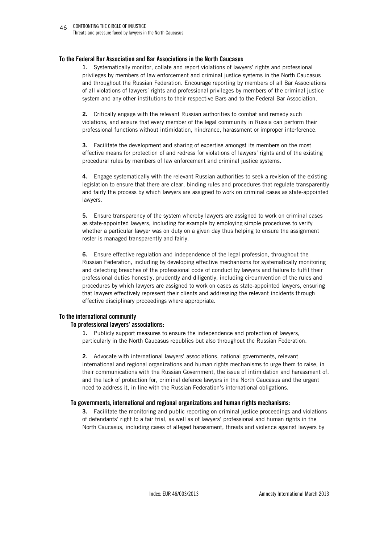#### **To the Federal Bar Association and Bar Associations in the North Caucasus**

**1.** Systematically monitor, collate and report violations of lawyers' rights and professional privileges by members of law enforcement and criminal justice systems in the North Caucasus and throughout the Russian Federation. Encourage reporting by members of all Bar Associations of all violations of lawyers' rights and professional privileges by members of the criminal justice system and any other institutions to their respective Bars and to the Federal Bar Association.

**2.** Critically engage with the relevant Russian authorities to combat and remedy such violations, and ensure that every member of the legal community in Russia can perform their professional functions without intimidation, hindrance, harassment or improper interference.

**3.** Facilitate the development and sharing of expertise amongst its members on the most effective means for protection of and redress for violations of lawyers' rights and of the existing procedural rules by members of law enforcement and criminal justice systems.

**4.** Engage systematically with the relevant Russian authorities to seek a revision of the existing legislation to ensure that there are clear, binding rules and procedures that regulate transparently and fairly the process by which lawyers are assigned to work on criminal cases as state-appointed lawyers.

**5.** Ensure transparency of the system whereby lawyers are assigned to work on criminal cases as state-appointed lawyers, including for example by employing simple procedures to verify whether a particular lawyer was on duty on a given day thus helping to ensure the assignment roster is managed transparently and fairly.

**6.** Ensure effective regulation and independence of the legal profession, throughout the Russian Federation, including by developing effective mechanisms for systematically monitoring and detecting breaches of the professional code of conduct by lawyers and failure to fulfil their professional duties honestly, prudently and diligently, including circumvention of the rules and procedures by which lawyers are assigned to work on cases as state-appointed lawyers, ensuring that lawyers effectively represent their clients and addressing the relevant incidents through effective disciplinary proceedings where appropriate.

#### **To the international community**

#### **To professional lawyers' associations:**

**1.** Publicly support measures to ensure the independence and protection of lawyers, particularly in the North Caucasus republics but also throughout the Russian Federation.

**2.** Advocate with international lawyers' associations, national governments, relevant international and regional organizations and human rights mechanisms to urge them to raise, in their communications with the Russian Government, the issue of intimidation and harassment of, and the lack of protection for, criminal defence lawyers in the North Caucasus and the urgent need to address it, in line with the Russian Federation's international obligations.

#### **To governments, international and regional organizations and human rights mechanisms:**

**3.** Facilitate the monitoring and public reporting on criminal justice proceedings and violations of defendants' right to a fair trial, as well as of lawyers' professional and human rights in the North Caucasus, including cases of alleged harassment, threats and violence against lawyers by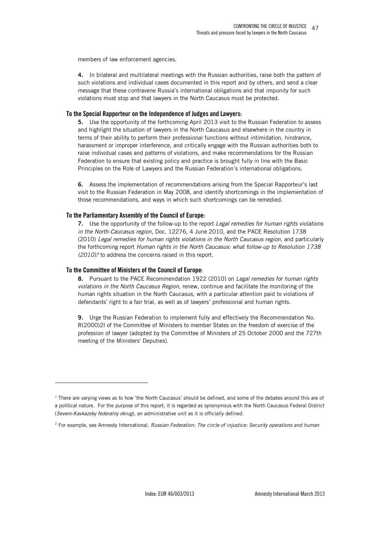members of law enforcement agencies.

**4.** In bilateral and multilateral meetings with the Russian authorities, raise both the pattern of such violations and individual cases documented in this report and by others, and send a clear message that these contravene Russia's international obligations and that impunity for such violations must stop and that lawyers in the North Caucasus must be protected.

#### **To the Special Rapporteur on the Independence of Judges and Lawyers:**

**5.** Use the opportunity of the forthcoming April 2013 visit to the Russian Federation to assess and highlight the situation of lawyers in the North Caucasus and elsewhere in the country in terms of their ability to perform their professional functions without intimidation, hindrance, harassment or improper interference, and critically engage with the Russian authorities both to raise individual cases and patterns of violations, and make recommendations for the Russian Federation to ensure that existing policy and practice is brought fully in line with the Basic Principles on the Role of Lawyers and the Russian Federation's international obligations.

**6.** Assess the implementation of recommendations arising from the Special Rapporteur's last visit to the Russian Federation in May 2008, and identify shortcomings in the implementation of those recommendations, and ways in which such shortcomings can be remedied.

#### **To the Parliamentary Assembly of the Council of Europe:**

**7.** Use the opportunity of the follow-up to the report *Legal remedies for human rights violations in the North-Caucasus region*, Doc. 12276, 4 June 2010, and the PACE Resolution 1738 (2010) *Legal remedies for human rights violations in the North Caucasus region*, and particularly the forthcoming report *Human rights in the North Caucasus: what follow-up to Resolution 1738 (2010)?* to address the concerns raised in this report.

#### **To the Committee of Ministers of the Council of Europe:**

j

**8.** Pursuant to the PACE Recommendation 1922 (2010) on *Legal remedies for human rights violations in the North Caucasus Region*, renew, continue and facilitate the monitoring of the human rights situation in the North Caucasus, with a particular attention paid to violations of defendants' right to a fair trial, as well as of lawyers' professional and human rights.

**9.** Urge the Russian Federation to implement fully and effectively the Recommendation No. R(2000)2l of the Committee of Ministers to member States on the freedom of exercise of the profession of lawyer (adopted by the Committee of Ministers of 25 October 2000 and the 727th meeting of the Ministers' Deputies).

<sup>&</sup>lt;sup>1</sup> There are varying views as to how 'the North Caucasus' should be defined, and some of the debates around this are of a political nature. For the purpose of this report, it is regarded as synonymous with the North Caucasus Federal District (*Severo-Kavkazsky federalny okrug*), an administrative unit as it is officially defined.

<sup>2</sup> For example, see Amnesty International, *Russian Federation: The circle of injustice: Security operations and human*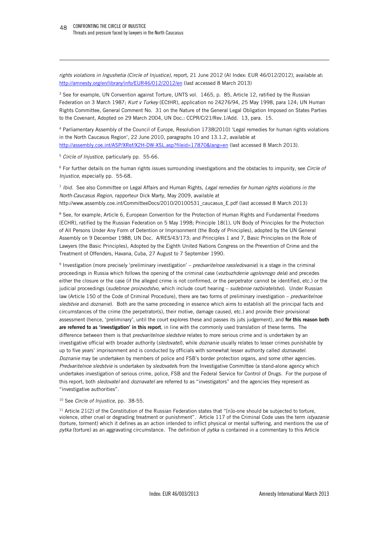*rights violations in Ingushetia (Circle of Injustice)*, report, 21 June 2012 (AI Index: EUR 46/012/2012), available at: http://amnesty.org/en/library/info/EUR46/012/2012/en (last accessed 8 March 2013)

<sup>3</sup> See for example, UN Convention against Torture, UNTS vol. 1465, p. 85, Article 12, ratified by the Russian Federation on 3 March 1987; *Kurt v Turkey* (ECtHR), application no 24276/94, 25 May 1998, para 124; UN Human Rights Committee, General Comment No. 31 on the Nature of the General Legal Obligation Imposed on States Parties to the Covenant, Adopted on 29 March 2004, UN Doc.: CCPR/C/21/Rev.1/Add. 13, para. 15.

4 Parliamentary Assembly of the Council of Europe, Resolution 1738(2010) 'Legal remedies for human rights violations in the North Caucasus Region', 22 June 2010, paragraphs 10 and 13.1.2, available at http://assembly.coe.int/ASP/XRef/X2H-DW-XSL.asp?fileid=17870&lang=en (last accessed 8 March 2013).

<sup>5</sup> *Circle of Injustice*, particularly pp. 55-66.

-

6 For further details on the human rights issues surrounding investigations and the obstacles to impunity, see *Circle of Injustice*, especially pp. 55-68.

7 *Ibid*. See also Committee on Legal Affairs and Human Rights, *Legal remedies for human rights violations in the North-Caucasus Region*, rapporteur Dick Marty, May 2009, available at http://www.assembly.coe.int/CommitteeDocs/2010/20100531\_caucasus\_E.pdf (last accessed 8 March 2013)

<sup>8</sup> See, for example, Article 6, European Convention for the Protection of Human Rights and Fundamental Freedoms (ECHR), ratified by the Russian Federation on 5 May 1998; Principle 18(1), UN Body of Principles for the Protection of All Persons Under Any Form of Detention or Imprisonment (the Body of Principles), adopted by the UN General Assembly on 9 December 1988, UN Doc. A/RES/43/173; and Principles 1 and 7, Basic Principles on the Role of Lawyers (the Basic Principles), Adopted by the Eighth United Nations Congress on the Prevention of Crime and the Treatment of Offenders, Havana, Cuba, 27 August to 7 September 1990.

9 Investigation (more precisely 'preliminary investigation' – *predvaritelnoe rassledovanie*) is a stage in the criminal proceedings in Russia which follows the opening of the criminal case (*vozbuzhdenie ugolovnogo dela*) and precedes either the closure or the case (if the alleged crime is not confirmed, or the perpetrator cannot be identified, etc.) or the judicial proceedings (*sudebnoe proizvodstvo*, which include court hearing – *sudebnoe razbiratelstvo*). Under Russian law (Article 150 of the Code of Criminal Procedure), there are two forms of preliminary investigation – *predvaritelnoe sledstvie* and *doznanie*). Both are the same proceeding in essence which aims to establish all the principal facts and circumstances of the crime (the perpetrator(s), their motive, damage caused, etc.) and provide their provisional assessment (hence, 'preliminary', until the court explores these and passes its juts judgement), and **for this reason both are referred to as 'investigation' in this report**, in line with the commonly used translation of these terms. The difference between them is that *predvaritelnoe sledstvie* relates to more serious crime and is undertaken by an investigative official with broader authority (*sledovatel*), while *doznanie* usually relates to lesser crimes punishable by up to five years' imprisonment and is conducted by officials with somewhat lesser authority called *doznavatel*. *Doznanie* may be undertaken by members of police and FSB's border protection organs, and some other agencies. *Predvaritelnoe sledstvie* is undertaken by *sledovatel*s from the Investigative Committee (a stand-alone agency which undertakes investigation of serious crime, police, FSB and the Federal Service for Control of Drugs. For the purpose of this report, both *sledovatel* and *doznavatel* are referred to as "investigators" and the agencies they represent as "investigative authorities".

#### <sup>10</sup> See *Circle of Injustice*, pp. 38-55.

 $11$  Article 21(2) of the Constitution of the Russian Federation states that "[n]o-one should be subjected to torture, violence, other cruel or degrading treatment or punishment". Article 117 of the Criminal Code uses the term *istyazanie* (torture, torment) which it defines as an action intended to inflict physical or mental suffering, and mentions the use of *pytka* (torture) as an aggravating circumstance. The definition of *pytka* is contained in a commentary to this Article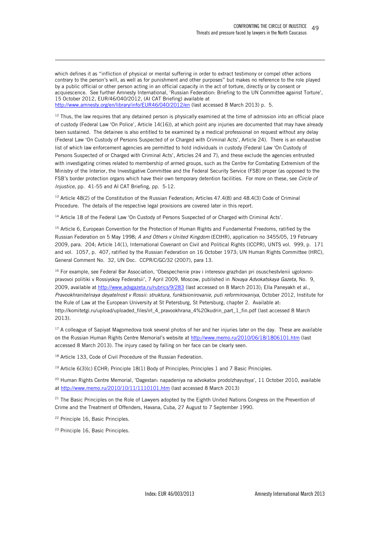which defines it as "infliction of physical or mental suffering in order to extract testimony or compel other actions contrary to the person's will, as well as for punishment and other purposes" but makes no reference to the role played by a public official or other person acting in an official capacity in the act of torture, directly or by consent or acquiescence. See further Amnesty International, 'Russian Federation: Briefing to the UN Committee against Torture', 15 October 2012, EUR/46/040/2012, (AI CAT Briefing) available at http://www.amnesty.org/en/library/info/EUR46/040/2012/en (last accessed 8 March 2013) p. 5.

 $12$  Thus, the law requires that any detained person is physically examined at the time of admission into an official place of custody (Federal Law 'On Police', Article 14(16)), at which point any injuries are documented that may have already been sustained. The detainee is also entitled to be examined by a medical professional on request without any delay (Federal Law 'On Custody of Persons Suspected of or Charged with Criminal Acts', Article 24). There is an exhaustive list of which law enforcement agencies are permitted to hold individuals in custody (Federal Law 'On Custody of Persons Suspected of or Charged with Criminal Acts', Articles 24 and 7), and these exclude the agencies entrusted with investigating crimes related to membership of armed groups, such as the Centre for Combating Extremism of the Ministry of the Interior, the Investigative Committee and the Federal Security Service (FSB) proper (as opposed to the FSB's border protection organs which have their own temporary detention facilities. For more on these, see *Circle of Injustice*, pp. 41-55 and AI CAT Briefing, pp. 5-12.

<sup>13</sup> Article 48(2) of the Constitution of the Russian Federation; Articles 47.4(8) and 48.4(3) Code of Criminal Procedure. The details of the respective legal provisions are covered later in this report.

<sup>14</sup> Article 18 of the Federal Law 'On Custody of Persons Suspected of or Charged with Criminal Acts'.

<sup>15</sup> Article 6, European Convention for the Protection of Human Rights and Fundamental Freedoms, ratified by the Russian Federation on 5 May 1998; *A and Others v United Kingdom* (ECtHR), application no 3455/05, 19 February 2009, para. 204; Article 14(1), International Covenant on Civil and Political Rights (ICCPR), UNTS vol. 999, p. 171 and vol. 1057, p. 407, ratified by the Russian Federation on 16 October 1973; UN Human Rights Committee (HRC), General Comment No. 32, UN Doc. CCPR/C/GC/32 (2007), para 13.

<sup>16</sup> For example, see Federal Bar Association, 'Obespechenie prav i interesov grazhdan pri osuschestvlenii ugolovnopravovoi politiki v Rossiyskoy Federatsii', 7 April 2009, Moscow, published in *Novaya Advokatskaya Gazeta*, No. 9, 2009, available at http://www.advgazeta.ru/rubrics/9/283 (last accessed on 8 March 2013); Ella Paneyakh et al., *Pravookhranitelnaya deyatelnost v Rossii: struktura, funktsionirovanie, puti reformirovaniya*, October 2012, Institute for the Rule of Law at the European University at St Petersburg, St Petersburg, chapter 2. Available at: http://komitetgi.ru/upload/uploaded\_files/irl\_4\_pravookhrana\_4%20kudrin\_part\_1\_fin.pdf (last accessed 8 March 2013).

 $17$  A colleague of Sapiyat Magomedova took several photos of her and her injuries later on the day. These are available on the Russian Human Rights Centre Memorial's website at http://www.memo.ru/2010/06/18/1806101.htm (last accessed 8 March 2013). The injury cased by falling on her face can be clearly seen.

<sup>18</sup> Article 133, Code of Civil Procedure of the Russian Federation.

<sup>19</sup> Article 6(3)(c) ECHR; Principle 18(1) Body of Principles; Principles 1 and 7 Basic Principles.

<sup>20</sup> Human Rights Centre Memorial, 'Dagestan: napadeniya na advokatov prodolzhayutsya', 11 October 2010, available at http://www.memo.ru/2010/10/11/1110101.htm (last accessed 8 March 2013)

<sup>21</sup> The Basic Principles on the Role of Lawyers adopted by the Eighth United Nations Congress on the Prevention of Crime and the Treatment of Offenders, Havana, Cuba, 27 August to 7 September 1990.

<sup>22</sup> Principle 16, Basic Principles.

-

23 Principle 16, Basic Principles.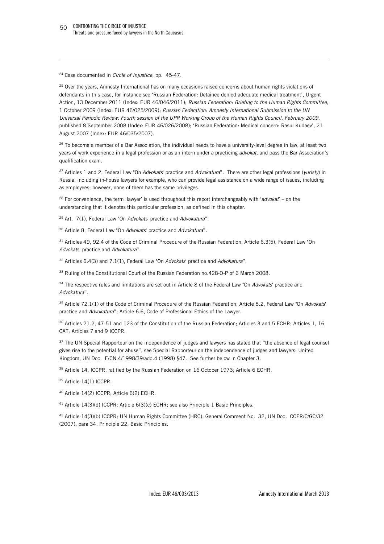<sup>24</sup> Case documented in *Circle of Injustice*, pp. 45-47.

-

<sup>25</sup> Over the years, Amnesty International has on many occasions raised concerns about human rights violations of defendants in this case, for instance see 'Russian Federation: Detainee denied adequate medical treatment', Urgent Action, 13 December 2011 (Index: EUR 46/046/2011); *Russian Federation: Briefing to the Human Rights Committee*, 1 October 2009 (Index: EUR 46/025/2009); *Russian Federation: Amnesty International Submission to the UN Universal Periodic Review: Fourth session of the UPR Working Group of the Human Rights Council*, *February 2009*, published 8 September 2008 (Index: EUR 46/026/2008); 'Russian Federation: Medical concern: Rasul Kudaev', 21 August 2007 (Index: EUR 46/035/2007).

<sup>26</sup> To become a member of a Bar Association, the individual needs to have a university-level degree in law, at least two years of work experience in a legal profession or as an intern under a practicing *advokat*, and pass the Bar Association's qualification exam.

<sup>27</sup> Articles 1 and 2, Federal Law "On *Advokats*' practice and *Advokatura*". There are other legal professions (*yuristy*) in Russia, including in-house lawyers for example, who can provide legal assistance on a wide range of issues, including as employees; however, none of them has the same privileges.

<sup>28</sup> For convenience, the term 'lawyer' is used throughout this report interchangeably with '*advokat*' – on the understanding that it denotes this particular profession, as defined in this chapter.

<sup>29</sup> Art. 7(1), Federal Law "On *Advokats*' practice and *Advokatura*".

<sup>30</sup> Article 8, Federal Law "On *Advokats*' practice and *Advokatura*".

<sup>31</sup> Articles 49, 92.4 of the Code of Criminal Procedure of the Russian Federation; Article 6.3(5), Federal Law "On *Advokats*' practice and *Advokatura*".

<sup>32</sup> Articles 6.4(3) and 7.1(1), Federal Law "On *Advokats*' practice and *Advokatura*".

<sup>33</sup> Ruling of the Constitutional Court of the Russian Federation no.428-O-P of 6 March 2008.

<sup>34</sup> The respective rules and limitations are set out in Article 8 of the Federal Law "On *Advokats*' practice and *Advokatura*".

<sup>35</sup> Article 72.1(1) of the Code of Criminal Procedure of the Russian Federation; Article 8.2, Federal Law "On *Advokats*' practice and *Advokatura*"; Article 6.6, Code of Professional Ethics of the Lawyer.

<sup>36</sup> Articles 21.2, 47-51 and 123 of the Constitution of the Russian Federation; Articles 3 and 5 ECHR; Articles 1, 16 CAT; Articles 7 and 9 ICCPR.

<sup>37</sup> The UN Special Rapporteur on the independence of judges and lawyers has stated that "the absence of legal counsel gives rise to the potential for abuse", see Special Rapporteur on the independence of judges and lawyers: United Kingdom, UN Doc. E/CN.4/1998/39/add.4 (1998) §47. See further below in Chapter 3.

38 Article 14, ICCPR, ratified by the Russian Federation on 16 October 1973; Article 6 ECHR.

<sup>39</sup> Article 14(1) ICCPR.

<sup>40</sup> Article 14(2) ICCPR; Article 6(2) ECHR.

<sup>41</sup> Article 14(3)(d) ICCPR; Article 6(3)(c) ECHR; see also Principle 1 Basic Principles.

<sup>42</sup> Article 14(3)(b) ICCPR; UN Human Rights Committee (HRC), General Comment No. 32, UN Doc. CCPR/C/GC/32 (2007), para 34; Principle 22, Basic Principles.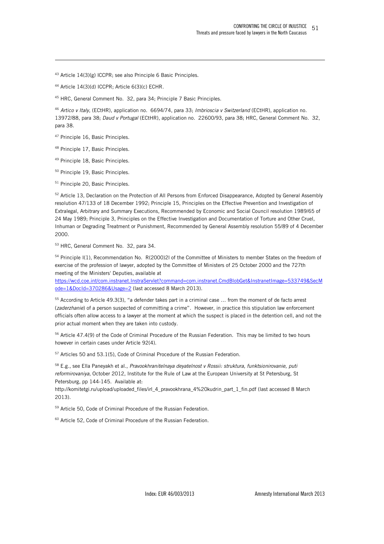<sup>43</sup> Article 14(3)(g) ICCPR; see also Principle 6 Basic Principles.

<sup>44</sup> Article 14(3)(d) ICCPR; Article 6(3)(c) ECHR.

<sup>45</sup> HRC, General Comment No. 32, para 34; Principle 7 Basic Principles.

<sup>46</sup> *Artico v Italy*, (ECtHR), application no. 6694/74, para 33; *Imbrioscia v Switzerland* (ECtHR), application no. 13972/88, para 38; *Daud v Portugal* (ECtHR), application no. 22600/93, para 38; HRC, General Comment No. 32, para 38.

<sup>47</sup> Principle 16, Basic Principles.

-

<sup>48</sup> Principle 17, Basic Principles.

<sup>49</sup> Principle 18, Basic Principles.

<sup>50</sup> Principle 19, Basic Principles.

<sup>51</sup> Principle 20, Basic Principles.

<sup>52</sup> Article 13, Declaration on the Protection of All Persons from Enforced Disappearance, Adopted by General Assembly resolution 47/133 of 18 December 1992; Principle 15, Principles on the Effective Prevention and Investigation of Extralegal, Arbitrary and Summary Executions, Recommended by Economic and Social Council resolution 1989/65 of 24 May 1989; Principle 3, Principles on the Effective Investigation and Documentation of Torture and Other Cruel, Inhuman or Degrading Treatment or Punishment, Recommended by General Assembly resolution 55/89 of 4 December 2000.

<sup>53</sup> HRC, General Comment No. 32, para 34.

<sup>54</sup> Principle I(1), Recommendation No. R(2000)2l of the Committee of Ministers to member States on the freedom of exercise of the profession of lawyer, adopted by the Committee of Ministers of 25 October 2000 and the 727th meeting of the Ministers' Deputies, available at

https://wcd.coe.int/com.instranet.InstraServlet?command=com.instranet.CmdBlobGet&InstranetImage=533749&SecM ode=1&DocId=370286&Usage=2 (last accessed 8 March 2013).

<sup>55</sup> According to Article 49.3(3), "a defender takes part in a criminal case … from the moment of de facto arrest (*zaderzhanie*) of a person suspected of committing a crime". However, in practice this stipulation law enforcement officials often allow access to a lawyer at the moment at which the suspect is placed in the detention cell, and not the prior actual moment when they are taken into custody.

<sup>56</sup> Article 47.4(9) of the Code of Criminal Procedure of the Russian Federation. This may be limited to two hours however in certain cases under Article 92(4).

<sup>57</sup> Articles 50 and 53.1(5), Code of Criminal Procedure of the Russian Federation.

<sup>58</sup> E.g., see Ella Paneyakh et al., *Pravookhranitelnaya deyatelnost v Rossii: struktura, funktsionirovanie, puti reformirovaniya*, October 2012, Institute for the Rule of Law at the European University at St Petersburg, St Petersburg, pp 144-145. Available at:

http://komitetgi.ru/upload/uploaded\_files/irl\_4\_pravookhrana\_4%20kudrin\_part\_1\_fin.pdf (last accessed 8 March 2013).

<sup>59</sup> Article 50, Code of Criminal Procedure of the Russian Federation.

60 Article 52, Code of Criminal Procedure of the Russian Federation.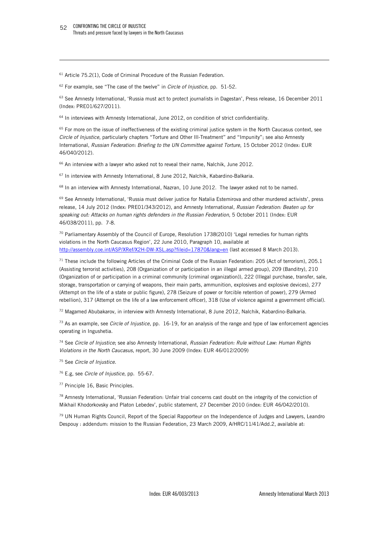-

 $61$  Article 75.2(1), Code of Criminal Procedure of the Russian Federation.

<sup>62</sup> For example, see "The case of the twelve" in *Circle of Injustice*, pp. 51-52.

<sup>63</sup> See Amnesty International, 'Russia must act to protect journalists in Dagestan', Press release, 16 December 2011 (Index: PRE01/627/2011).

 $64$  In interviews with Amnesty International, June 2012, on condition of strict confidentiality.

 $65$  For more on the issue of ineffectiveness of the existing criminal justice system in the North Caucasus context, see *Circle of Injustice*, particularly chapters "Torture and Other Ill-Treatment" and "Impunity"; see also Amnesty International, *Russian Federation: Briefing to the UN Committee against Torture*, 15 October 2012 (Index: EUR 46/040/2012).

<sup>66</sup> An interview with a lawyer who asked not to reveal their name, Nalchik, June 2012.

<sup>67</sup> In interview with Amnesty International, 8 June 2012, Nalchik, Kabardino-Balkaria.

<sup>68</sup> In an interview with Amnesty International, Nazran, 10 June 2012. The lawyer asked not to be named.

<sup>69</sup> See Amnesty International, 'Russia must deliver justice for Natalia Estemirova and other murdered activists', press release, 14 July 2012 (Index: PRE01/343/2012), and Amnesty International, *Russian Federation: Beaten up for speaking out: Attacks on human rights defenders in the Russian Federation*, 5 October 2011 (Index: EUR 46/038/2011), pp. 7-8.

 $70$  Parliamentary Assembly of the Council of Europe, Resolution 1738(2010) 'Legal remedies for human rights violations in the North Caucasus Region', 22 June 2010, Paragraph 10, available at http://assembly.coe.int/ASP/XRef/X2H-DW-XSL.asp?fileid=17870&lang=en (last accessed 8 March 2013).

 $71$  These include the following Articles of the Criminal Code of the Russian Federation: 205 (Act of terrorism), 205.1 (Assisting terrorist activities), 208 (Organization of or participation in an illegal armed group), 209 (Banditry), 210 (Organization of or participation in a criminal community (criminal organization)), 222 (Illegal purchase, transfer, sale, storage, transportation or carrying of weapons, their main parts, ammunition, explosives and explosive devices), 277 (Attempt on the life of a state or public figure), 278 (Seizure of power or forcible retention of power), 279 (Armed rebellion), 317 (Attempt on the life of a law enforcement officer), 318 (Use of violence against a government official).

72 Magamed Abubakarov, in interview with Amnesty International, 8 June 2012, Nalchik, Kabardino-Balkaria.

<sup>73</sup> As an example, see *Circle of Injustice*, pp. 16-19, for an analysis of the range and type of law enforcement agencies operating in Ingushetia.

<sup>74</sup> See *Circle of Injustice*; see also Amnesty International, *Russian Federation: Rule without Law: Human Rights Violations in the North Caucasus*, report, 30 June 2009 (Index: EUR 46/012/2009)

- <sup>75</sup> See *Circle of Injustice*.
- <sup>76</sup> E.g, see *Circle of Injustice*, pp. 55-67.
- <sup>77</sup> Principle 16, Basic Principles.

<sup>78</sup> Amnesty International, 'Russian Federation: Unfair trial concerns cast doubt on the integrity of the conviction of Mikhail Khodorkovsky and Platon Lebedev', public statement, 27 December 2010 (index: EUR 46/042/2010).

79 UN Human Rights Council, Report of the Special Rapporteur on the Independence of Judges and Lawyers, Leandro Despouy : addendum: mission to the Russian Federation, 23 March 2009, A/HRC/11/41/Add.2, available at: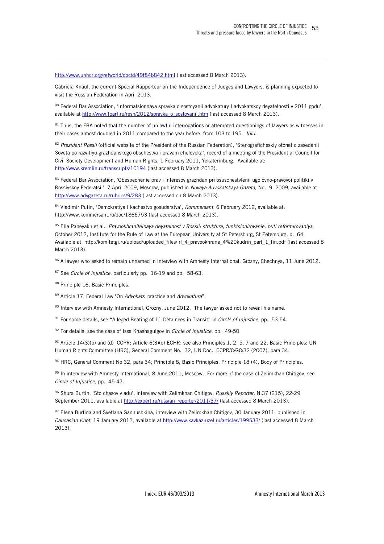http://www.unhcr.org/refworld/docid/49f84b842.html (last accessed 8 March 2013).

Gabriela Knaul, the current Special Rapporteur on the Independence of Judges and Lawyers, is planning expected to visit the Russian Federation in April 2013.

80 Federal Bar Association, 'Informatsionnaya spravka o sostoyanii advokatury I advokatskoy deyatelnosti v 2011 godu', available at http://www.fparf.ru/resh/2012/sprayka\_o\_sostoyanii.htm (last accessed 8 March 2013).

 $81$  Thus, the FBA noted that the number of unlawful interrogations or attempted questionings of lawyers as witnesses in their cases almost doubled in 2011 compared to the year before, from 103 to 195. *Ibid*.

<sup>82</sup> *Prezident Rossii* (official website of the President of the Russian Federation), 'Stenograficheskiy otchet o zasedanii Soveta po razvitiyu grazhdanskogo obschestva i pravam cheloveka', record of a meeting of the Presidential Council for Civil Society Development and Human Rights, 1 February 2011, Yekaterinburg. Available at: http://www.kremlin.ru/transcripts/10194 (last accessed 8 March 2013).

83 Federal Bar Association, 'Obespechenie prav i interesov grazhdan pri osuschestylenii ugolovno-pravovoi politiki v Rossiyskoy Federatsii', 7 April 2009, Moscow, published in *Novaya Advokatskaya Gazeta*, No. 9, 2009, available at http://www.advgazeta.ru/rubrics/9/283 (last accessed on 8 March 2013).

<sup>84</sup> Vladimir Putin, 'Demokratiya I kachestvo gosudarstva', *Kommersant*, 6 February 2012, available at: http://www.kommersant.ru/doc/1866753 (last accessed 8 March 2013).

<sup>85</sup> Ella Paneyakh et al., *Pravookhranitelnaya deyatelnost v Rossii: struktura, funktsionirovanie, puti reformirovaniya*, October 2012, Institute for the Rule of Law at the European University at St Petersburg, St Petersburg, p. 64. Available at: http://komitetgi.ru/upload/uploaded\_files/irl\_4\_pravookhrana\_4%20kudrin\_part\_1\_fin.pdf (last accessed 8 March 2013).

86 A lawyer who asked to remain unnamed in interview with Amnesty International, Grozny, Chechnya, 11 June 2012.

<sup>87</sup> See *Circle of Injustice*, particularly pp. 16-19 and pp. 58-63.

88 Principle 16, Basic Principles.

-

<sup>89</sup> Article 17, Federal Law "On *Advokats*' practice and *Advokatura*".

90 Interview with Amnesty International, Grozny, June 2012. The lawyer asked not to reveal his name.

<sup>91</sup> For some details, see "Alleged Beating of 11 Detainees in Transit" in *Circle of Injustice*, pp. 53-54.

<sup>92</sup> For details, see the case of Issa Khashagulgov in *Circle of Injustice*, pp. 49-50.

93 Article 14(3)(b) and (d) ICCPR; Article 6(3)(c) ECHR; see also Principles 1, 2, 5, 7 and 22, Basic Principles; UN Human Rights Committee (HRC), General Comment No. 32, UN Doc. CCPR/C/GC/32 (2007), para 34.

94 HRC, General Comment No 32, para 34; Principle 8, Basic Principles; Principle 18 (4), Body of Principles.

 $95$  In interview with Amnesty International, 8 June 2011, Moscow. For more of the case of Zelimkhan Chitigov, see *Circle of Injustice*, pp. 45-47.

<sup>96</sup> Shura Burtin, 'Sto chasov v adu', interview with Zelimkhan Chitigov, *Russkiy Reporter*, N.37 (215), 22-29 September 2011, available at http://expert.ru/russian\_reporter/2011/37/ (last accessed 8 March 2013).

97 Elena Burtina and Svetlana Gannushkina, interview with Zelimkhan Chitigov, 30 January 2011, published in *Caucasian Knot*, 19 January 2012, available at http://www.kavkaz-uzel.ru/articles/199533/ (last accessed 8 March 2013).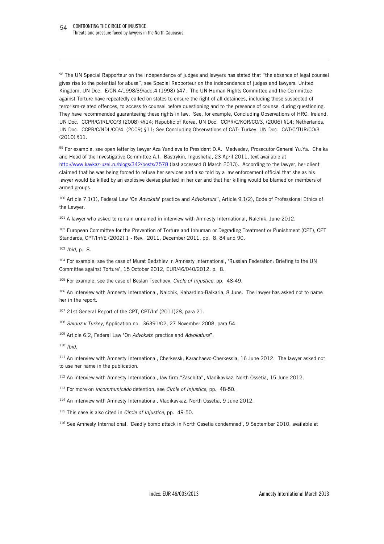98 The UN Special Rapporteur on the independence of judges and lawyers has stated that "the absence of legal counsel gives rise to the potential for abuse", see Special Rapporteur on the independence of judges and lawyers: United Kingdom, UN Doc. E/CN.4/1998/39/add.4 (1998) §47. The UN Human Rights Committee and the Committee against Torture have repeatedly called on states to ensure the right of all detainees, including those suspected of terrorism-related offences, to access to counsel before questioning and to the presence of counsel during questioning. They have recommended guaranteeing these rights in law. See, for example, Concluding Observations of HRC: Ireland, UN Doc. CCPR/C/IRL/CO/3 (2008) §§14; Republic of Korea, UN Doc. CCPR/C/KOR/CO/3, (2006) §14; Netherlands, UN Doc. CCPR/C/NDL/CO/4, (2009) §11; See Concluding Observations of CAT: Turkey, UN Doc. CAT/C/TUR/CO/3 (2010) §11.

99 For example, see open letter by lawyer Aza Yandieva to President D.A. Medvedev, Prosecutor General Yu.Ya. Chaika and Head of the Investigative Committee A.I. Bastrykin, Ingushetia, 23 April 2011, text available at http://www.kavkaz-uzel.ru/blogs/342/posts/7578 (last accessed 8 March 2013). According to the lawyer, her client claimed that he was being forced to refuse her services and also told by a law enforcement official that she as his lawyer would be killed by an explosive devise planted in her car and that her killing would be blamed on members of armed groups.

<sup>100</sup> Article 7.1(1), Federal Law "On *Advokats*' practice and *Advokatura*", Article 9.1(2), Code of Professional Ethics of the Lawyer.

<sup>101</sup> A lawyer who asked to remain unnamed in interview with Amnesty International, Nalchik, June 2012.

<sup>102</sup> European Committee for the Prevention of Torture and Inhuman or Degrading Treatment or Punishment (CPT), CPT Standards, CPT/Inf/E (2002) 1 - Rev. 2011, December 2011, pp. 8, 84 and 90.

<sup>103</sup> *Ibid*, p. 8.

-

104 For example, see the case of Murat Bedzhiev in Amnesty International, 'Russian Federation: Briefing to the UN Committee against Torture', 15 October 2012, EUR/46/040/2012, p. 8.

<sup>105</sup> For example, see the case of Beslan Tsechoev, *Circle of Injustice*, pp. 48-49.

106 An interview with Amnesty International, Nalchik, Kabardino-Balkaria, 8 June. The lawyer has asked not to name her in the report.

<sup>107</sup> 21st General Report of the CPT, CPT/Inf (2011)28, para 21.

<sup>108</sup> *Salduz v Turkey*, Application no. 36391/02, 27 November 2008, para 54.

<sup>109</sup> Article 6.2, Federal Law "On *Advokats*' practice and *Advokatura*".

<sup>110</sup> *Ibid*.

111 An interview with Amnesty International, Cherkessk, Karachaevo-Cherkessia, 16 June 2012. The lawyer asked not to use her name in the publication.

<sup>112</sup> An interview with Amnesty International, law firm "Zaschita", Vladikavkaz, North Ossetia, 15 June 2012.

<sup>113</sup> For more on *incommunicado* detention, see *Circle of Injustice*, pp. 48-50.

<sup>114</sup> An interview with Amnesty International, Vladikavkaz, North Ossetia, 9 June 2012.

<sup>115</sup> This case is also cited in *Circle of Injustice*, pp. 49-50.

116 See Amnesty International, 'Deadly bomb attack in North Ossetia condemned', 9 September 2010, available at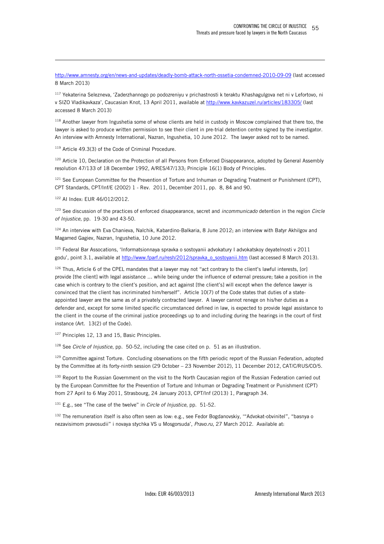http://www.amnesty.org/en/news-and-updates/deadly-bomb-attack-north-ossetia-condemned-2010-09-09 (last accessed 8 March 2013)

<sup>117</sup> Yekaterina Selezneva, 'Zaderzhannogo po podozreniyu v prichastnosti k teraktu Khashagulgova net ni v Lefortovo, ni v SIZO Vladikavkaza', Caucasian Knot, 13 April 2011, available at http://www.kavkazuzel.ru/articles/183305/ (last accessed 8 March 2013)

<sup>118</sup> Another lawyer from Ingushetia some of whose clients are held in custody in Moscow complained that there too, the lawyer is asked to produce written permission to see their client in pre-trial detention centre signed by the investigator. An interview with Amnesty International, Nazran, Ingushetia, 10 June 2012. The lawyer asked not to be named.

<sup>119</sup> Article 49.3(3) of the Code of Criminal Procedure.

<sup>120</sup> Article 10, Declaration on the Protection of all Persons from Enforced Disappearance, adopted by General Assembly resolution 47/133 of 18 December 1992, A/RES/47/133; Principle 16(1) Body of Principles.

<sup>121</sup> See European Committee for the Prevention of Torture and Inhuman or Degrading Treatment or Punishment (CPT), CPT Standards, CPT/Inf/E (2002) 1 - Rev. 2011, December 2011, pp. 8, 84 and 90.

<sup>122</sup> AI Index: EUR 46/012/2012.

-

<sup>123</sup> See discussion of the practices of enforced disappearance, secret and *incommunicado* detention in the region *Circle of Injustice*, pp. 19-30 and 43-50.

 $124$  An interview with Eva Chanieva, Nalchik, Kabardino-Balkaria, 8 June 2012; an interview with Batyr Akhilgov and Magamed Gagiev, Nazran, Ingushetia, 10 June 2012.

<sup>125</sup> Federal Bar Assocations, 'Informatsionnaya spravka o sostoyanii advokatury I advokatskoy deyatelnosti v 2011 godu', point 3.1, available at http://www.fparf.ru/resh/2012/spravka\_o\_sostoyanii.htm (last accessed 8 March 2013).

 $126$  Thus, Article 6 of the CPEL mandates that a lawyer may not "act contrary to the client's lawful interests, [or] provide [the client] with legal assistance … while being under the influence of external pressure; take a position in the case which is contrary to the client's position, and act against [the client's] will except when the defence lawyer is convinced that the client has incriminated him/herself". Article 10(7) of the Code states that duties of a stateappointed lawyer are the same as of a privately contracted lawyer. A lawyer cannot renege on his/her duties as a defender and, except for some limited specific circumstanced defined in law, is expected to provide legal assistance to the client in the course of the criminal justice proceedings up to and including during the hearings in the court of first instance (Art. 13(2) of the Code).

<sup>127</sup> Principles 12, 13 and 15, Basic Principles.

<sup>128</sup> See *Circle of Injustice*, pp. 50-52, including the case cited on p. 51 as an illustration.

<sup>129</sup> Committee against Torture. Concluding observations on the fifth periodic report of the Russian Federation, adopted by the Committee at its forty-ninth session (29 October – 23 November 2012), 11 December 2012, CAT/C/RUS/CO/5.

<sup>130</sup> Report to the Russian Government on the visit to the North Caucasian region of the Russian Federation carried out by the European Committee for the Prevention of Torture and Inhuman or Degrading Treatment or Punishment (CPT) from 27 April to 6 May 2011, Strasbourg, 24 January 2013, CPT/Inf (2013) 1, Paragraph 34.

<sup>131</sup> E.g., see "The case of the twelve" in *Circle of Injustice*, pp. 51-52.

132 The remuneration itself is also often seen as low: e.g., see Fedor Bogdanovskiy, "Advokat-obvinitel", "basnya o nezavisimom pravosudii" i novaya stychka VS u Mosgorsuda', *Pravo.ru*, 27 March 2012. Available at: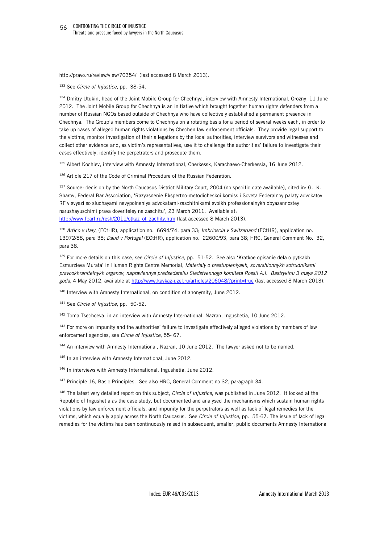http://pravo.ru/review/view/70354/ (last accessed 8 March 2013).

<sup>133</sup> See *Circle of Injustice*, pp. 38-54.

-

134 Dmitry Utukin, head of the Joint Mobile Group for Chechnya, interview with Amnesty International, Grozny, 11 June 2012. The Joint Mobile Group for Chechnya is an initiative which brought together human rights defenders from a number of Russian NGOs based outside of Chechnya who have collectively established a permanent presence in Chechnya. The Group's members come to Chechnya on a rotating basis for a period of several weeks each, in order to take up cases of alleged human rights violations by Chechen law enforcement officials. They provide legal support to the victims, monitor investigation of their allegations by the local authorities, interview survivors and witnesses and collect other evidence and, as victim's representatives, use it to challenge the authorities' failure to investigate their cases effectively, identify the perpetrators and prosecute them.

135 Albert Kochiev, interview with Amnesty International, Cherkessk, Karachaevo-Cherkessia, 16 June 2012.

<sup>136</sup> Article 217 of the Code of Criminal Procedure of the Russian Federation.

137 Source: decision by the North Caucasus District Military Court, 2004 (no specific date available), cited in: G. K. Sharov, Federal Bar Association, 'Razyasnenie Ekspertno-metodicheskoi komissii Soveta Federalnoy palaty advokatov RF v svyazi so sluchayami nevypolneniya advokatami-zaschitnikami svoikh professionalnykh obyazannostey narushayuschimi prava doveriteley na zaschitu', 23 March 2011. Available at: http://www.fparf.ru/resh/2011/otkaz\_ot\_zachity.htm (last accessed 8 March 2013).

<sup>138</sup> *Artico v Italy*, (ECtHR), application no. 6694/74, para 33; *Imbrioscia v Switzerland* (ECtHR), application no. 13972/88, para 38; *Daud v Portugal* (ECtHR), application no. 22600/93, para 38; HRC, General Comment No. 32, para 38.

<sup>139</sup> For more details on this case, see *Circle of Injustice*, pp. 51-52. See also 'Kratkoe opisanie dela o pytkakh Esmurzieva Murata' in Human Rights Centre Memorial, *Materialy o prestupleniyakh, sovershionnykh sotrudnikami pravookhranitelhykh organov, napravlennye predsedateliu Sledstvennogo komiteta Rossii A.I. Bastrykinu 3 maya 2012 goda*, 4 May 2012, available at http://www.kavkaz-uzel.ru/articles/206048/?print=true (last accessed 8 March 2013).

<sup>140</sup> Interview with Amnesty International, on condition of anonymity, June 2012.

<sup>141</sup> See *Circle of Injustice*, pp. 50-52.

<sup>142</sup> Toma Tsechoeva, in an interview with Amnesty International, Nazran, Ingushetia, 10 June 2012.

<sup>143</sup> For more on impunity and the authorities' failure to investigate effectively alleged violations by members of law enforcement agencies, see *Circle of Injustice*, 55- 67.

144 An interview with Amnesty International, Nazran, 10 June 2012. The lawyer asked not to be named.

<sup>145</sup> In an interview with Amnesty International, June 2012.

<sup>146</sup> In interviews with Amnesty International, Ingushetia, June 2012.

<sup>147</sup> Principle 16, Basic Principles. See also HRC, General Comment no 32, paragraph 34.

<sup>148</sup> The latest very detailed report on this subject, *Circle of Injustice*, was published in June 2012. It looked at the Republic of Ingushetia as the case study, but documented and analysed the mechanisms which sustain human rights violations by law enforcement officials, and impunity for the perpetrators as well as lack of legal remedies for the victims, which equally apply across the North Caucasus. See *Circle of Injustice*, pp. 55-67. The issue of lack of legal remedies for the victims has been continuously raised in subsequent, smaller, public documents Amnesty International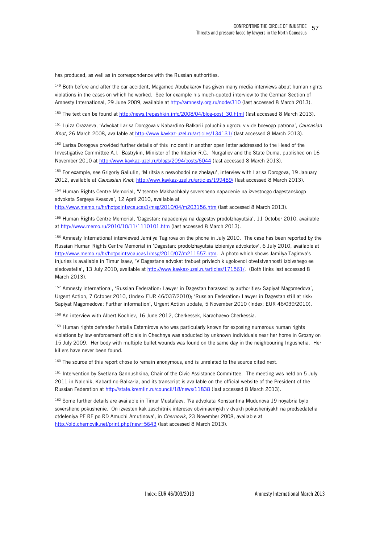has produced, as well as in correspondence with the Russian authorities.

-

<sup>149</sup> Both before and after the car accident, Magamed Abubakarov has given many media interviews about human rights violations in the cases on which he worked. See for example his much-quoted interview to the German Section of Amnesty International, 29 June 2009, available at http://amnesty.org.ru/node/310 (last accessed 8 March 2013).

<sup>150</sup> The text can be found at http://news.trepashkin.info/2008/04/blog-post\_30.html (last accessed 8 March 2013).

<sup>151</sup> Luiza Orazaeva, 'Advokat Larisa Dorogova v Kabardino-Balkarii poluchila ugrozu v vide boevogo patrona', *Caucasian Knot*, 26 March 2008, available at http://www.kavkaz-uzel.ru/articles/134131/ (last accessed 8 March 2013).

<sup>152</sup> Larisa Dorogova provided further details of this incident in another open letter addressed to the Head of the Investigative Committee A.I. Bastrykin, Minister of the Interior R.G. Nurgaliev and the State Duma, published on 16 November 2010 at http://www.kavkaz-uzel.ru/blogs/2094/posts/6044 (last accessed 8 March 2013).

<sup>153</sup> For example, see Grigoriy Galiulin, 'Miritsia s nesvobodoi ne zhelayu', interview with Larisa Dorogova, 19 January 2012, available at *Caucasian Knot*, http://www.kavkaz-uzel.ru/articles/199489/ (last accessed 8 March 2013).

154 Human Rights Centre Memorial, 'V tsentre Makhachkaly soversheno napadenie na izvestnogo dagestanskogo advokata Sergeya Kvasova', 12 April 2010, available at

http://www.memo.ru/hr/hotpoints/caucas1/msg/2010/04/m203156.htm (last accessed 8 March 2013).

<sup>155</sup> Human Rights Centre Memorial, 'Dagestan: napadeniya na dagestov prodolzhayutsia', 11 October 2010, available at http://www.memo.ru/2010/10/11/1110101.htm (last accessed 8 March 2013).

156 Amnesty International interviewed Jamilya Tagirova on the phone in July 2010. The case has been reported by the Russian Human Rights Centre Memorial in 'Dagestan: prodolzhayutsia izbieniya advokatov', 6 July 2010, available at http://www.memo.ru/hr/hotpoints/caucas1/msg/2010/07/m211557.htm. A photo which shows Jamilya Tagirova's injuries is available in Timur Isaev, 'V Dagestane advokat trebuet privlech k ugolovnoi otvetstvennosti izbivshego ee sledovatelia', 13 July 2010, available at http://www.kavkaz-uzel.ru/articles/171561/. (Both links last accessed 8 March 2013).

157 Amnesty international, 'Russian Federation: Lawyer in Dagestan harassed by authorities: Sapiyat Magomedova', Urgent Action, 7 October 2010, (Index: EUR 46/037/2010); 'Russian Federation: Lawyer in Dagestan still at risk: Sapiyat Magomedova: Further information', Urgent Action update, 5 November 2010 (Index: EUR 46/039/2010).

<sup>158</sup> An interview with Albert Kochiev, 16 June 2012, Cherkessek, Karachaevo-Cherkessia.

<sup>159</sup> Human rights defender Natalia Estemirova who was particularly known for exposing numerous human rights violations by law enforcement officials in Chechnya was abducted by unknown individuals near her home in Grozny on 15 July 2009. Her body with multiple bullet wounds was found on the same day in the neighbouring Ingushetia. Her killers have never been found.

<sup>160</sup> The source of this report chose to remain anonymous, and is unrelated to the source cited next.

161 Intervention by Svetlana Gannushkina, Chair of the Civic Assistance Committee. The meeting was held on 5 July 2011 in Nalchik, Kabardino-Balkaria, and its transcript is available on the official website of the President of the Russian Federation at http://state.kremlin.ru/council/18/news/11838 (last accessed 8 March 2013).

<sup>162</sup> Some further details are available in Timur Mustafaev, 'Na advokata Konstantina Mudunova 19 noyabria bylo soversheno pokushenie. On izvesten kak zaschitnik interesov obviniaemykh v dvukh pokusheniyakh na predsedatelia otdeleniya PF RF po RD Amuchi Amutinova', in *Chernovik*, 23 November 2008, available at http://old.chernovik.net/print.php?new=5643 (last accessed 8 March 2013).